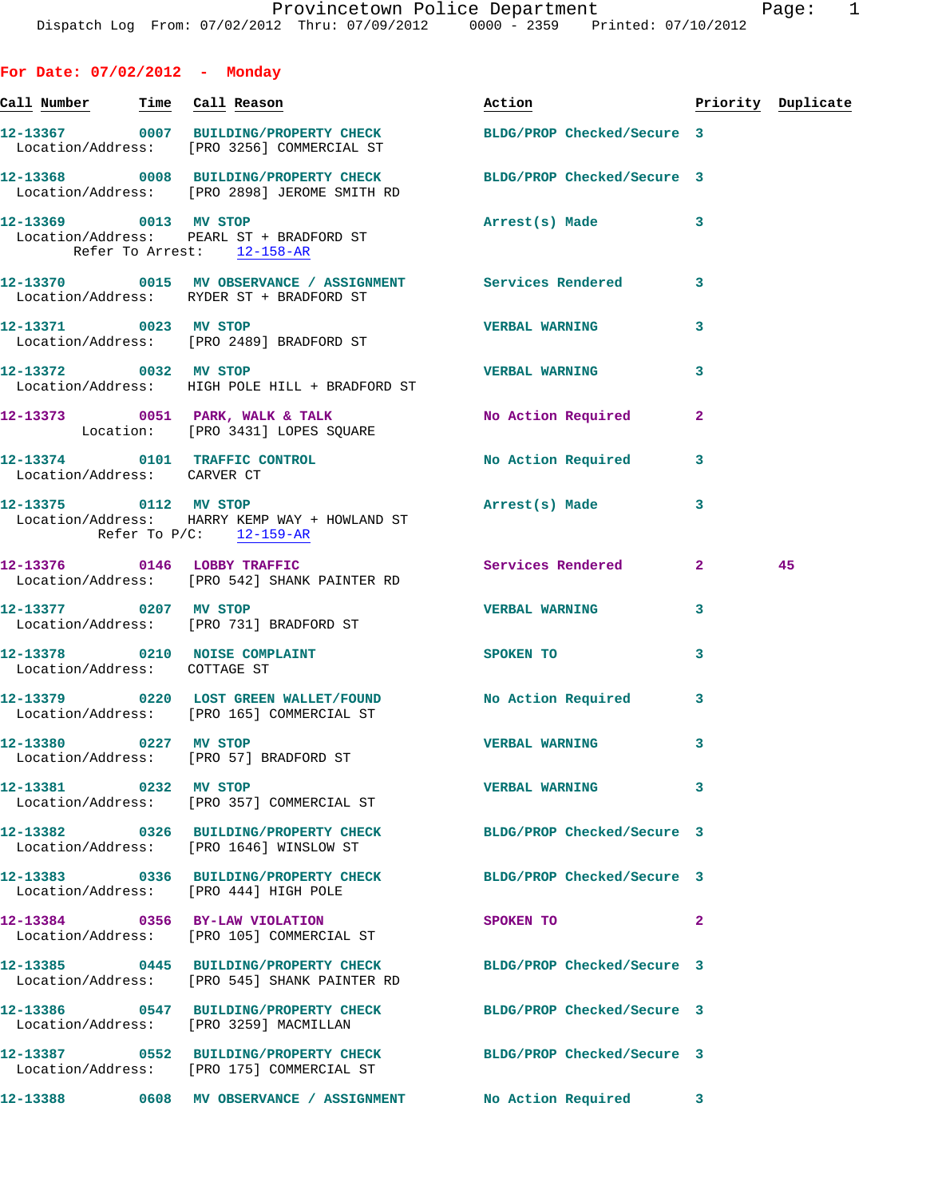| For Date: $07/02/2012$ - Monday |                                                                                                                  |                                  |                |    |
|---------------------------------|------------------------------------------------------------------------------------------------------------------|----------------------------------|----------------|----|
|                                 | <u>Call Number — Time Call Reason</u>                                                                            | Action <b>Priority</b> Duplicate |                |    |
|                                 | 12-13367 0007 BUILDING/PROPERTY CHECK<br>Location/Address: [PRO 3256] COMMERCIAL ST                              | BLDG/PROP Checked/Secure 3       |                |    |
|                                 | 12-13368 0008 BUILDING/PROPERTY CHECK BLDG/PROP Checked/Secure 3<br>Location/Address: [PRO 2898] JEROME SMITH RD |                                  |                |    |
|                                 | 12-13369 0013 MV STOP<br>Location/Address: PEARL ST + BRADFORD ST<br>Refer To Arrest: 12-158-AR                  | Arrest(s) Made 3                 |                |    |
|                                 | 12-13370 0015 MV OBSERVANCE / ASSIGNMENT Services Rendered 3<br>Location/Address: RYDER ST + BRADFORD ST         |                                  |                |    |
|                                 | 12-13371 0023 MV STOP<br>Location/Address: [PRO 2489] BRADFORD ST                                                | <b>VERBAL WARNING</b>            | 3              |    |
| 12-13372 0032 MV STOP           | Location/Address: HIGH POLE HILL + BRADFORD ST                                                                   | <b>VERBAL WARNING</b>            | 3              |    |
|                                 | 12-13373 0051 PARK, WALK & TALK<br>Location: [PRO 3431] LOPES SQUARE                                             | No Action Required               | $\mathbf{2}$   |    |
| Location/Address: CARVER CT     | 12-13374 0101 TRAFFIC CONTROL                                                                                    | <b>No Action Required</b>        | 3              |    |
|                                 | 12-13375 0112 MV STOP<br>Location/Address: HARRY KEMP WAY + HOWLAND ST<br>Refer To P/C: 12-159-AR                | Arrest(s) Made                   | 3              |    |
|                                 | 12-13376 0146 LOBBY TRAFFIC<br>Location/Address: [PRO 542] SHANK PAINTER RD                                      | Services Rendered 2              |                | 45 |
| 12-13377 0207 MV STOP           | Location/Address: [PRO 731] BRADFORD ST                                                                          | <b>VERBAL WARNING</b>            | 3              |    |
| Location/Address: COTTAGE ST    | 12-13378 0210 NOISE COMPLAINT                                                                                    | SPOKEN TO                        | 3              |    |
|                                 | 12-13379 0220 LOST GREEN WALLET/FOUND No Action Required 3<br>Location/Address: [PRO 165] COMMERCIAL ST          |                                  |                |    |
| 12-13380 0227 MV STOP           | Location/Address: [PRO 57] BRADFORD ST                                                                           | <b>VERBAL WARNING</b>            | 3              |    |
| 12-13381 0232 MV STOP           | Location/Address: [PRO 357] COMMERCIAL ST                                                                        | <b>VERBAL WARNING</b>            | 3              |    |
|                                 | 12-13382 0326 BUILDING/PROPERTY CHECK BLDG/PROP Checked/Secure 3<br>Location/Address: [PRO 1646] WINSLOW ST      |                                  |                |    |
|                                 | 12-13383 0336 BUILDING/PROPERTY CHECK BLDG/PROP Checked/Secure 3<br>Location/Address: [PRO 444] HIGH POLE        |                                  |                |    |
|                                 | 12-13384 0356 BY-LAW VIOLATION<br>Location/Address: [PRO 105] COMMERCIAL ST                                      | SPOKEN TO                        | $\overline{2}$ |    |
|                                 | 12-13385 0445 BUILDING/PROPERTY CHECK BLDG/PROP Checked/Secure 3<br>Location/Address: [PRO 545] SHANK PAINTER RD |                                  |                |    |
|                                 | 12-13386 0547 BUILDING/PROPERTY CHECK BLDG/PROP Checked/Secure 3                                                 |                                  |                |    |

Location/Address: [PRO 3259] MACMILLAN

**12-13387 0552 BUILDING/PROPERTY CHECK BLDG/PROP Checked/Secure 3**  Location/Address: [PRO 175] COMMERCIAL ST

**12-13388 0608 MV OBSERVANCE / ASSIGNMENT No Action Required 3**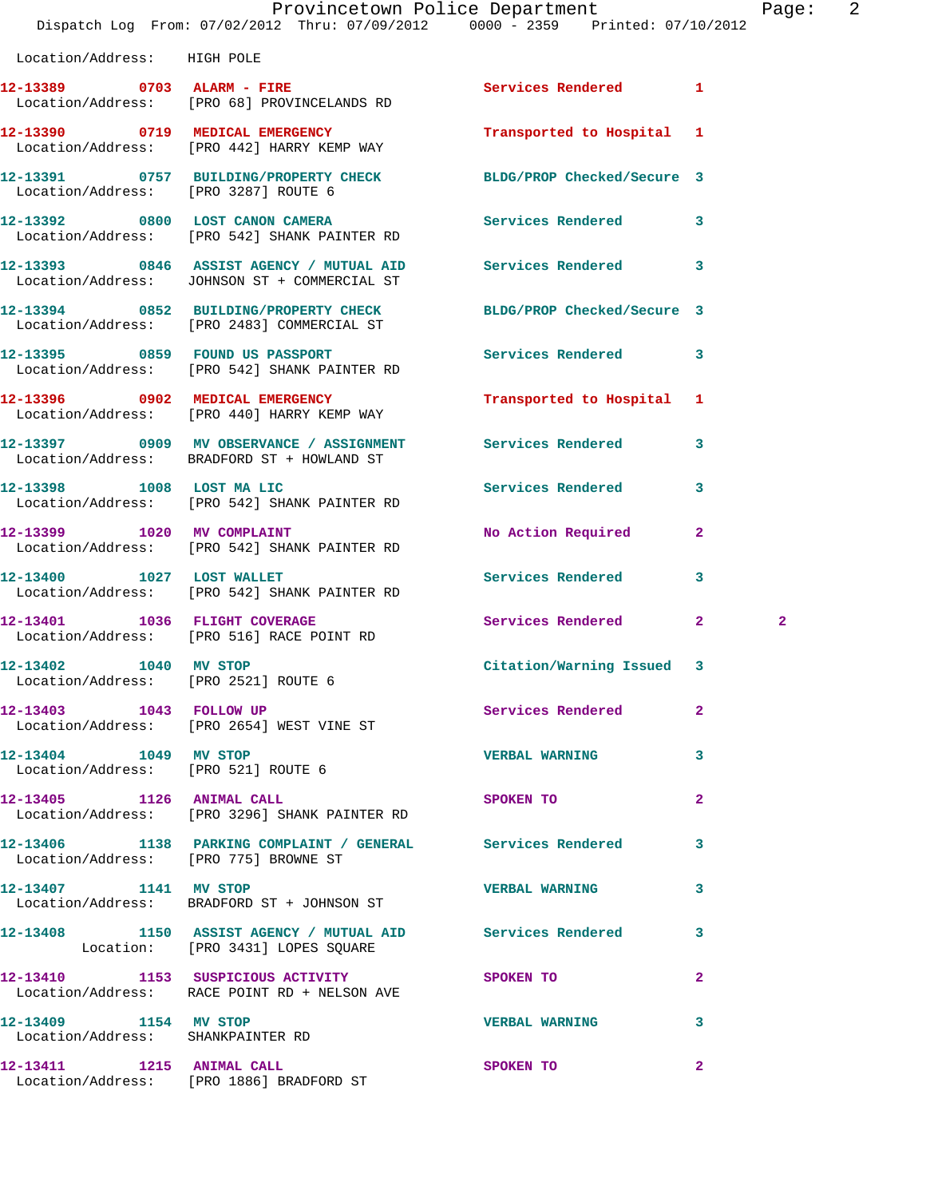|                                                               | Dispatch Log From: 07/02/2012 Thru: 07/09/2012 0000 - 2359 Printed: 07/10/2012                           | Provincetown Police Department |              | Page:          | $\overline{\phantom{a}}^2$ |
|---------------------------------------------------------------|----------------------------------------------------------------------------------------------------------|--------------------------------|--------------|----------------|----------------------------|
| Location/Address: HIGH POLE                                   |                                                                                                          |                                |              |                |                            |
|                                                               | 12-13389 0703 ALARM - FIRE<br>Location/Address: [PRO 68] PROVINCELANDS RD                                | <b>Services Rendered</b> 1     |              |                |                            |
|                                                               | 12-13390 0719 MEDICAL EMERGENCY<br>Location/Address: [PRO 442] HARRY KEMP WAY                            | Transported to Hospital 1      |              |                |                            |
| Location/Address: [PRO 3287] ROUTE 6                          | 12-13391 0757 BUILDING/PROPERTY CHECK BLDG/PROP Checked/Secure 3                                         |                                |              |                |                            |
|                                                               | 12-13392 0800 LOST CANON CAMERA<br>Location/Address: [PRO 542] SHANK PAINTER RD                          | Services Rendered              | 3            |                |                            |
|                                                               | 12-13393 0846 ASSIST AGENCY / MUTUAL AID<br>Location/Address: JOHNSON ST + COMMERCIAL ST                 | Services Rendered              | 3            |                |                            |
|                                                               | 12-13394 0852 BUILDING/PROPERTY CHECK<br>Location/Address: [PRO 2483] COMMERCIAL ST                      | BLDG/PROP Checked/Secure 3     |              |                |                            |
|                                                               | 12-13395 0859 FOUND US PASSPORT<br>Location/Address: [PRO 542] SHANK PAINTER RD                          | Services Rendered              | 3            |                |                            |
|                                                               | 12-13396 0902 MEDICAL EMERGENCY<br>Location/Address: [PRO 440] HARRY KEMP WAY                            | Transported to Hospital 1      |              |                |                            |
|                                                               | 12-13397 0909 MV OBSERVANCE / ASSIGNMENT Services Rendered<br>Location/Address: BRADFORD ST + HOWLAND ST |                                | 3            |                |                            |
|                                                               | 12-13398 1008 LOST MA LIC<br>Location/Address: [PRO 542] SHANK PAINTER RD                                | Services Rendered              | 3            |                |                            |
| 12-13399 1020 MV COMPLAINT                                    | Location/Address: [PRO 542] SHANK PAINTER RD                                                             | No Action Required             | $\mathbf{2}$ |                |                            |
|                                                               | 12-13400 1027 LOST WALLET<br>Location/Address: [PRO 542] SHANK PAINTER RD                                | Services Rendered              | 3            |                |                            |
|                                                               | 12-13401 1036 FLIGHT COVERAGE<br>Location/Address: [PRO 516] RACE POINT RD                               | Services Rendered              | $\mathbf{2}$ | $\overline{2}$ |                            |
| 12-13402 1040 MV STOP<br>Location/Address: [PRO 2521] ROUTE 6 |                                                                                                          | Citation/Warning Issued 3      |              |                |                            |
|                                                               | 12-13403 1043 FOLLOW UP<br>Location/Address: [PRO 2654] WEST VINE ST                                     | Services Rendered              | $\mathbf{2}$ |                |                            |
| 12-13404 1049 MV STOP                                         | Location/Address: [PRO 521] ROUTE 6                                                                      | <b>VERBAL WARNING</b>          | 3            |                |                            |
|                                                               | 12-13405 1126 ANIMAL CALL<br>Location/Address: [PRO 3296] SHANK PAINTER RD                               | SPOKEN TO                      | $\mathbf{2}$ |                |                            |
|                                                               | 12-13406 1138 PARKING COMPLAINT / GENERAL Services Rendered<br>Location/Address: [PRO 775] BROWNE ST     |                                | 3            |                |                            |
| 12-13407 1141 MV STOP                                         | Location/Address: BRADFORD ST + JOHNSON ST                                                               | <b>VERBAL WARNING</b>          | 3            |                |                            |
|                                                               | 12-13408 1150 ASSIST AGENCY / MUTUAL AID Services Rendered 3<br>Location: [PRO 3431] LOPES SQUARE        |                                |              |                |                            |
|                                                               | 12-13410 1153 SUSPICIOUS ACTIVITY<br>Location/Address: RACE POINT RD + NELSON AVE                        | <b>SPOKEN TO</b>               | $\mathbf{2}$ |                |                            |
| 12-13409 1154 MV STOP<br>Location/Address: SHANKPAINTER RD    |                                                                                                          | <b>VERBAL WARNING</b>          | 3            |                |                            |
| 12-13411 1215 ANIMAL CALL                                     |                                                                                                          | SPOKEN TO                      | $\mathbf{2}$ |                |                            |

Location/Address: [PRO 1886] BRADFORD ST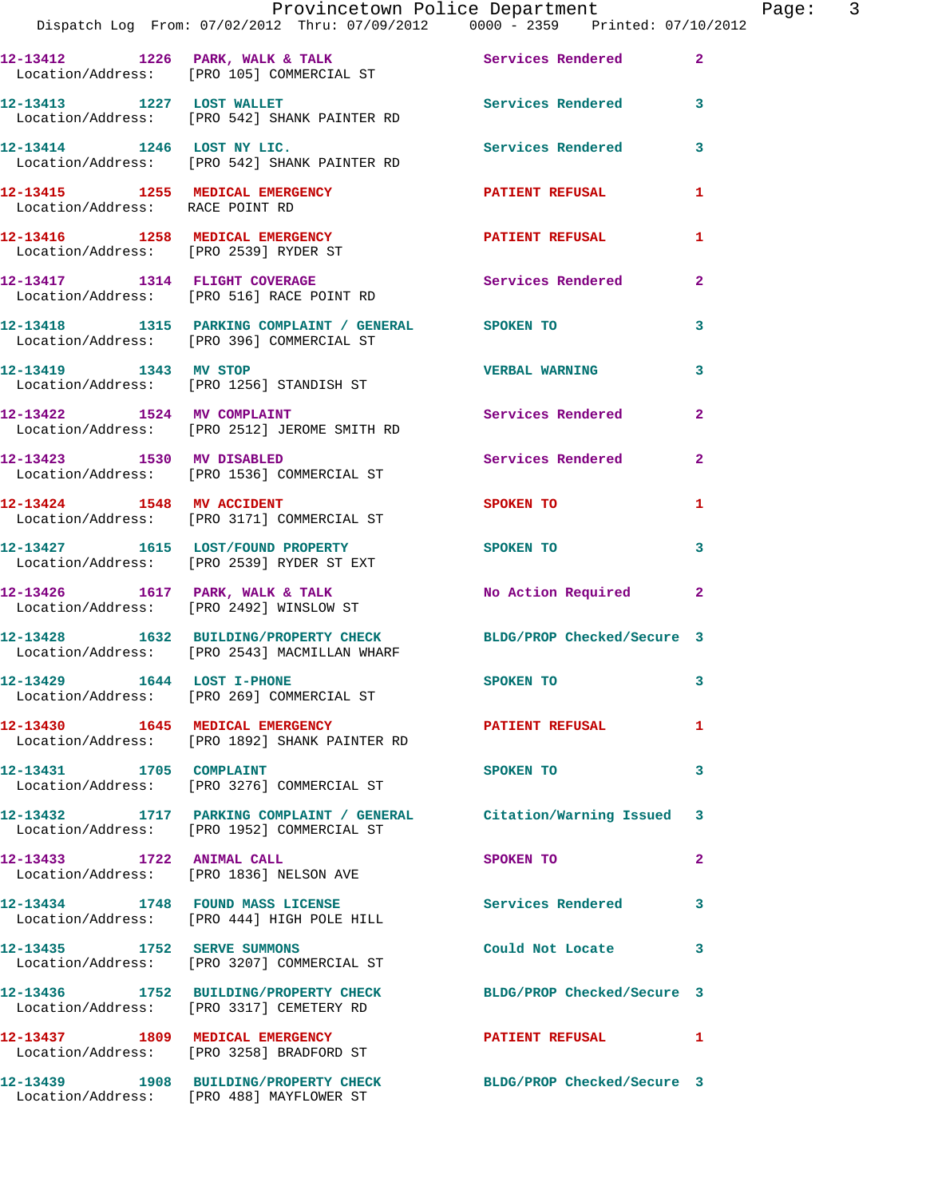|                                 | Provincetown Police Department<br>Dispatch Log From: 07/02/2012 Thru: 07/09/2012 0000 - 2359 Printed: 07/10/2012  |                             | Page: 3        |  |
|---------------------------------|-------------------------------------------------------------------------------------------------------------------|-----------------------------|----------------|--|
|                                 | 12-13412 1226 PARK, WALK & TALK 6 Services Rendered 2<br>Location/Address: [PRO 105] COMMERCIAL ST                |                             |                |  |
|                                 | 12-13413 1227 LOST WALLET Services Rendered 3<br>Location/Address: [PRO 542] SHANK PAINTER RD                     |                             |                |  |
|                                 | 12-13414 1246 LOST NY LIC.<br>Location/Address: [PRO 542] SHANK PAINTER RD                                        | Services Rendered 3         |                |  |
| Location/Address: RACE POINT RD | 12-13415 1255 MEDICAL EMERGENCY PATIENT REFUSAL                                                                   |                             | $\mathbf{1}$   |  |
|                                 | 12-13416 1258 MEDICAL EMERGENCY<br>Location/Address: [PRO 2539] RYDER ST                                          | PATIENT REFUSAL             | 1              |  |
|                                 | 12-13417 1314 FLIGHT COVERAGE<br>Location/Address: [PRO 516] RACE POINT RD                                        | Services Rendered           | $\mathbf{2}$   |  |
|                                 | 12-13418 1315 PARKING COMPLAINT / GENERAL SPOKEN TO 3<br>Location/Address: [PRO 396] COMMERCIAL ST                |                             |                |  |
|                                 | 12-13419 1343 MV STOP<br>Location/Address: [PRO 1256] STANDISH ST                                                 | <b>VERBAL WARNING</b>       | $\mathbf{3}$   |  |
|                                 | 12-13422 1524 MV COMPLAINT<br>Location/Address: [PRO 2512] JEROME SMITH RD                                        | Services Rendered 2         |                |  |
|                                 | 12-13423 1530 MV DISABLED Services Rendered<br>Location/Address: [PRO 1536] COMMERCIAL ST                         |                             | $\overline{2}$ |  |
|                                 | 12-13424 1548 MV ACCIDENT<br>Location/Address: [PRO 3171] COMMERCIAL ST                                           | SPOKEN TO AND THE SPOKEN TO | 1              |  |
|                                 | 12-13427 1615 LOST/FOUND PROPERTY SPOKEN TO<br>Location/Address: [PRO 2539] RYDER ST EXT                          |                             | 3              |  |
|                                 | 12-13426 1617 PARK, WALK & TALK<br>Location/Address: [PRO 2492] WINSLOW ST                                        | No Action Required 2        |                |  |
|                                 | 12-13428 1632 BUILDING/PROPERTY CHECK BLDG/PROP Checked/Secure 3<br>Location/Address: [PRO 2543] MACMILLAN WHARF  |                             |                |  |
|                                 | 12-13429 1644 LOST I-PHONE<br>Location/Address: [PRO 269] COMMERCIAL ST                                           | <b>SPOKEN TO</b>            |                |  |
|                                 | 12-13430 1645 MEDICAL EMERGENCY<br>Location/Address: [PRO 1892] SHANK PAINTER RD                                  | PATIENT REFUSAL             | $\mathbf{1}$   |  |
| 12-13431 1705 COMPLAINT         | Location/Address: [PRO 3276] COMMERCIAL ST                                                                        | SPOKEN TO                   | 3              |  |
|                                 | 12-13432 1717 PARKING COMPLAINT / GENERAL Citation/Warning Issued 3<br>Location/Address: [PRO 1952] COMMERCIAL ST |                             |                |  |
| 12-13433 1722 ANIMAL CALL       | Location/Address: [PRO 1836] NELSON AVE                                                                           | SPOKEN TO                   | $\mathbf{2}$   |  |
|                                 | 12-13434 1748 FOUND MASS LICENSE Services Rendered<br>Location/Address: [PRO 444] HIGH POLE HILL                  |                             | 3              |  |
| 12-13435 1752 SERVE SUMMONS     | Location/Address: [PRO 3207] COMMERCIAL ST                                                                        | Could Not Locate 3          |                |  |
|                                 | 12-13436 1752 BUILDING/PROPERTY CHECK<br>Location/Address: [PRO 3317] CEMETERY RD                                 | BLDG/PROP Checked/Secure 3  |                |  |
|                                 | 12-13437 1809 MEDICAL EMERGENCY<br>Location/Address: [PRO 3258] BRADFORD ST                                       | PATIENT REFUSAL 1           |                |  |
|                                 | 12-13439 1908 BUILDING/PROPERTY CHECK<br>Location/Address: [PRO 488] MAYFLOWER ST                                 | BLDG/PROP Checked/Secure 3  |                |  |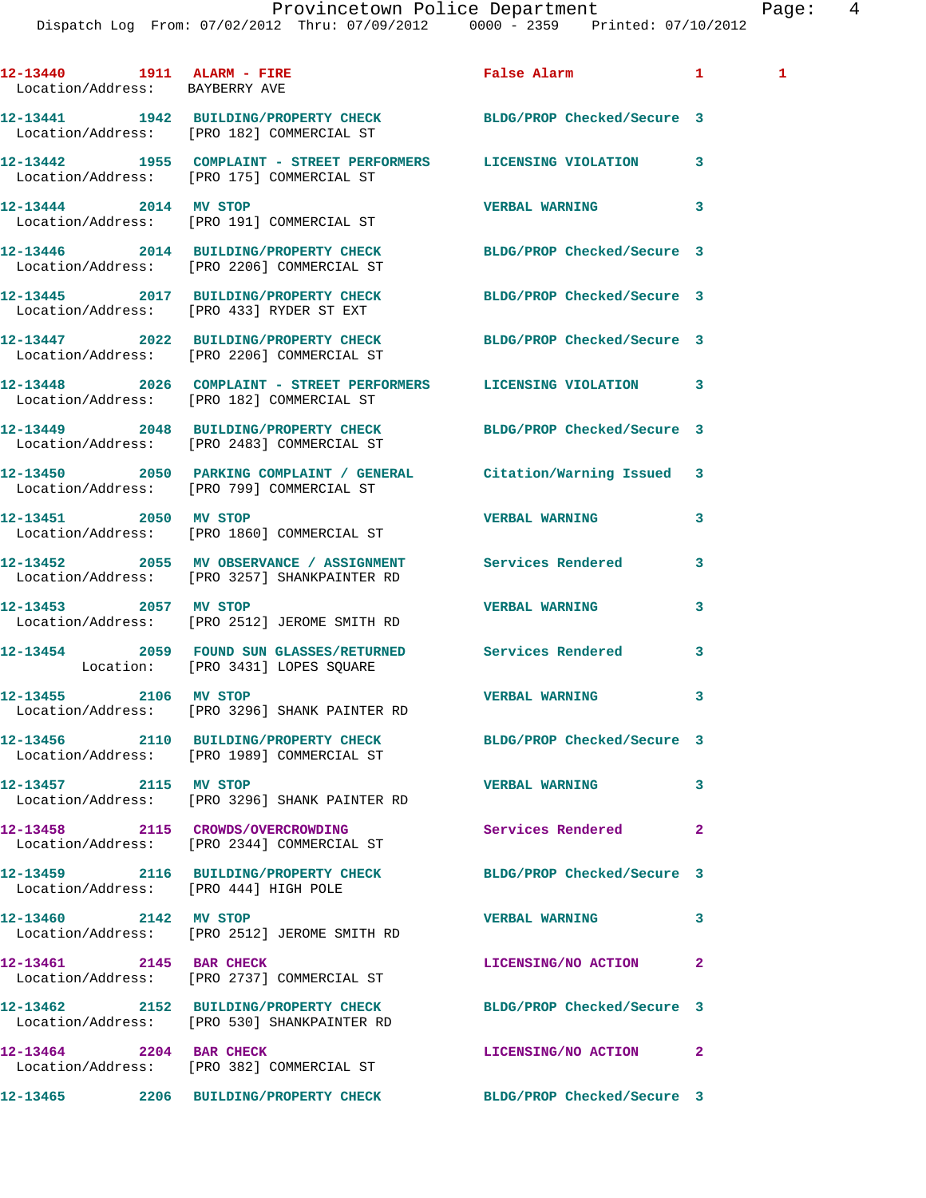|                                                                  | Dispatch Log From: 07/02/2012 Thru: 07/09/2012 0000 - 2359 Printed: 07/10/2012                                   | Provincetown Police Department | Pag            |  |
|------------------------------------------------------------------|------------------------------------------------------------------------------------------------------------------|--------------------------------|----------------|--|
| 12-13440   1911   ALARM - FIRE<br>Location/Address: BAYBERRY AVE |                                                                                                                  | False Alarm 1                  | $\mathbf{1}$   |  |
|                                                                  | 12-13441 1942 BUILDING/PROPERTY CHECK BLDG/PROP Checked/Secure 3<br>Location/Address: [PRO 182] COMMERCIAL ST    |                                |                |  |
|                                                                  | 12-13442 1955 COMPLAINT - STREET PERFORMERS LICENSING VIOLATION<br>Location/Address: [PRO 175] COMMERCIAL ST     |                                | 3              |  |
| 12-13444 2014 MV STOP                                            | Location/Address: [PRO 191] COMMERCIAL ST                                                                        | <b>VERBAL WARNING</b>          | 3              |  |
|                                                                  | 12-13446 2014 BUILDING/PROPERTY CHECK BLDG/PROP Checked/Secure 3<br>Location/Address: [PRO 2206] COMMERCIAL ST   |                                |                |  |
|                                                                  | 12-13445 2017 BUILDING/PROPERTY CHECK BLDG/PROP Checked/Secure 3<br>Location/Address: [PRO 433] RYDER ST EXT     |                                |                |  |
|                                                                  | 12-13447 2022 BUILDING/PROPERTY CHECK BLDG/PROP Checked/Secure 3<br>Location/Address: [PRO 2206] COMMERCIAL ST   |                                |                |  |
|                                                                  | 12-13448 2026 COMPLAINT - STREET PERFORMERS LICENSING VIOLATION 3<br>Location/Address: [PRO 182] COMMERCIAL ST   |                                |                |  |
|                                                                  | 12-13449 2048 BUILDING/PROPERTY CHECK BLDG/PROP Checked/Secure 3<br>Location/Address: [PRO 2483] COMMERCIAL ST   |                                |                |  |
|                                                                  | 12-13450 2050 PARKING COMPLAINT / GENERAL Citation/Warning Issued 3<br>Location/Address: [PRO 799] COMMERCIAL ST |                                |                |  |
|                                                                  | 12-13451 2050 MV STOP<br>Location/Address: [PRO 1860] COMMERCIAL ST                                              | <b>VERBAL WARNING</b>          | 3              |  |
|                                                                  | 12-13452 2055 MV OBSERVANCE / ASSIGNMENT Services Rendered<br>Location/Address: [PRO 3257] SHANKPAINTER RD       |                                | 3              |  |
|                                                                  | 12-13453 2057 MV STOP<br>Location/Address: [PRO 2512] JEROME SMITH RD                                            | <b>VERBAL WARNING</b>          | 3              |  |
|                                                                  | 12-13454 2059 FOUND SUN GLASSES/RETURNED Services Rendered<br>Location: [PRO 3431] LOPES SQUARE                  |                                | 3              |  |
| 12-13455 2106 MV STOP                                            | Location/Address: [PRO 3296] SHANK PAINTER RD                                                                    | <b>VERBAL WARNING</b>          | 3              |  |
|                                                                  | 12-13456 2110 BUILDING/PROPERTY CHECK BLDG/PROP Checked/Secure 3<br>Location/Address: [PRO 1989] COMMERCIAL ST   |                                |                |  |
| 12-13457 2115 MV STOP                                            | Location/Address: [PRO 3296] SHANK PAINTER RD                                                                    | <b>VERBAL WARNING</b>          | 3              |  |
|                                                                  | 12-13458 2115 CROWDS/OVERCROWDING<br>Location/Address: [PRO 2344] COMMERCIAL ST                                  | Services Rendered              | $\overline{a}$ |  |
| Location/Address: [PRO 444] HIGH POLE                            | 12-13459 2116 BUILDING/PROPERTY CHECK BLDG/PROP Checked/Secure 3                                                 |                                |                |  |
| 12-13460 2142 MV STOP                                            | Location/Address: [PRO 2512] JEROME SMITH RD                                                                     | <b>VERBAL WARNING</b>          | 3              |  |
| 12-13461 2145 BAR CHECK                                          | Location/Address: [PRO 2737] COMMERCIAL ST                                                                       | LICENSING/NO ACTION            | $\mathbf{2}$   |  |
|                                                                  | 12-13462 2152 BUILDING/PROPERTY CHECK BLDG/PROP Checked/Secure 3<br>Location/Address: [PRO 530] SHANKPAINTER RD  |                                |                |  |
|                                                                  | 12-13464 2204 BAR CHECK<br>Location/Address: [PRO 382] COMMERCIAL ST                                             | LICENSING/NO ACTION            | 2              |  |

**12-13465 2206 BUILDING/PROPERTY CHECK BLDG/PROP Checked/Secure 3**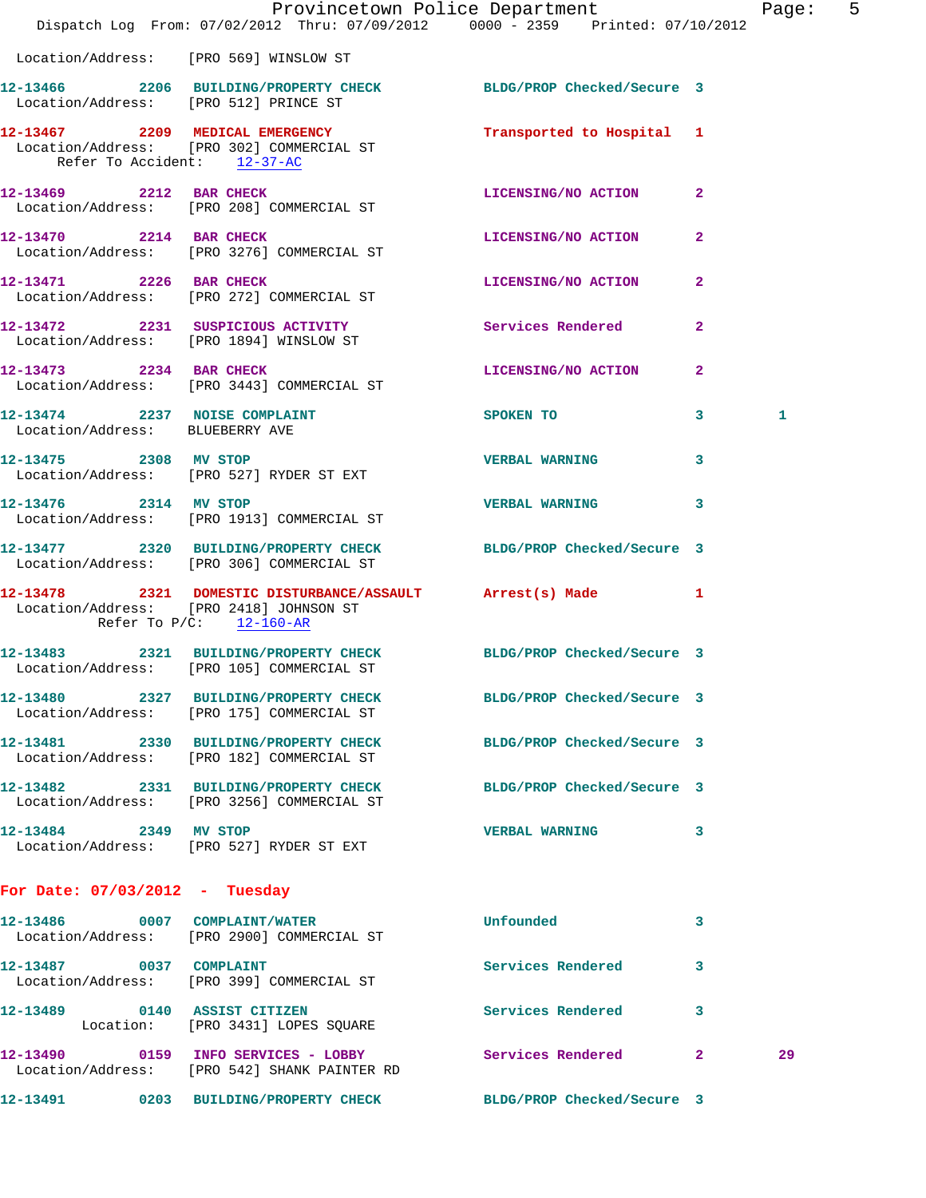|                                  | Dispatch Log From: 07/02/2012 Thru: 07/09/2012 0000 - 2359 Printed: 07/10/2012                                                    | Provincetown Police Department The Page: 5 |                |    |  |
|----------------------------------|-----------------------------------------------------------------------------------------------------------------------------------|--------------------------------------------|----------------|----|--|
|                                  | Location/Address: [PRO 569] WINSLOW ST                                                                                            |                                            |                |    |  |
|                                  | 12-13466 2206 BUILDING/PROPERTY CHECK BLDG/PROP Checked/Secure 3<br>Location/Address: [PRO 512] PRINCE ST                         |                                            |                |    |  |
| Refer To Accident: 12-37-AC      | 12-13467  2209   MEDICAL EMERGENCY   Transported to Hospital 1<br>Location/Address: [PRO 302] COMMERCIAL ST                       |                                            |                |    |  |
|                                  | 12-13469 2212 BAR CHECK<br>Location/Address: [PRO 208] COMMERCIAL ST                                                              | LICENSING/NO ACTION 2                      |                |    |  |
|                                  | 12-13470 2214 BAR CHECK<br>Location/Address: [PRO 3276] COMMERCIAL ST                                                             | LICENSING/NO ACTION                        | $\mathbf{2}$   |    |  |
| 12-13471 2226 BAR CHECK          | Location/Address: [PRO 272] COMMERCIAL ST                                                                                         | LICENSING/NO ACTION 2                      |                |    |  |
|                                  | 12-13472 2231 SUSPICIOUS ACTIVITY Services Rendered<br>Location/Address: [PRO 1894] WINSLOW ST                                    |                                            | $\overline{2}$ |    |  |
| 12-13473 2234 BAR CHECK          | Location/Address: [PRO 3443] COMMERCIAL ST                                                                                        | LICENSING/NO ACTION 2                      |                |    |  |
| Location/Address: BLUEBERRY AVE  | 12-13474 2237 NOISE COMPLAINT SPOKEN TO                                                                                           |                                            | $\mathbf{3}$   | 1  |  |
|                                  | 12-13475 2308 MV STOP<br>Location/Address: [PRO 527] RYDER ST EXT                                                                 | <b>VERBAL WARNING</b>                      | 3              |    |  |
|                                  | 12-13476 2314 MV STOP<br>Location/Address: [PRO 1913] COMMERCIAL ST                                                               | VERBAL WARNING 3                           |                |    |  |
|                                  | 12-13477 2320 BUILDING/PROPERTY CHECK BLDG/PROP Checked/Secure 3<br>Location/Address: [PRO 306] COMMERCIAL ST                     |                                            |                |    |  |
|                                  | 12-13478 2321 DOMESTIC DISTURBANCE/ASSAULT Arrest(s) Made 1<br>Location/Address: [PRO 2418] JOHNSON ST<br>Refer To P/C: 12-160-AR |                                            |                |    |  |
|                                  | 12-13483 2321 BUILDING/PROPERTY CHECK BLDG/PROP Checked/Secure 3<br>Location/Address: [PRO 105] COMMERCIAL ST                     |                                            |                |    |  |
|                                  | 12-13480 2327 BUILDING/PROPERTY CHECK BLDG/PROP Checked/Secure 3<br>Location/Address: [PRO 175] COMMERCIAL ST                     |                                            |                |    |  |
|                                  | 12-13481 2330 BUILDING/PROPERTY CHECK BLDG/PROP Checked/Secure 3<br>Location/Address: [PRO 182] COMMERCIAL ST                     |                                            |                |    |  |
|                                  | 12-13482 2331 BUILDING/PROPERTY CHECK<br>Location/Address: [PRO 3256] COMMERCIAL ST                                               | BLDG/PROP Checked/Secure 3                 |                |    |  |
| 12-13484 2349 MV STOP            | Location/Address: [PRO 527] RYDER ST EXT                                                                                          | <b>VERBAL WARNING</b>                      | 3              |    |  |
| For Date: $07/03/2012$ - Tuesday |                                                                                                                                   |                                            |                |    |  |
|                                  | 12-13486 0007 COMPLAINT/WATER<br>Location/Address: [PRO 2900] COMMERCIAL ST                                                       | Unfounded                                  | 3              |    |  |
|                                  | 12-13487 0037 COMPLAINT<br>Location/Address: [PRO 399] COMMERCIAL ST                                                              | Services Rendered                          | 3              |    |  |
|                                  | 12-13489 0140 ASSIST CITIZEN<br>Location: [PRO 3431] LOPES SQUARE                                                                 | Services Rendered                          | 3              |    |  |
|                                  | 12-13490 0159 INFO SERVICES - LOBBY Services Rendered 2<br>Location/Address: [PRO 542] SHANK PAINTER RD                           |                                            |                | 29 |  |
|                                  | 12-13491 0203 BUILDING/PROPERTY CHECK BLDG/PROP Checked/Secure 3                                                                  |                                            |                |    |  |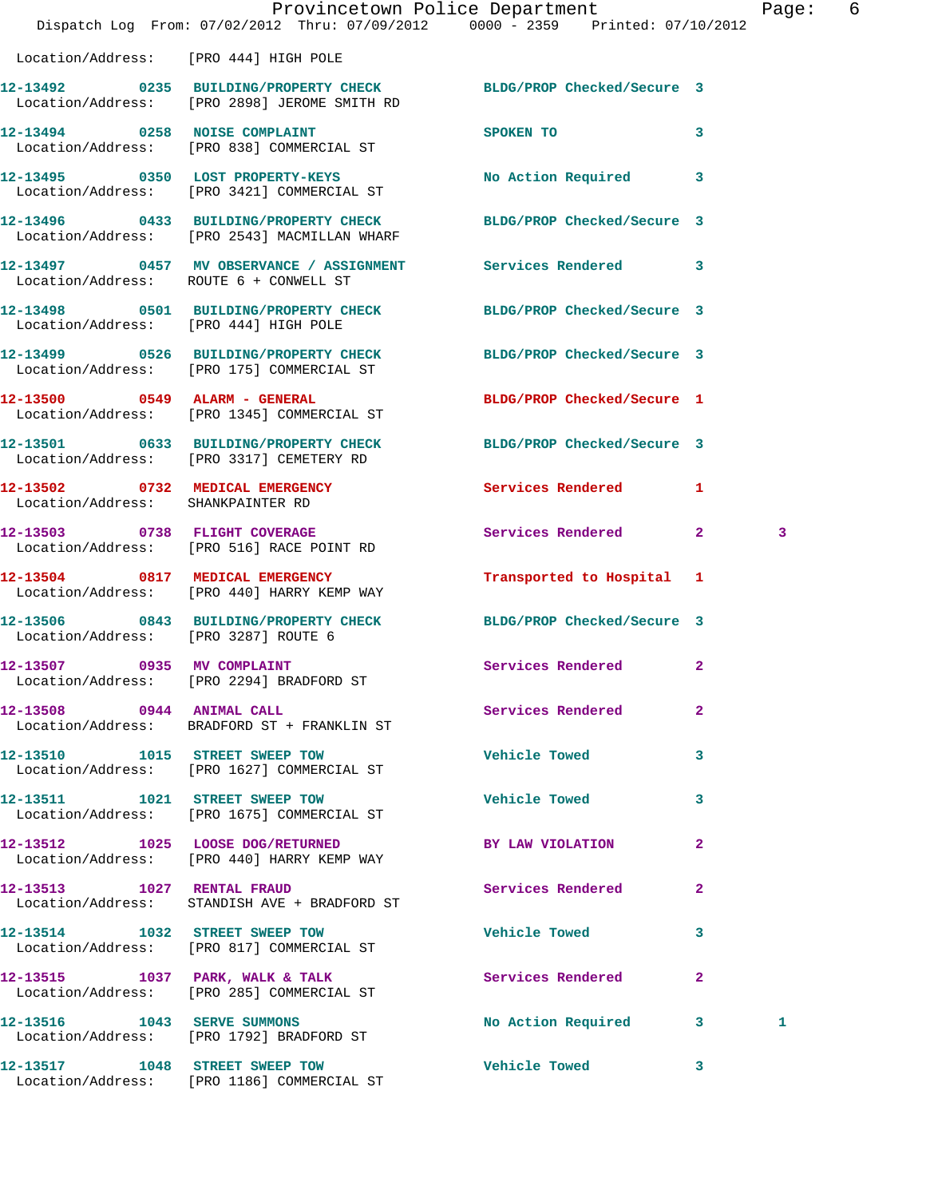|                                       |                                                                                                | Provincetown Police Department<br>Dispatch Log From: 07/02/2012 Thru: 07/09/2012 0000 - 2359 Printed: 07/10/2012 | Page: | 6 |
|---------------------------------------|------------------------------------------------------------------------------------------------|------------------------------------------------------------------------------------------------------------------|-------|---|
| Location/Address: [PRO 444] HIGH POLE |                                                                                                |                                                                                                                  |       |   |
|                                       | Location/Address: [PRO 2898] JEROME SMITH RD                                                   | 12-13492 0235 BUILDING/PROPERTY CHECK BLDG/PROP Checked/Secure 3                                                 |       |   |
|                                       | 12-13494 0258 NOISE COMPLAINT<br>Location/Address: [PRO 838] COMMERCIAL ST                     | SPOKEN TO 3                                                                                                      |       |   |
|                                       | 12-13495 0350 LOST PROPERTY-KEYS<br>Location/Address: [PRO 3421] COMMERCIAL ST                 | No Action Required 3                                                                                             |       |   |
|                                       | Location/Address: [PRO 2543] MACMILLAN WHARF                                                   | 12-13496 0433 BUILDING/PROPERTY CHECK BLDG/PROP Checked/Secure 3                                                 |       |   |
|                                       | Location/Address: ROUTE 6 + CONWELL ST                                                         | 12-13497 0457 MV OBSERVANCE / ASSIGNMENT Services Rendered 3                                                     |       |   |
|                                       | Location/Address: [PRO 444] HIGH POLE                                                          | 12-13498 0501 BUILDING/PROPERTY CHECK BLDG/PROP Checked/Secure 3                                                 |       |   |
|                                       | Location/Address: [PRO 175] COMMERCIAL ST                                                      | 12-13499 0526 BUILDING/PROPERTY CHECK BLDG/PROP Checked/Secure 3                                                 |       |   |
|                                       | 12-13500 0549 ALARM - GENERAL<br>Location/Address: [PRO 1345] COMMERCIAL ST                    | BLDG/PROP Checked/Secure 1                                                                                       |       |   |
|                                       | Location/Address: [PRO 3317] CEMETERY RD                                                       | 12-13501 0633 BUILDING/PROPERTY CHECK BLDG/PROP Checked/Secure 3                                                 |       |   |
| Location/Address: SHANKPAINTER RD     |                                                                                                | 12-13502 0732 MEDICAL EMERGENCY Services Rendered 1                                                              |       |   |
|                                       | 12-13503 0738 FLIGHT COVERAGE<br>Location/Address: [PRO 516] RACE POINT RD                     | Services Rendered 2                                                                                              | 3     |   |
|                                       | 12-13504 0817 MEDICAL EMERGENCY<br>Location/Address: [PRO 440] HARRY KEMP WAY                  | Transported to Hospital 1                                                                                        |       |   |
| Location/Address: [PRO 3287] ROUTE 6  | 12-13506 0843 BUILDING/PROPERTY CHECK                                                          | BLDG/PROP Checked/Secure 3                                                                                       |       |   |
| 12-13507 0935 MV COMPLAINT            | Location/Address: [PRO 2294] BRADFORD ST                                                       | Services Rendered<br>$\overline{2}$                                                                              |       |   |
| 12-13508 0944 ANIMAL CALL             | Location/Address: BRADFORD ST + FRANKLIN ST                                                    | <b>Services Rendered</b><br>$\mathbf{2}$                                                                         |       |   |
|                                       | 12-13510 1015 STREET SWEEP TOW<br>Location/Address: [PRO 1627] COMMERCIAL ST                   | <b>Vehicle Towed</b><br>3                                                                                        |       |   |
|                                       | 12-13511 1021 STREET SWEEP TOW<br>Location/Address: [PRO 1675] COMMERCIAL ST                   | <b>Vehicle Towed</b><br>3                                                                                        |       |   |
|                                       | 12-13512 1025 LOOSE DOG/RETURNED<br>Location/Address: [PRO 440] HARRY KEMP WAY                 | BY LAW VIOLATION<br>$\overline{2}$                                                                               |       |   |
|                                       | 12-13513 1027 RENTAL FRAUD<br>Location/Address: STANDISH AVE + BRADFORD ST                     | <b>Services Rendered</b><br>$\mathbf{2}$                                                                         |       |   |
|                                       | 12-13514 1032 STREET SWEEP TOW<br>Location/Address: [PRO 817] COMMERCIAL ST                    | <b>Vehicle Towed</b><br>3                                                                                        |       |   |
|                                       | 12-13515 1037 PARK, WALK & TALK Services Rendered<br>Location/Address: [PRO 285] COMMERCIAL ST | $\mathbf{2}$                                                                                                     |       |   |
|                                       | 12-13516 1043 SERVE SUMMONS<br>Location/Address: [PRO 1792] BRADFORD ST                        | No Action Required 3                                                                                             | 1     |   |
|                                       |                                                                                                | 12-13517 1048 STREET SWEEP TOW 5 Vehicle Towed 3                                                                 |       |   |

Location/Address: [PRO 1186] COMMERCIAL ST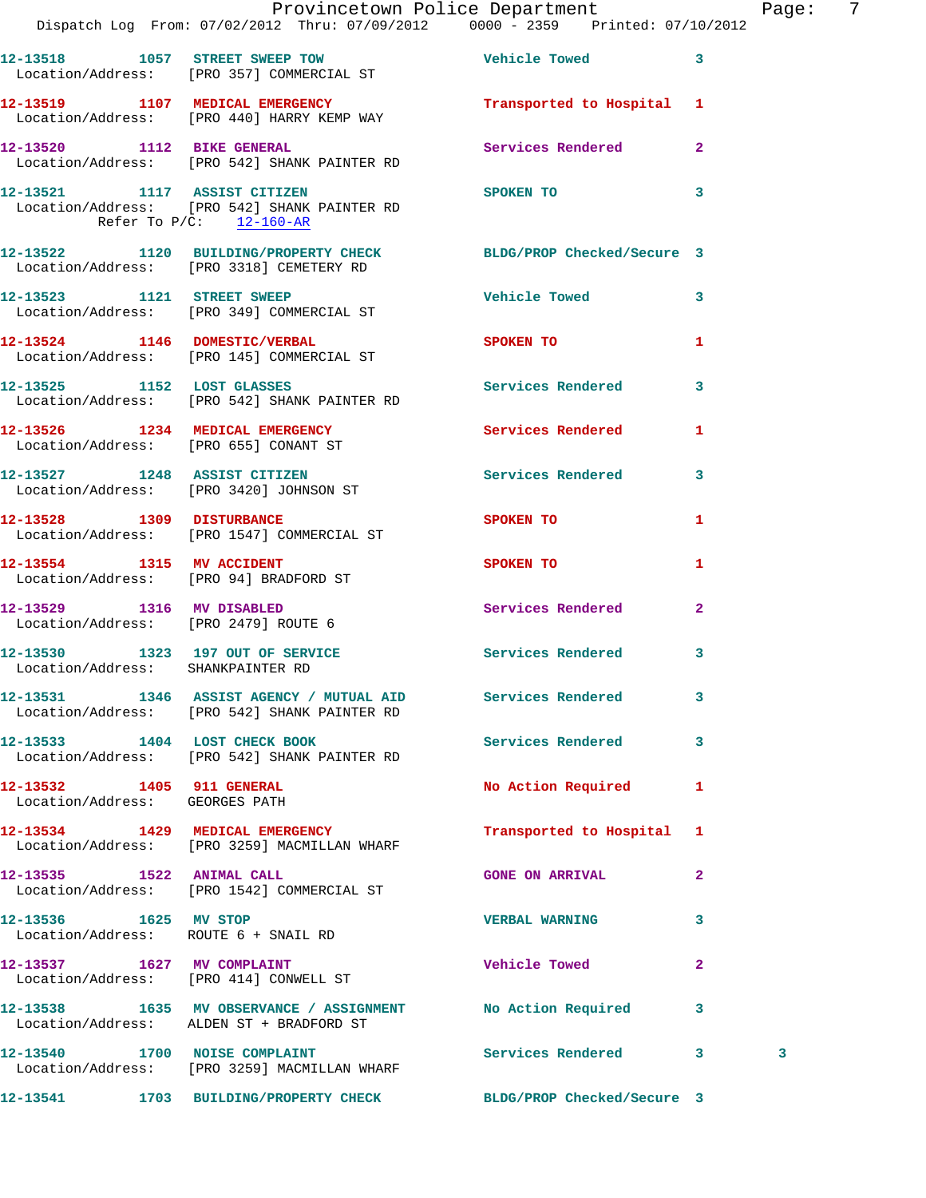|                                                             | Provincetown Police Department The Page: 7                                                                   |                           |              |   |  |
|-------------------------------------------------------------|--------------------------------------------------------------------------------------------------------------|---------------------------|--------------|---|--|
|                                                             | 12-13518 1057 STREET SWEEP TOW The Vehicle Towed 3<br>Location/Address: [PRO 357] COMMERCIAL ST              |                           |              |   |  |
|                                                             | 12-13519 1107 MEDICAL EMERGENCY<br>Location/Address: [PRO 440] HARRY KEMP WAY                                | Transported to Hospital 1 |              |   |  |
|                                                             | 12-13520 1112 BIKE GENERAL<br>Location/Address: [PRO 542] SHANK PAINTER RD                                   | Services Rendered 2       |              |   |  |
| Refer To $P/C$ : 12-160-AR                                  | 12-13521 1117 ASSIST CITIZEN<br>Location/Address: [PRO 542] SHANK PAINTER RD                                 | SPOKEN TO 3               |              |   |  |
|                                                             | 12-13522 1120 BUILDING/PROPERTY CHECK BLDG/PROP Checked/Secure 3<br>Location/Address: [PRO 3318] CEMETERY RD |                           |              |   |  |
|                                                             | 12-13523 1121 STREET SWEEP<br>Location/Address: [PRO 349] COMMERCIAL ST                                      | Vehicle Towed 3           |              |   |  |
|                                                             | 12-13524 1146 DOMESTIC/VERBAL<br>Location/Address: [PRO 145] COMMERCIAL ST                                   | <b>SPOKEN TO</b>          | $\mathbf{1}$ |   |  |
|                                                             | 12-13525 1152 LOST GLASSES<br>Location/Address: [PRO 542] SHANK PAINTER RD                                   | Services Rendered 3       |              |   |  |
|                                                             | 12-13526 1234 MEDICAL EMERGENCY Services Rendered 1<br>Location/Address: [PRO 655] CONANT ST                 |                           |              |   |  |
|                                                             | 12-13527 1248 ASSIST CITIZEN<br>Location/Address: [PRO 3420] JOHNSON ST                                      | Services Rendered 3       |              |   |  |
|                                                             | 12-13528 1309 DISTURBANCE<br>Location/Address: [PRO 1547] COMMERCIAL ST                                      | SPOKEN TO                 | $\mathbf{1}$ |   |  |
| Location/Address: [PRO 94] BRADFORD ST                      | 12-13554 1315 MV ACCIDENT                                                                                    | <b>SPOKEN TO</b>          | $\mathbf{1}$ |   |  |
|                                                             | 12-13529 1316 MV DISABLED<br>Location/Address: [PRO 2479] ROUTE 6                                            | Services Rendered 2       |              |   |  |
| Location/Address: SHANKPAINTER RD                           | 12-13530 1323 197 OUT OF SERVICE Services Rendered 3                                                         |                           |              |   |  |
|                                                             | 12-13531 1346 ASSIST AGENCY / MUTUAL AID Services Rendered 3<br>Location/Address: [PRO 542] SHANK PAINTER RD |                           |              |   |  |
|                                                             | 12-13533 1404 LOST CHECK BOOK<br>Location/Address: [PRO 542] SHANK PAINTER RD                                | Services Rendered 3       |              |   |  |
| 12-13532 1405 911 GENERAL<br>Location/Address: GEORGES PATH |                                                                                                              | No Action Required 1      |              |   |  |
|                                                             | 12-13534 1429 MEDICAL EMERGENCY<br>Location/Address: [PRO 3259] MACMILLAN WHARF                              | Transported to Hospital 1 |              |   |  |
|                                                             | 12-13535 1522 ANIMAL CALL<br>Location/Address: [PRO 1542] COMMERCIAL ST                                      | <b>GONE ON ARRIVAL</b>    | $\mathbf{2}$ |   |  |
|                                                             | 12-13536 1625 MV STOP<br>Location/Address: ROUTE 6 + SNAIL RD                                                | VERBAL WARNING 3          |              |   |  |
|                                                             | 12-13537 1627 MV COMPLAINT<br>Location/Address: [PRO 414] CONWELL ST                                         | Vehicle Towed 2           |              |   |  |
|                                                             | 12-13538 1635 MV OBSERVANCE / ASSIGNMENT No Action Required 3<br>Location/Address: ALDEN ST + BRADFORD ST    |                           |              |   |  |
|                                                             | 12-13540 1700 NOISE COMPLAINT<br>Location/Address: [PRO 3259] MACMILLAN WHARF                                | Services Rendered 3       |              | 3 |  |
|                                                             | 12-13541 1703 BUILDING/PROPERTY CHECK BLDG/PROP Checked/Secure 3                                             |                           |              |   |  |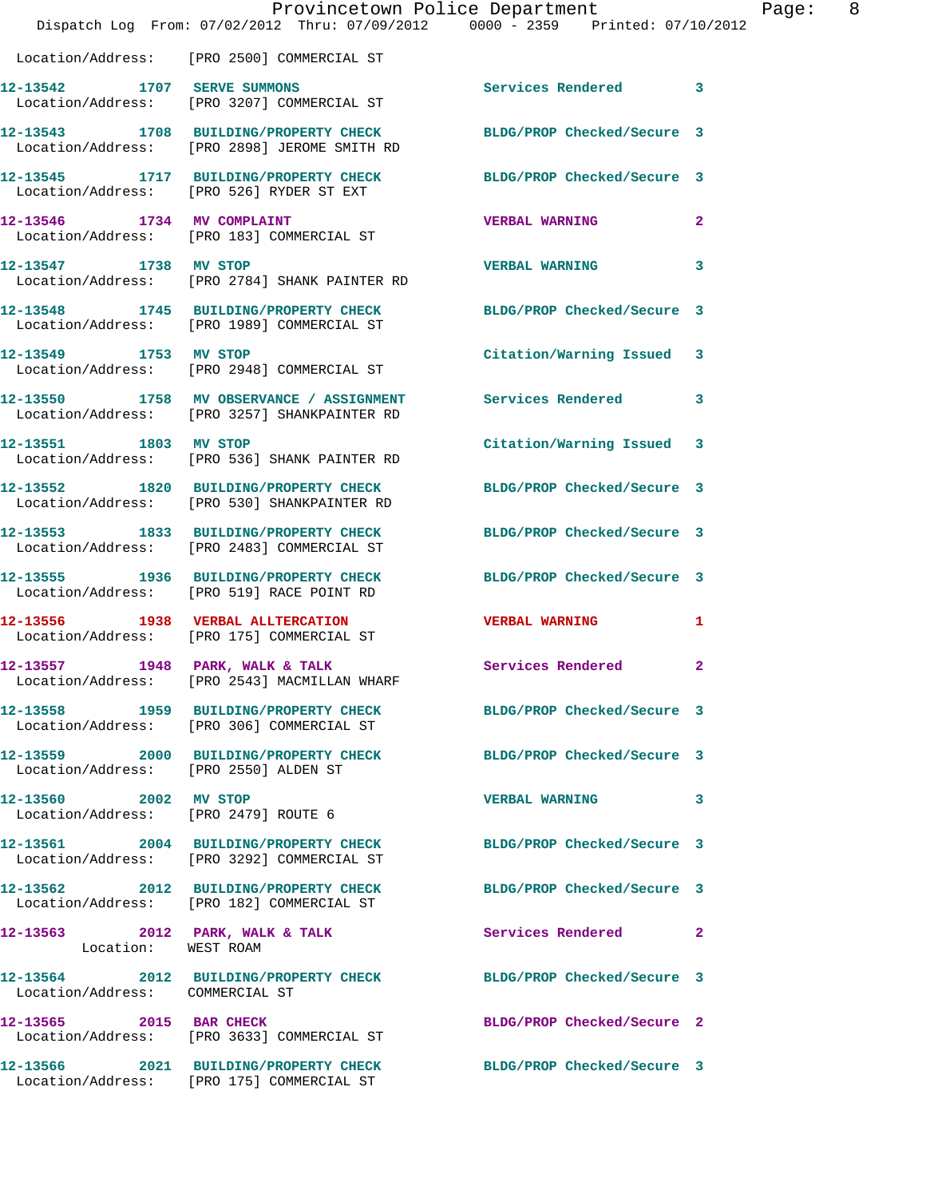|                                       | Provincetown Police Department<br>Dispatch Log From: 07/02/2012 Thru: 07/09/2012 0000 - 2359 Printed: 07/10/2012 |                            | Page: 8 |
|---------------------------------------|------------------------------------------------------------------------------------------------------------------|----------------------------|---------|
|                                       | Location/Address: [PRO 2500] COMMERCIAL ST                                                                       |                            |         |
|                                       | 12-13542 1707 SERVE SUMMONS<br>Location/Address: [PRO 3207] COMMERCIAL ST                                        | Services Rendered 3        |         |
|                                       | 12-13543 1708 BUILDING/PROPERTY CHECK BLDG/PROP Checked/Secure 3<br>Location/Address: [PRO 2898] JEROME SMITH RD |                            |         |
|                                       | 12-13545 1717 BUILDING/PROPERTY CHECK BLDG/PROP Checked/Secure 3<br>Location/Address: [PRO 526] RYDER ST EXT     |                            |         |
|                                       | 12-13546 1734 MV COMPLAINT<br>Location/Address: [PRO 183] COMMERCIAL ST                                          | <b>VERBAL WARNING 2</b>    |         |
|                                       | 12-13547 1738 MV STOP<br>Location/Address: [PRO 2784] SHANK PAINTER RD                                           | VERBAL WARNING 3           |         |
|                                       | 12-13548 1745 BUILDING/PROPERTY CHECK BLDG/PROP Checked/Secure 3<br>Location/Address: [PRO 1989] COMMERCIAL ST   |                            |         |
|                                       | 12-13549 1753 MV STOP<br>Location/Address: [PRO 2948] COMMERCIAL ST                                              | Citation/Warning Issued 3  |         |
|                                       | 12-13550 1758 MV OBSERVANCE / ASSIGNMENT Services Rendered 3<br>Location/Address: [PRO 3257] SHANKPAINTER RD     |                            |         |
|                                       | 12-13551 1803 MV STOP<br>Location/Address: [PRO 536] SHANK PAINTER RD                                            | Citation/Warning Issued 3  |         |
|                                       | 12-13552 1820 BUILDING/PROPERTY CHECK<br>Location/Address: [PRO 530] SHANKPAINTER RD                             | BLDG/PROP Checked/Secure 3 |         |
|                                       | 12-13553 1833 BUILDING/PROPERTY CHECK<br>Location/Address: [PRO 2483] COMMERCIAL ST                              | BLDG/PROP Checked/Secure 3 |         |
|                                       | 12-13555 1936 BUILDING/PROPERTY CHECK BLDG/PROP Checked/Secure 3<br>Location/Address: [PRO 519] RACE POINT RD    |                            |         |
|                                       | 12-13556 1938 VERBAL ALLTERCATION CERBAL WARNING 1<br>Location/Address: [PRO 175] COMMERCIAL ST                  |                            |         |
| 12-13557                              | 1948 PARK, WALK & TALK<br>Location/Address: [PRO 2543] MACMILLAN WHARF                                           | Services Rendered          | 2       |
|                                       | 12-13558 1959 BUILDING/PROPERTY CHECK BLDG/PROP Checked/Secure 3<br>Location/Address: [PRO 306] COMMERCIAL ST    |                            |         |
| Location/Address: [PRO 2550] ALDEN ST | 12-13559 2000 BUILDING/PROPERTY CHECK BLDG/PROP Checked/Secure 3                                                 |                            |         |
| 12-13560 2002 MV STOP                 | Location/Address: [PRO 2479] ROUTE 6                                                                             | VERBAL WARNING 3           |         |
|                                       | 12-13561 2004 BUILDING/PROPERTY CHECK BLDG/PROP Checked/Secure 3<br>Location/Address: [PRO 3292] COMMERCIAL ST   |                            |         |
|                                       | 12-13562 2012 BUILDING/PROPERTY CHECK BLDG/PROP Checked/Secure 3<br>Location/Address: [PRO 182] COMMERCIAL ST    |                            |         |
| Location: WEST ROAM                   | 12-13563 2012 PARK, WALK & TALK                                                                                  | Services Rendered 2        |         |
| Location/Address: COMMERCIAL ST       | 12-13564 2012 BUILDING/PROPERTY CHECK BLDG/PROP Checked/Secure 3                                                 |                            |         |
|                                       | 12-13565 2015 BAR CHECK<br>Location/Address: [PRO 3633] COMMERCIAL ST                                            | BLDG/PROP Checked/Secure 2 |         |
|                                       | 12-13566 2021 BUILDING/PROPERTY CHECK BLDG/PROP Checked/Secure 3<br>Location/Address: [PRO 175] COMMERCIAL ST    |                            |         |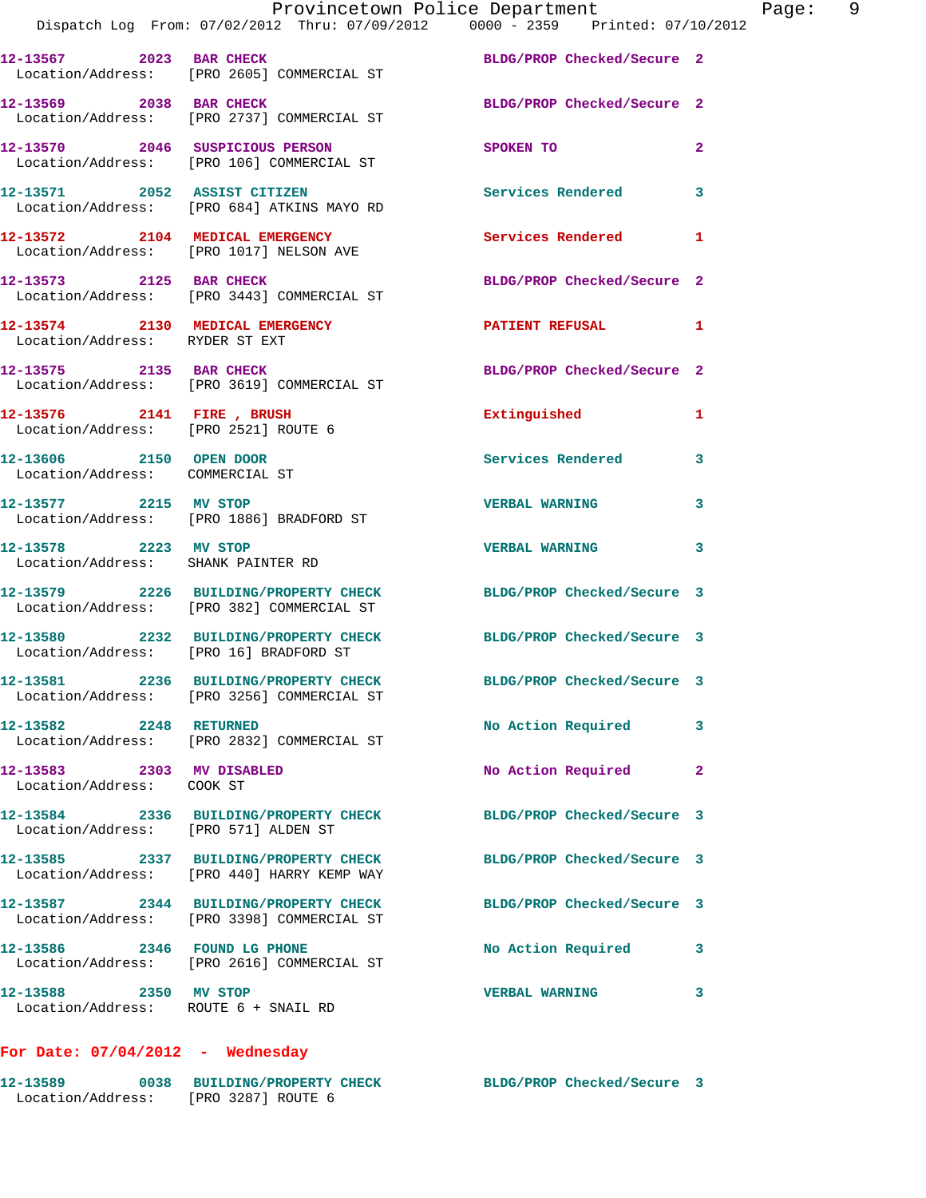|                                                               | Provincetown Police Department<br>Dispatch Log From: 07/02/2012 Thru: 07/09/2012 0000 - 2359 Printed: 07/10/2012 |                            | Page: 9        |
|---------------------------------------------------------------|------------------------------------------------------------------------------------------------------------------|----------------------------|----------------|
|                                                               | 12-13567 2023 BAR CHECK BLDG/PROP Checked/Secure 2<br>Location/Address: [PRO 2605] COMMERCIAL ST                 |                            |                |
|                                                               | 12-13569 2038 BAR CHECK<br>Location/Address: [PRO 2737] COMMERCIAL ST                                            | BLDG/PROP Checked/Secure 2 |                |
|                                                               | 12-13570 2046 SUSPICIOUS PERSON<br>Location/Address: [PRO 106] COMMERCIAL ST                                     | <b>SPOKEN TO</b>           | $\overline{a}$ |
|                                                               | 12-13571 2052 ASSIST CITIZEN<br>Location/Address: [PRO 684] ATKINS MAYO RD                                       | Services Rendered 3        |                |
|                                                               | 12-13572 2104 MEDICAL EMERGENCY Services Rendered<br>Location/Address: [PRO 1017] NELSON AVE                     |                            | $\mathbf{1}$   |
|                                                               | 12-13573 2125 BAR CHECK<br>Location/Address: [PRO 3443] COMMERCIAL ST                                            | BLDG/PROP Checked/Secure 2 |                |
| Location/Address: RYDER ST EXT                                | 12-13574 2130 MEDICAL EMERGENCY PATIENT REFUSAL 1                                                                |                            |                |
|                                                               | 12-13575 2135 BAR CHECK BLDG/PROP Checked/Secure 2<br>Location/Address: [PRO 3619] COMMERCIAL ST                 |                            |                |
|                                                               |                                                                                                                  | Extinguished 1             |                |
| 12-13606 2150 OPEN DOOR<br>Location/Address: COMMERCIAL ST    |                                                                                                                  | Services Rendered          | 3              |
|                                                               | 12-13577 2215 MV STOP<br>Location/Address: [PRO 1886] BRADFORD ST                                                | <b>VERBAL WARNING</b>      | 3              |
| 12-13578 2223 MV STOP                                         | Location/Address: SHANK PAINTER RD                                                                               | <b>VERBAL WARNING</b>      | 3              |
|                                                               | 12-13579 2226 BUILDING/PROPERTY CHECK BLDG/PROP Checked/Secure 3<br>Location/Address: [PRO 382] COMMERCIAL ST    |                            |                |
| Location/Address: [PRO 16] BRADFORD ST                        | 12-13580 2232 BUILDING/PROPERTY CHECK BLDG/PROP Checked/Secure 3                                                 |                            |                |
|                                                               | 12-13581 2236 BUILDING/PROPERTY CHECK<br>Location/Address: [PRO 3256] COMMERCIAL ST                              | BLDG/PROP Checked/Secure 3 |                |
| 12-13582 2248 RETURNED                                        | Location/Address: [PRO 2832] COMMERCIAL ST                                                                       | No Action Required         | 3              |
| 12-13583 2303 MV DISABLED<br>Location/Address: COOK ST        |                                                                                                                  | No Action Required         | 2              |
| Location/Address: [PRO 571] ALDEN ST                          | 12-13584 2336 BUILDING/PROPERTY CHECK BLDG/PROP Checked/Secure 3                                                 |                            |                |
|                                                               | 12-13585 2337 BUILDING/PROPERTY CHECK<br>Location/Address: [PRO 440] HARRY KEMP WAY                              | BLDG/PROP Checked/Secure 3 |                |
|                                                               | 12-13587 2344 BUILDING/PROPERTY CHECK<br>Location/Address: [PRO 3398] COMMERCIAL ST                              | BLDG/PROP Checked/Secure 3 |                |
|                                                               | 12-13586 2346 FOUND LG PHONE<br>Location/Address: [PRO 2616] COMMERCIAL ST                                       | No Action Required         | 3              |
| 12-13588 2350 MV STOP<br>Location/Address: ROUTE 6 + SNAIL RD |                                                                                                                  | <b>VERBAL WARNING</b>      | 3              |
|                                                               |                                                                                                                  |                            |                |

## **For Date: 07/04/2012 - Wednesday**

| 12-13589          | 0038 BUILDING/PROPERTY CHECK | BLDG/PROP Checked/Secure 3 |  |
|-------------------|------------------------------|----------------------------|--|
| Location/Address: | FRO 32871 ROUTE 6            |                            |  |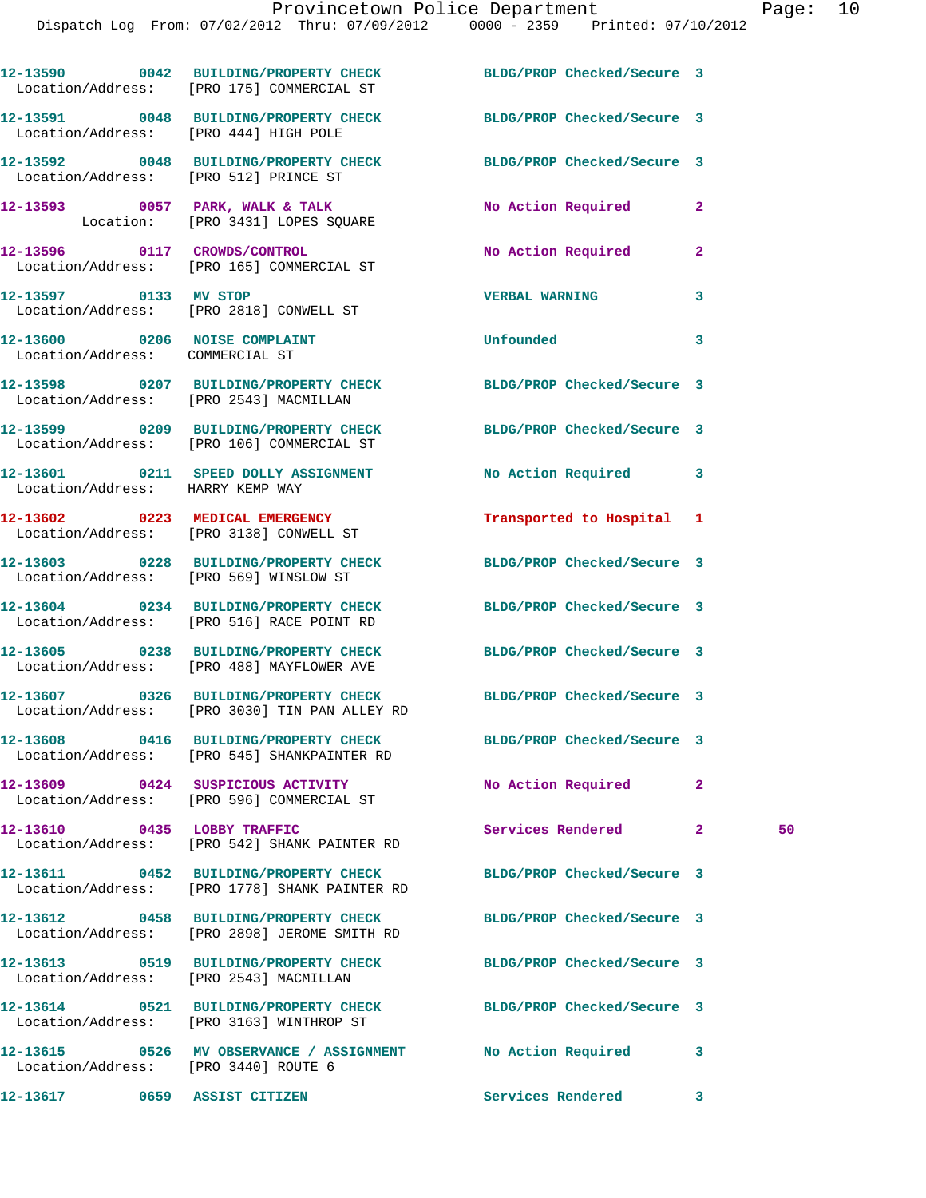|                                      | 12-13590 0042 BUILDING/PROPERTY CHECK<br>Location/Address: [PRO 175] COMMERCIAL ST                                | BLDG/PROP Checked/Secure 3 |              |    |
|--------------------------------------|-------------------------------------------------------------------------------------------------------------------|----------------------------|--------------|----|
|                                      | 12-13591 0048 BUILDING/PROPERTY CHECK BLDG/PROP Checked/Secure 3<br>Location/Address: [PRO 444] HIGH POLE         |                            |              |    |
|                                      | 12-13592 0048 BUILDING/PROPERTY CHECK BLDG/PROP Checked/Secure 3<br>Location/Address: [PRO 512] PRINCE ST         |                            |              |    |
|                                      | 12-13593 0057 PARK, WALK & TALK<br>Location: [PRO 3431] LOPES SQUARE                                              | No Action Required         | $\mathbf{2}$ |    |
|                                      | 12-13596 0117 CROWDS/CONTROL<br>Location/Address: [PRO 165] COMMERCIAL ST                                         | No Action Required         | $\mathbf{2}$ |    |
| 12-13597 0133 MV STOP                | Location/Address: [PRO 2818] CONWELL ST                                                                           | <b>VERBAL WARNING</b>      | 3            |    |
| Location/Address: COMMERCIAL ST      | 12-13600 0206 NOISE COMPLAINT                                                                                     | <b>Unfounded</b>           | 3            |    |
|                                      | 12-13598 0207 BUILDING/PROPERTY CHECK BLDG/PROP Checked/Secure 3<br>Location/Address: [PRO 2543] MACMILLAN        |                            |              |    |
|                                      | 12-13599 0209 BUILDING/PROPERTY CHECK BLDG/PROP Checked/Secure 3<br>Location/Address: [PRO 106] COMMERCIAL ST     |                            |              |    |
| Location/Address: HARRY KEMP WAY     | 12-13601 0211 SPEED DOLLY ASSIGNMENT No Action Required 3                                                         |                            |              |    |
|                                      | 12-13602 0223 MEDICAL EMERGENCY<br>Location/Address: [PRO 3138] CONWELL ST                                        | Transported to Hospital 1  |              |    |
|                                      | 12-13603 0228 BUILDING/PROPERTY CHECK BLDG/PROP Checked/Secure 3<br>Location/Address: [PRO 569] WINSLOW ST        |                            |              |    |
|                                      | 12-13604 0234 BUILDING/PROPERTY CHECK<br>Location/Address: [PRO 516] RACE POINT RD                                | BLDG/PROP Checked/Secure 3 |              |    |
|                                      | 12-13605 0238 BUILDING/PROPERTY CHECK<br>Location/Address: [PRO 488] MAYFLOWER AVE                                | BLDG/PROP Checked/Secure 3 |              |    |
|                                      | 12-13607 0326 BUILDING/PROPERTY CHECK BLDG/PROP Checked/Secure 3<br>Location/Address: [PRO 3030] TIN PAN ALLEY RD |                            |              |    |
|                                      | 12-13608 0416 BUILDING/PROPERTY CHECK BLDG/PROP Checked/Secure 3<br>Location/Address: [PRO 545] SHANKPAINTER RD   |                            |              |    |
|                                      | 12-13609 0424 SUSPICIOUS ACTIVITY<br>Location/Address: [PRO 596] COMMERCIAL ST                                    | No Action Required         | $\mathbf{2}$ |    |
| 12-13610 0435 LOBBY TRAFFIC          | Location/Address: [PRO 542] SHANK PAINTER RD                                                                      | Services Rendered          | $\mathbf{2}$ | 50 |
|                                      | 12-13611 0452 BUILDING/PROPERTY CHECK<br>Location/Address: [PRO 1778] SHANK PAINTER RD                            | BLDG/PROP Checked/Secure 3 |              |    |
|                                      | 12-13612 0458 BUILDING/PROPERTY CHECK<br>Location/Address: [PRO 2898] JEROME SMITH RD                             | BLDG/PROP Checked/Secure 3 |              |    |
|                                      | 12-13613 0519 BUILDING/PROPERTY CHECK<br>Location/Address: [PRO 2543] MACMILLAN                                   | BLDG/PROP Checked/Secure 3 |              |    |
|                                      | 12-13614 0521 BUILDING/PROPERTY CHECK<br>Location/Address: [PRO 3163] WINTHROP ST                                 | BLDG/PROP Checked/Secure 3 |              |    |
| Location/Address: [PRO 3440] ROUTE 6 | 12-13615 0526 MV OBSERVANCE / ASSIGNMENT No Action Required                                                       |                            | 3            |    |
|                                      | 12-13617 0659 ASSIST CITIZEN                                                                                      | Services Rendered 3        |              |    |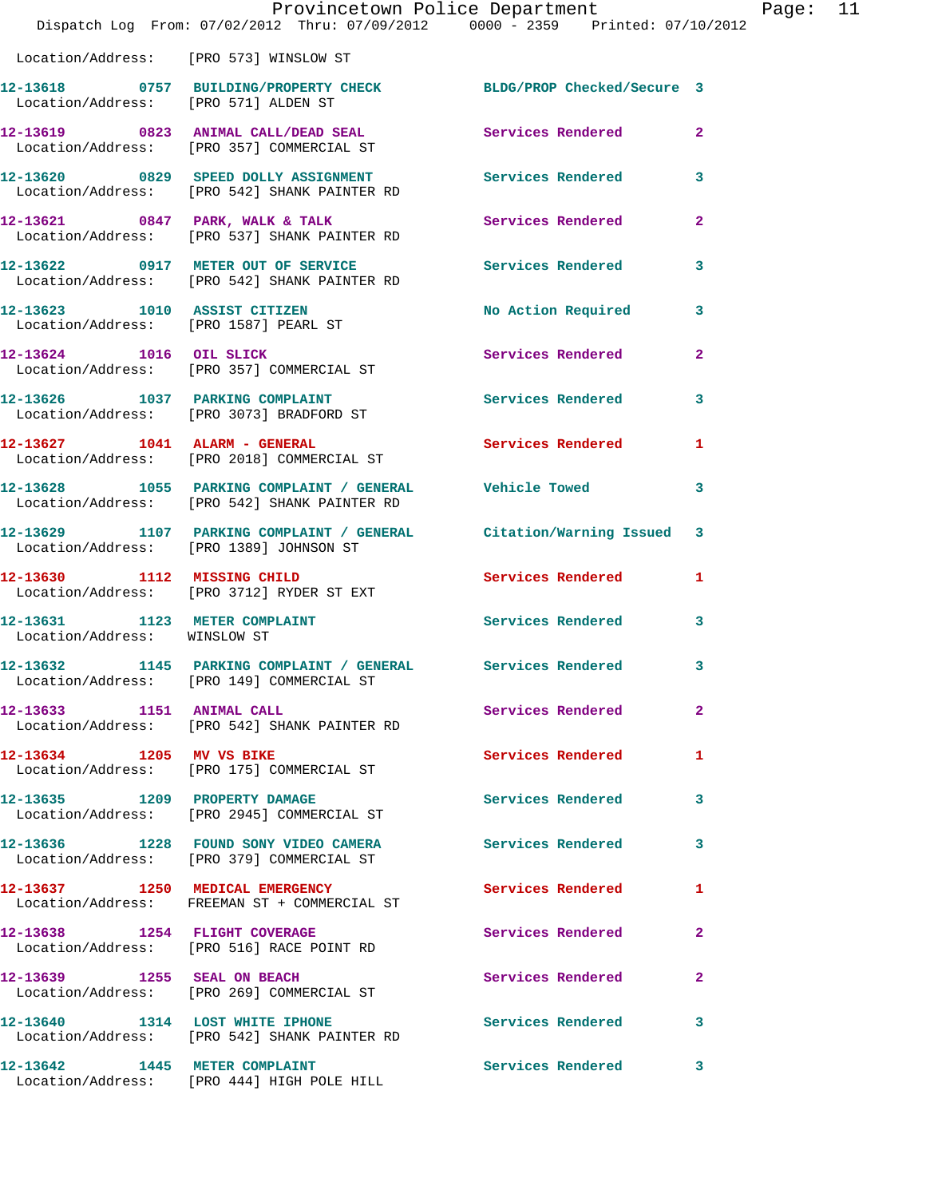|                               | Dispatch Log From: 07/02/2012 Thru: 07/09/2012 0000 - 2359 Printed: 07/10/2012                                 | Provincetown Police Department |                | Page: 11 |  |
|-------------------------------|----------------------------------------------------------------------------------------------------------------|--------------------------------|----------------|----------|--|
|                               | Location/Address: [PRO 573] WINSLOW ST                                                                         |                                |                |          |  |
|                               | 12-13618 0757 BUILDING/PROPERTY CHECK BLDG/PROP Checked/Secure 3<br>Location/Address: [PRO 571] ALDEN ST       |                                |                |          |  |
|                               | 12-13619 0823 ANIMAL CALL/DEAD SEAL<br>Location/Address: [PRO 357] COMMERCIAL ST                               | Services Rendered 2            |                |          |  |
|                               | 12-13620 0829 SPEED DOLLY ASSIGNMENT<br>Location/Address: [PRO 542] SHANK PAINTER RD                           | Services Rendered 3            |                |          |  |
|                               | 12-13621 0847 PARK, WALK & TALK<br>Location/Address: [PRO 537] SHANK PAINTER RD                                | Services Rendered              | $\overline{2}$ |          |  |
|                               | 12-13622 0917 METER OUT OF SERVICE<br>Location/Address: [PRO 542] SHANK PAINTER RD                             | Services Rendered              | 3              |          |  |
| 12-13623 1010 ASSIST CITIZEN  | Location/Address: [PRO 1587] PEARL ST                                                                          | No Action Required 3           |                |          |  |
|                               | 12-13624 1016 OIL SLICK<br>Location/Address: [PRO 357] COMMERCIAL ST                                           | Services Rendered 2            |                |          |  |
|                               | 12-13626 1037 PARKING COMPLAINT<br>Location/Address: [PRO 3073] BRADFORD ST                                    | Services Rendered              | 3              |          |  |
|                               | 12-13627 1041 ALARM - GENERAL<br>Location/Address: [PRO 2018] COMMERCIAL ST                                    | Services Rendered 1            |                |          |  |
|                               | 12-13628 1055 PARKING COMPLAINT / GENERAL Vehicle Towed<br>Location/Address: [PRO 542] SHANK PAINTER RD        |                                | 3              |          |  |
|                               | 12-13629 1107 PARKING COMPLAINT / GENERAL Citation/Warning Issued 3<br>Location/Address: [PRO 1389] JOHNSON ST |                                |                |          |  |
|                               | 12-13630 1112 MISSING CHILD<br>Location/Address: [PRO 3712] RYDER ST EXT                                       | Services Rendered              | $\mathbf{1}$   |          |  |
| Location/Address: WINSLOW ST  | 12-13631 1123 METER COMPLAINT                                                                                  | Services Rendered              | 3              |          |  |
|                               | 12-13632 1145 PARKING COMPLAINT / GENERAL Services Rendered<br>Location/Address: [PRO 149] COMMERCIAL ST       |                                | 3              |          |  |
| 12-13633 1151 ANIMAL CALL     | Location/Address: [PRO 542] SHANK PAINTER RD                                                                   | Services Rendered              | -2             |          |  |
|                               | 12-13634 1205 MV VS BIKE<br>Location/Address: [PRO 175] COMMERCIAL ST                                          | Services Rendered              | 1              |          |  |
|                               | 12-13635 1209 PROPERTY DAMAGE<br>Location/Address: [PRO 2945] COMMERCIAL ST                                    | Services Rendered 3            |                |          |  |
|                               | 12-13636 1228 FOUND SONY VIDEO CAMERA<br>Location/Address: [PRO 379] COMMERCIAL ST                             | <b>Services Rendered</b>       | 3              |          |  |
|                               | 12-13637 1250 MEDICAL EMERGENCY<br>Location/Address: FREEMAN ST + COMMERCIAL ST                                | Services Rendered              | 1              |          |  |
|                               | 12-13638 1254 FLIGHT COVERAGE<br>Location/Address: [PRO 516] RACE POINT RD                                     | Services Rendered              | 2              |          |  |
| 12-13639 1255 SEAL ON BEACH   | Location/Address: [PRO 269] COMMERCIAL ST                                                                      | Services Rendered              | 2              |          |  |
|                               | 12-13640 1314 LOST WHITE IPHONE<br>Location/Address: [PRO 542] SHANK PAINTER RD                                | Services Rendered              | 3              |          |  |
| 12-13642 1445 METER COMPLAINT | Location/Address: [PRO 444] HIGH POLE HILL                                                                     | <b>Services Rendered</b>       | 3              |          |  |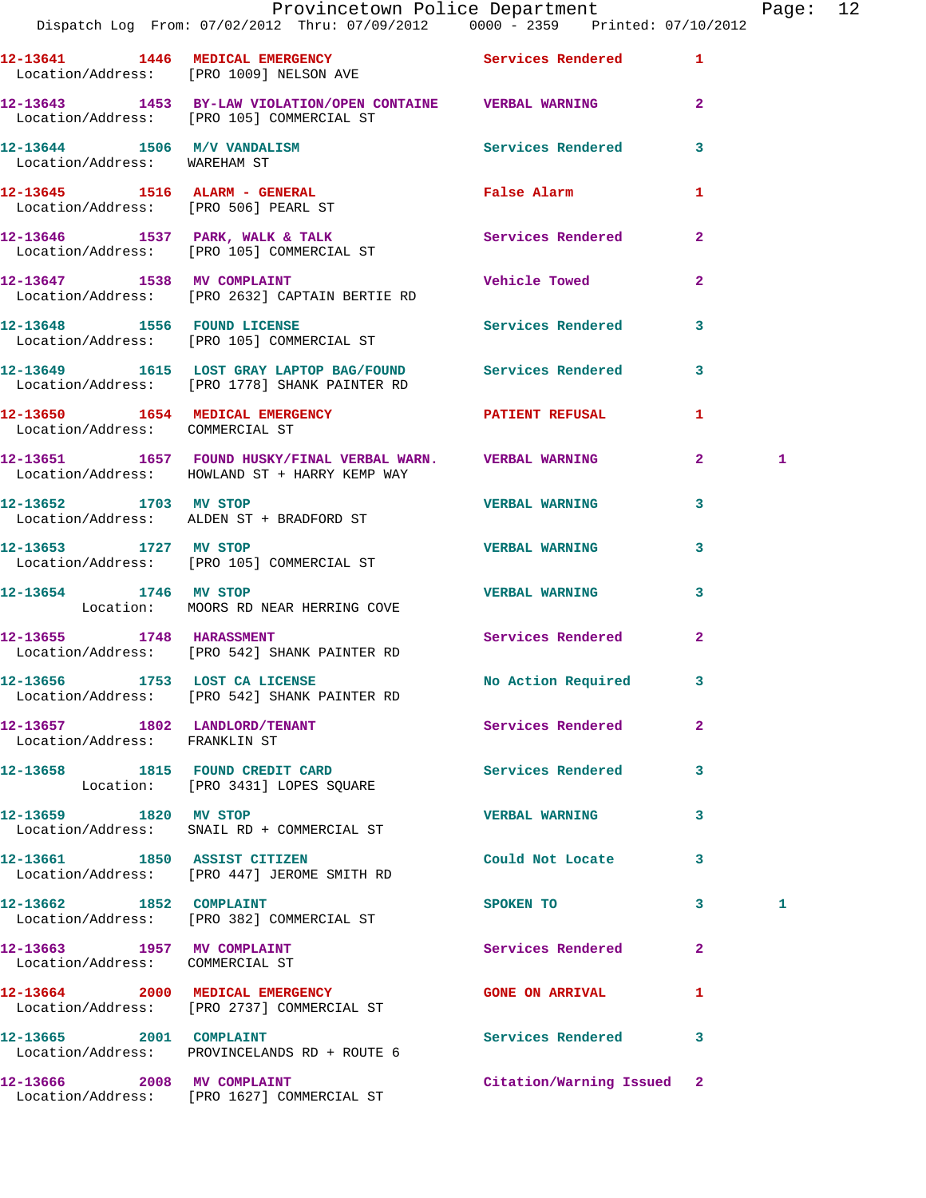|                                                                 | Provincetown Police Department                                                                                 |                           |                | Page: 12 |  |
|-----------------------------------------------------------------|----------------------------------------------------------------------------------------------------------------|---------------------------|----------------|----------|--|
|                                                                 | 12-13641 1446 MEDICAL EMERGENCY 1 Services Rendered 1<br>Location/Address: [PRO 1009] NELSON AVE               |                           |                |          |  |
|                                                                 | 12-13643   1453   BY-LAW VIOLATION/OPEN CONTAINE   VERBAL WARNING<br>Location/Address: [PRO 105] COMMERCIAL ST |                           | $\mathbf{2}$   |          |  |
| Location/Address: WAREHAM ST                                    | 12-13644 1506 M/V VANDALISM 1998 Services Rendered 3                                                           |                           |                |          |  |
|                                                                 | 12-13645   1516   ALARM - GENERAL<br>Location/Address: [PRO 506] PEARL ST                                      | False Alarm               | 1              |          |  |
|                                                                 | 12-13646 1537 PARK, WALK & TALK 1988 Services Rendered<br>Location/Address: [PRO 105] COMMERCIAL ST            |                           | $\mathbf{2}$   |          |  |
|                                                                 | 12-13647 1538 MV COMPLAINT<br>Location/Address: [PRO 2632] CAPTAIN BERTIE RD                                   | Vehicle Towed             | $\mathbf{2}$   |          |  |
|                                                                 | 12-13648 1556 FOUND LICENSE<br>Location/Address: [PRO 105] COMMERCIAL ST                                       | Services Rendered         | $\mathbf{3}$   |          |  |
|                                                                 | 12-13649 1615 LOST GRAY LAPTOP BAG/FOUND Services Rendered 3<br>Location/Address: [PRO 1778] SHANK PAINTER RD  |                           |                |          |  |
| Location/Address: COMMERCIAL ST                                 | 12-13650 1654 MEDICAL EMERGENCY PATIENT REFUSAL                                                                |                           | 1              |          |  |
|                                                                 | 12-13651 1657 FOUND HUSKY/FINAL VERBAL WARN. VERBAL WARNING<br>Location/Address: HOWLAND ST + HARRY KEMP WAY   |                           | 2 <sup>1</sup> | 1        |  |
|                                                                 | 12-13652 1703 MV STOP<br>Location/Address: ALDEN ST + BRADFORD ST                                              | <b>VERBAL WARNING</b>     | 3              |          |  |
| 12-13653 1727 MV STOP                                           | Location/Address: [PRO 105] COMMERCIAL ST                                                                      | <b>VERBAL WARNING</b>     | 3              |          |  |
|                                                                 | 12-13654 1746 MV STOP<br>Location: MOORS RD NEAR HERRING COVE                                                  | <b>VERBAL WARNING</b>     | 3              |          |  |
|                                                                 | 12-13655 1748 HARASSMENT<br>Location/Address: [PRO 542] SHANK PAINTER RD                                       | Services Rendered         | $\mathbf{2}$   |          |  |
|                                                                 | 12-13656 1753 LOST CA LICENSE<br>Location/Address: [PRO 542] SHANK PAINTER RD                                  | No Action Required 3      |                |          |  |
| 12-13657 1802 LANDLORD/TENANT<br>Location/Address: FRANKLIN ST  |                                                                                                                | Services Rendered         | $\mathbf{2}$   |          |  |
|                                                                 | 12-13658 1815 FOUND CREDIT CARD<br>Location: [PRO 3431] LOPES SQUARE                                           | Services Rendered         | 3              |          |  |
| 12-13659 1820 MV STOP                                           | Location/Address: SNAIL RD + COMMERCIAL ST                                                                     | <b>VERBAL WARNING</b>     | 3              |          |  |
|                                                                 | 12-13661 1850 ASSIST CITIZEN<br>Location/Address: [PRO 447] JEROME SMITH RD                                    | Could Not Locate          | 3              |          |  |
| 12-13662 1852 COMPLAINT                                         | Location/Address: [PRO 382] COMMERCIAL ST                                                                      | SPOKEN TO                 | $\mathbf{3}$   | 1        |  |
| $12-13663$ 1957 MV COMPLAINT<br>Location/Address: COMMERCIAL ST |                                                                                                                | Services Rendered         | $\mathbf{2}$   |          |  |
|                                                                 | 12-13664 2000 MEDICAL EMERGENCY<br>Location/Address: [PRO 2737] COMMERCIAL ST                                  | <b>GONE ON ARRIVAL</b>    | 1              |          |  |
|                                                                 | 12-13665 2001 COMPLAINT<br>Location/Address: PROVINCELANDS RD + ROUTE 6                                        | Services Rendered         | 3              |          |  |
| 12-13666 2008 MV COMPLAINT                                      |                                                                                                                | Citation/Warning Issued 2 |                |          |  |

Location/Address: [PRO 1627] COMMERCIAL ST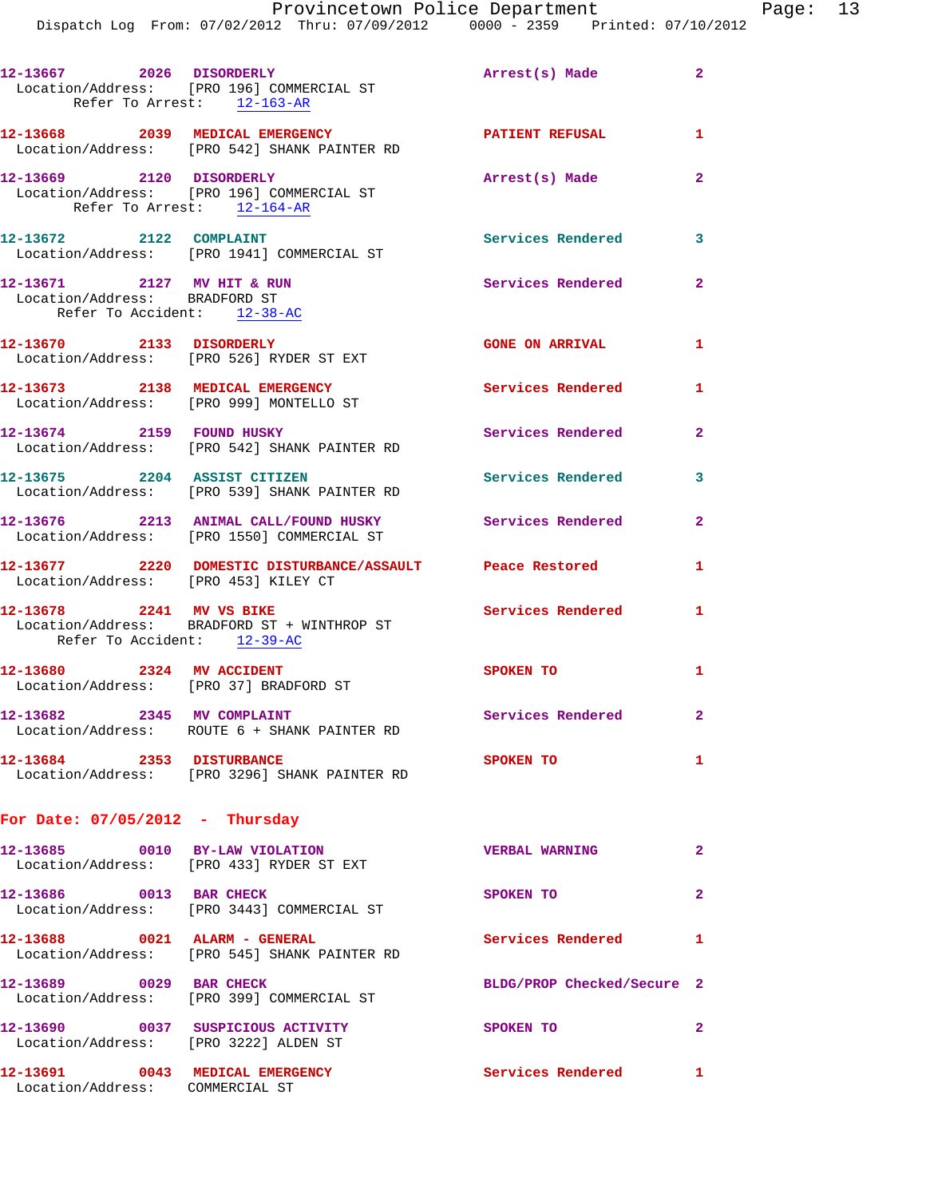| 12-13667 2026 DISORDERLY                                                                   | Location/Address: [PRO 196] COMMERCIAL ST<br>Refer To Arrest: 12-163-AR             | Arrest(s) Made 2           |                |
|--------------------------------------------------------------------------------------------|-------------------------------------------------------------------------------------|----------------------------|----------------|
|                                                                                            | 12-13668 2039 MEDICAL EMERGENCY<br>Location/Address: [PRO 542] SHANK PAINTER RD     | <b>PATIENT REFUSAL</b>     | $\mathbf{1}$   |
| 12-13669 2120 DISORDERLY                                                                   | Location/Address: [PRO 196] COMMERCIAL ST<br>Refer To Arrest: 12-164-AR             | Arrest(s) Made             | $\mathbf{2}$   |
| 12-13672 2122 COMPLAINT                                                                    | Location/Address: [PRO 1941] COMMERCIAL ST                                          | <b>Services Rendered</b>   | 3              |
| 12-13671 2127 MV HIT & RUN<br>Location/Address: BRADFORD ST<br>Refer To Accident: 12-38-AC |                                                                                     | Services Rendered          | $\overline{2}$ |
| 12-13670 2133 DISORDERLY                                                                   | Location/Address: [PRO 526] RYDER ST EXT                                            | <b>GONE ON ARRIVAL</b>     | 1              |
|                                                                                            | 12-13673 2138 MEDICAL EMERGENCY<br>Location/Address: [PRO 999] MONTELLO ST          | Services Rendered          | 1              |
|                                                                                            | 12-13674 2159 FOUND HUSKY<br>Location/Address: [PRO 542] SHANK PAINTER RD           | Services Rendered          | $\overline{a}$ |
|                                                                                            | 12-13675 2204 ASSIST CITIZEN<br>Location/Address: [PRO 539] SHANK PAINTER RD        | <b>Services Rendered</b>   | 3              |
|                                                                                            | 12-13676 2213 ANIMAL CALL/FOUND HUSKY<br>Location/Address: [PRO 1550] COMMERCIAL ST | <b>Services Rendered</b>   | $\overline{2}$ |
| Location/Address: [PRO 453] KILEY CT                                                       | 12-13677 2220 DOMESTIC DISTURBANCE/ASSAULT Peace Restored                           |                            | 1              |
| 12-13678 2241 MV VS BIKE<br>Refer To Accident: 12-39-AC                                    | Location/Address: BRADFORD ST + WINTHROP ST                                         | Services Rendered 1        |                |
| 12-13680 2324 MV ACCIDENT                                                                  | Location/Address: [PRO 37] BRADFORD ST                                              | SPOKEN TO                  | 1              |
| 12-13682 2345 MV COMPLAINT                                                                 | Location/Address: ROUTE 6 + SHANK PAINTER RD                                        | Services Rendered          | $\overline{2}$ |
| 12-13684 2353 DISTURBANCE                                                                  | Location/Address: [PRO 3296] SHANK PAINTER RD                                       | SPOKEN TO                  | $\mathbf{1}$   |
| For Date: $07/05/2012$ - Thursday                                                          |                                                                                     |                            |                |
| 12-13685 0010 BY-LAW VIOLATION                                                             | Location/Address: [PRO 433] RYDER ST EXT                                            | VERBAL WARNING             | $\mathbf{2}$   |
| 12-13686 0013 BAR CHECK                                                                    | Location/Address: [PRO 3443] COMMERCIAL ST                                          | SPOKEN TO                  | $\overline{2}$ |
| 12-13688 0021 ALARM - GENERAL                                                              | Location/Address: [PRO 545] SHANK PAINTER RD                                        | <b>Services Rendered</b>   | $\mathbf{1}$   |
| 12-13689 0029 BAR CHECK                                                                    | Location/Address: [PRO 399] COMMERCIAL ST                                           | BLDG/PROP Checked/Secure 2 |                |
| Location/Address: [PRO 3222] ALDEN ST                                                      | 12-13690 0037 SUSPICIOUS ACTIVITY                                                   | SPOKEN TO                  | $\mathbf{2}$   |
| 12-13691 0043 MEDICAL EMERGENCY<br>Location/Address: COMMERCIAL ST                         |                                                                                     | <b>Services Rendered</b>   | $\mathbf{1}$   |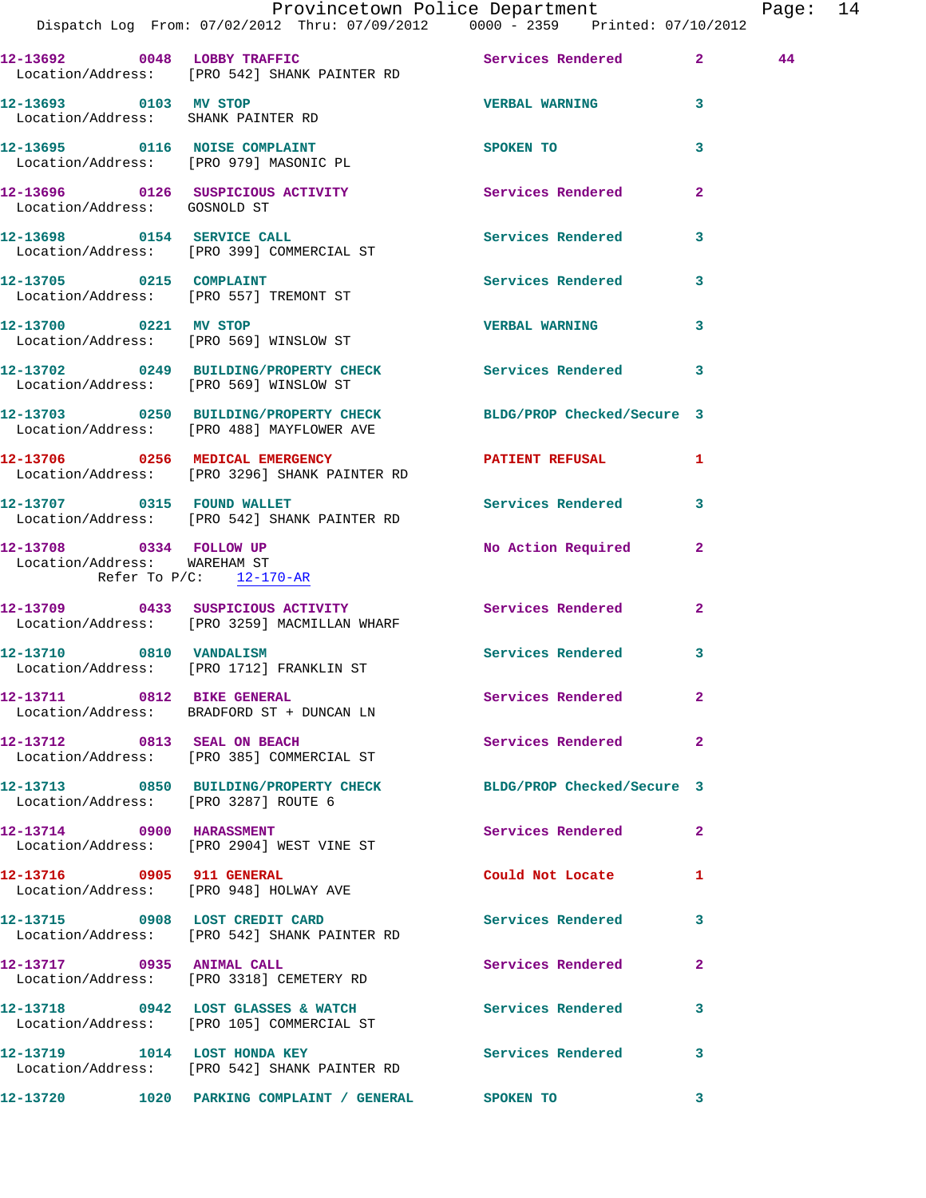|                                                             | Provincetown Police Department                                                                                |                            |                | Page: 14 |  |
|-------------------------------------------------------------|---------------------------------------------------------------------------------------------------------------|----------------------------|----------------|----------|--|
|                                                             | 12-13692 0048 LOBBY TRAFFIC Services Rendered 2<br>Location/Address: [PRO 542] SHANK PAINTER RD               |                            |                | 44       |  |
| 12-13693 0103 MV STOP<br>Location/Address: SHANK PAINTER RD |                                                                                                               | <b>VERBAL WARNING 3</b>    |                |          |  |
|                                                             | 12-13695 0116 NOISE COMPLAINT<br>Location/Address: [PRO 979] MASONIC PL                                       | SPOKEN TO                  | 3              |          |  |
| Location/Address: GOSNOLD ST                                | 12-13696 0126 SUSPICIOUS ACTIVITY Services Rendered                                                           |                            | $\overline{2}$ |          |  |
|                                                             | 12-13698 0154 SERVICE CALL<br>Location/Address: [PRO 399] COMMERCIAL ST                                       | Services Rendered 3        |                |          |  |
|                                                             | 12-13705 0215 COMPLAINT<br>Location/Address: [PRO 557] TREMONT ST                                             | Services Rendered          | $\mathbf{3}$   |          |  |
| 12-13700 0221 MV STOP                                       | Location/Address: [PRO 569] WINSLOW ST                                                                        | <b>VERBAL WARNING</b>      | $\mathbf{3}$   |          |  |
| Location/Address: [PRO 569] WINSLOW ST                      | 12-13702 0249 BUILDING/PROPERTY CHECK Services Rendered 3                                                     |                            |                |          |  |
|                                                             | 12-13703 0250 BUILDING/PROPERTY CHECK BLDG/PROP Checked/Secure 3<br>Location/Address: [PRO 488] MAYFLOWER AVE |                            |                |          |  |
|                                                             | 12-13706 0256 MEDICAL EMERGENCY PATIENT REFUSAL 1<br>Location/Address: [PRO 3296] SHANK PAINTER RD            |                            |                |          |  |
|                                                             | 12-13707 0315 FOUND WALLET<br>Location/Address: [PRO 542] SHANK PAINTER RD                                    | Services Rendered 3        |                |          |  |
| Location/Address: WAREHAM ST<br>Refer To $P/C$ : 12-170-AR  | 12-13708 0334 FOLLOW UP                                                                                       | No Action Required         | $\mathbf{2}$   |          |  |
|                                                             | 12-13709 0433 SUSPICIOUS ACTIVITY Services Rendered<br>Location/Address: [PRO 3259] MACMILLAN WHARF           |                            | $\mathbf{2}$   |          |  |
|                                                             | 12-13710 0810 VANDALISM<br>Location/Address: [PRO 1712] FRANKLIN ST                                           | Services Rendered 3        |                |          |  |
|                                                             | 12-13711 0812 BIKE GENERAL<br>Location/Address: BRADFORD ST + DUNCAN LN                                       | Services Rendered 2        |                |          |  |
|                                                             | 12-13712 0813 SEAL ON BEACH<br>Location/Address: [PRO 385] COMMERCIAL ST                                      | Services Rendered 2        |                |          |  |
| Location/Address: [PRO 3287] ROUTE 6                        | 12-13713 0850 BUILDING/PROPERTY CHECK BLDG/PROP Checked/Secure 3                                              |                            |                |          |  |
|                                                             | 12-13714 0900 HARASSMENT<br>Location/Address: [PRO 2904] WEST VINE ST                                         | Services Rendered 2        |                |          |  |
| 12-13716 0905 911 GENERAL                                   | Location/Address: [PRO 948] HOLWAY AVE                                                                        | Could Not Locate 1         |                |          |  |
|                                                             | 12-13715 0908 LOST CREDIT CARD<br>Location/Address: [PRO 542] SHANK PAINTER RD                                | Services Rendered 3        |                |          |  |
| 12-13717 0935 ANIMAL CALL                                   | Location/Address: [PRO 3318] CEMETERY RD                                                                      | Services Rendered 2        |                |          |  |
|                                                             | 12-13718 0942 LOST GLASSES & WATCH<br>Location/Address: [PRO 105] COMMERCIAL ST                               | Services Rendered 3        |                |          |  |
|                                                             | 12-13719 1014 LOST HONDA KEY<br>Location/Address: [PRO 542] SHANK PAINTER RD                                  | <b>Services Rendered</b> 3 |                |          |  |
|                                                             |                                                                                                               |                            |                |          |  |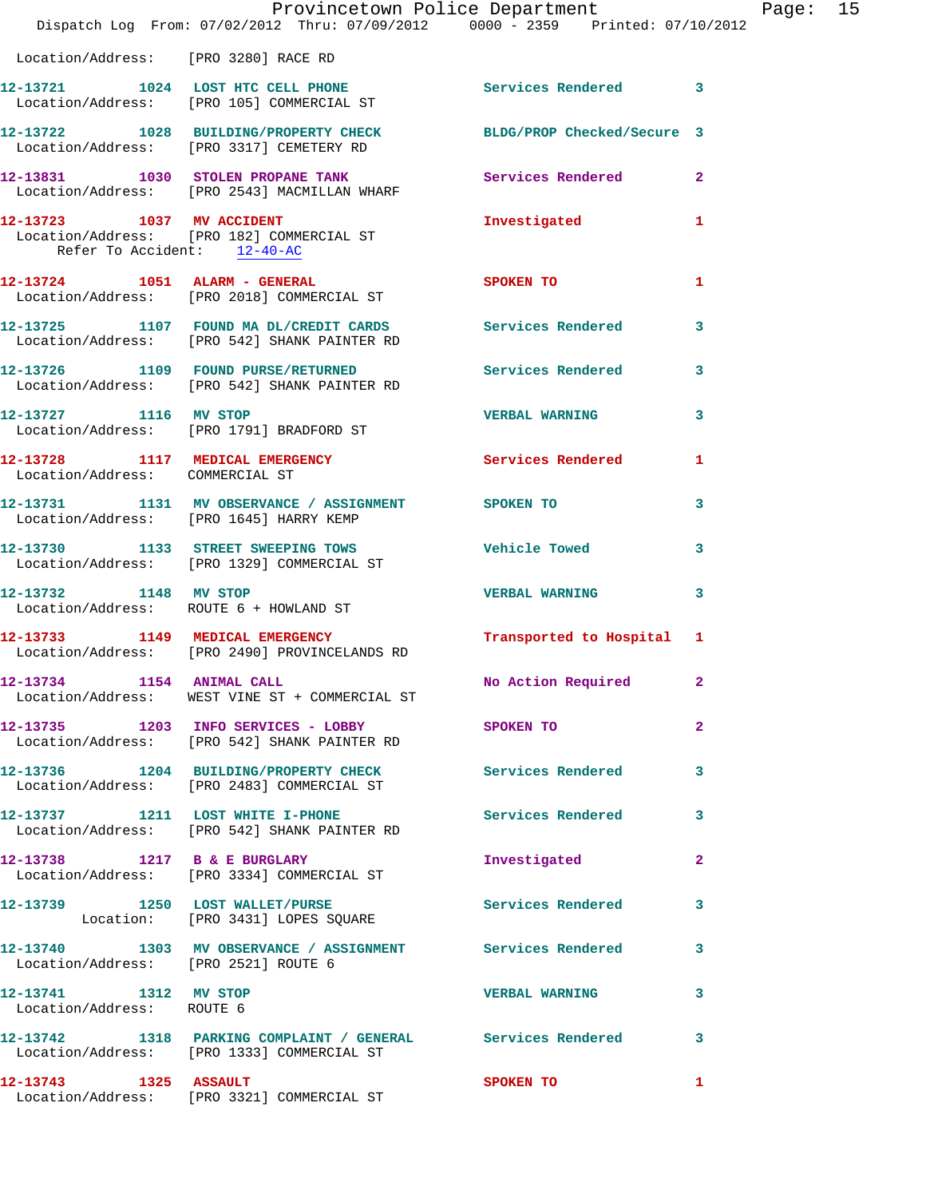|                                                    | Provincetown Police Department<br>Dispatch Log From: 07/02/2012 Thru: 07/09/2012 0000 - 2359 Printed: 07/10/2012 |                          |                |
|----------------------------------------------------|------------------------------------------------------------------------------------------------------------------|--------------------------|----------------|
| Location/Address: [PRO 3280] RACE RD               |                                                                                                                  |                          |                |
|                                                    | 12-13721 1024 LOST HTC CELL PHONE Services Rendered 3<br>Location/Address: [PRO 105] COMMERCIAL ST               |                          |                |
|                                                    | 12-13722 1028 BUILDING/PROPERTY CHECK BLDG/PROP Checked/Secure 3<br>Location/Address: [PRO 3317] CEMETERY RD     |                          |                |
|                                                    | 12-13831 1030 STOLEN PROPANE TANK<br>Location/Address: [PRO 2543] MACMILLAN WHARF                                | Services Rendered        | $\overline{2}$ |
| Refer To Accident: 12-40-AC                        | 12-13723 1037 MV ACCIDENT<br>Location/Address: [PRO 182] COMMERCIAL ST                                           | Investigated             | 1              |
|                                                    | 12-13724 1051 ALARM - GENERAL<br>Location/Address: [PRO 2018] COMMERCIAL ST                                      | SPOKEN TO                | 1              |
|                                                    | 12-13725 1107 FOUND MA DL/CREDIT CARDS Services Rendered<br>Location/Address: [PRO 542] SHANK PAINTER RD         |                          | 3              |
|                                                    | 12-13726 1109 FOUND PURSE/RETURNED Services Rendered<br>Location/Address: [PRO 542] SHANK PAINTER RD             |                          | 3              |
|                                                    | 12-13727 1116 MV STOP<br>Location/Address: [PRO 1791] BRADFORD ST                                                | <b>VERBAL WARNING</b>    | 3              |
| Location/Address: COMMERCIAL ST                    | 12-13728 1117 MEDICAL EMERGENCY Services Rendered                                                                |                          | 1              |
|                                                    | 12-13731 1131 MV OBSERVANCE / ASSIGNMENT SPOKEN TO<br>Location/Address: [PRO 1645] HARRY KEMP                    |                          | 3              |
|                                                    | 12-13730 1133 STREET SWEEPING TOWS<br>Location/Address: [PRO 1329] COMMERCIAL ST                                 | <b>Vehicle Towed</b>     | 3              |
| 12-13732 1148 MV STOP                              | Location/Address: ROUTE 6 + HOWLAND ST                                                                           | <b>VERBAL WARNING</b>    | 3              |
|                                                    | 12-13733 1149 MEDICAL EMERGENCY<br>Location/Address: [PRO 2490] PROVINCELANDS RD                                 | Transported to Hospital  | 1              |
| 12-13734 1154 ANIMAL CALL                          | Location/Address: WEST VINE ST + COMMERCIAL ST                                                                   | No Action Required       | $\mathbf{2}$   |
|                                                    | 12-13735 1203 INFO SERVICES - LOBBY<br>Location/Address: [PRO 542] SHANK PAINTER RD                              | <b>SPOKEN TO</b>         | $\overline{2}$ |
|                                                    | 12-13736 1204 BUILDING/PROPERTY CHECK<br>Location/Address: [PRO 2483] COMMERCIAL ST                              | <b>Services Rendered</b> | 3              |
|                                                    | 12-13737 1211 LOST WHITE I-PHONE<br>Location/Address: [PRO 542] SHANK PAINTER RD                                 | Services Rendered        | 3              |
|                                                    | 12-13738 1217 B & E BURGLARY<br>Location/Address: [PRO 3334] COMMERCIAL ST                                       | Investigated             | $\mathbf{2}$   |
|                                                    | 12-13739 1250 LOST WALLET/PURSE<br>Location: [PRO 3431] LOPES SQUARE                                             | Services Rendered        | 3              |
| Location/Address: [PRO 2521] ROUTE 6               | 12-13740 1303 MV OBSERVANCE / ASSIGNMENT Services Rendered                                                       |                          | 3              |
| 12-13741 1312 MV STOP<br>Location/Address: ROUTE 6 |                                                                                                                  | <b>VERBAL WARNING</b>    | 3              |
|                                                    | 12-13742 1318 PARKING COMPLAINT / GENERAL Services Rendered<br>Location/Address: [PRO 1333] COMMERCIAL ST        |                          | 3              |
| 12-13743 1325 ASSAULT                              | Location/Address: [PRO 3321] COMMERCIAL ST                                                                       | SPOKEN TO                | 1              |

Page: 15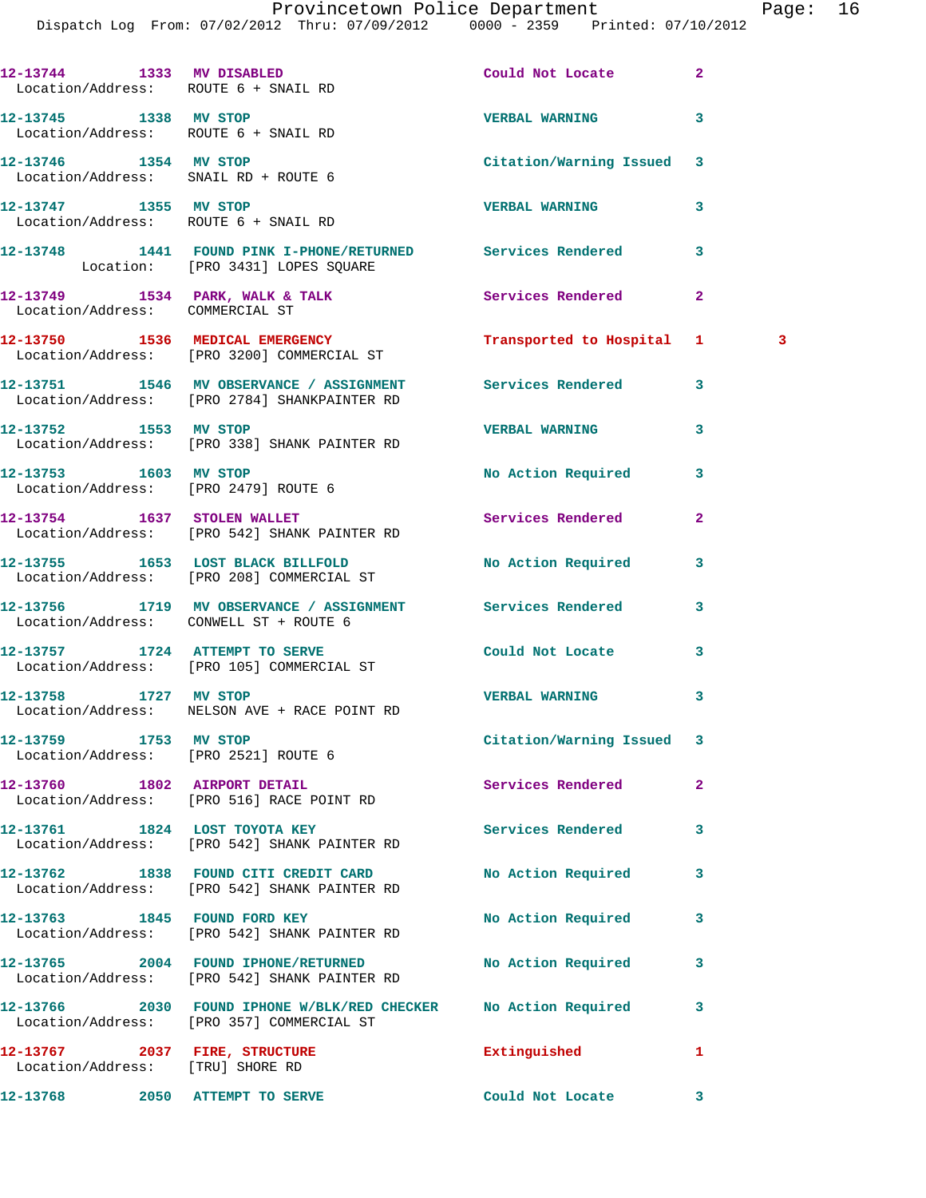Dispatch Log From: 07/02/2012 Thru: 07/09/2012 0000 - 2359 Printed: 07/10/2012

| Location/Address: ROUTE 6 + SNAIL RD                              | 12-13744 1333 MV DISABLED                                                                                    | Could Not Locate          | $\overline{a}$                          |
|-------------------------------------------------------------------|--------------------------------------------------------------------------------------------------------------|---------------------------|-----------------------------------------|
| 12-13745 1338 MV STOP<br>Location/Address: ROUTE 6 + SNAIL RD     |                                                                                                              | <b>VERBAL WARNING</b>     | 3                                       |
| 12-13746 1354 MV STOP<br>Location/Address: SNAIL RD + ROUTE 6     |                                                                                                              | Citation/Warning Issued 3 |                                         |
| 12-13747 1355 MV STOP<br>Location/Address: ROUTE 6 + SNAIL RD     |                                                                                                              | <b>VERBAL WARNING</b>     | 3                                       |
|                                                                   | 12-13748 1441 FOUND PINK I-PHONE/RETURNED Services Rendered<br>Location: [PRO 3431] LOPES SQUARE             |                           | 3                                       |
| Location/Address: COMMERCIAL ST                                   | 12-13749 1534 PARK, WALK & TALK 1999 Services Rendered                                                       |                           | $\overline{2}$                          |
|                                                                   | 12-13750 1536 MEDICAL EMERGENCY<br>Location/Address: [PRO 3200] COMMERCIAL ST                                | Transported to Hospital   | $\overline{\mathbf{3}}$<br>$\mathbf{1}$ |
|                                                                   | 12-13751 1546 MV OBSERVANCE / ASSIGNMENT Services Rendered<br>Location/Address: [PRO 2784] SHANKPAINTER RD   |                           | 3                                       |
|                                                                   | 12-13752 1553 MV STOP<br>Location/Address: [PRO 338] SHANK PAINTER RD                                        | <b>VERBAL WARNING</b>     | 3                                       |
| 12-13753 1603 MV STOP                                             | Location/Address: [PRO 2479] ROUTE 6                                                                         | No Action Required        | 3                                       |
|                                                                   | 12-13754 1637 STOLEN WALLET<br>Location/Address: [PRO 542] SHANK PAINTER RD                                  | <b>Services Rendered</b>  | $\overline{2}$                          |
|                                                                   | 12-13755 1653 LOST BLACK BILLFOLD No Action Required<br>Location/Address: [PRO 208] COMMERCIAL ST            |                           | 3                                       |
|                                                                   | 12-13756 1719 MV OBSERVANCE / ASSIGNMENT Services Rendered<br>Location/Address: CONWELL ST + ROUTE 6         |                           | 3                                       |
| 12-13757 1724 ATTEMPT TO SERVE                                    | Location/Address: [PRO 105] COMMERCIAL ST                                                                    | Could Not Locate          | 3                                       |
|                                                                   | 12-13758 1727 MV STOP<br>Location/Address: NELSON AVE + RACE POINT RD                                        | <b>VERBAL WARNING</b>     | 3                                       |
| 12-13759 1753 MV STOP                                             | Location/Address: [PRO 2521] ROUTE 6                                                                         | Citation/Warning Issued 3 |                                         |
|                                                                   | 12-13760 1802 AIRPORT DETAIL<br>Location/Address: [PRO 516] RACE POINT RD                                    | Services Rendered         | $\mathbf{2}$                            |
|                                                                   | 12-13761 1824 LOST TOYOTA KEY<br>Location/Address: [PRO 542] SHANK PAINTER RD                                | <b>Services Rendered</b>  | 3                                       |
|                                                                   | 12-13762 1838 FOUND CITI CREDIT CARD<br>Location/Address: [PRO 542] SHANK PAINTER RD                         | No Action Required        | 3                                       |
|                                                                   | 12-13763 1845 FOUND FORD KEY<br>Location/Address: [PRO 542] SHANK PAINTER RD                                 | No Action Required        | 3                                       |
|                                                                   | 12-13765 2004 FOUND IPHONE/RETURNED<br>Location/Address: [PRO 542] SHANK PAINTER RD                          | No Action Required        | 3                                       |
|                                                                   | 12-13766 2030 FOUND IPHONE W/BLK/RED CHECKER No Action Required<br>Location/Address: [PRO 357] COMMERCIAL ST |                           | 3                                       |
| 12-13767 2037 FIRE, STRUCTURE<br>Location/Address: [TRU] SHORE RD |                                                                                                              | Extinguished              | 1                                       |
| 12-13768 2050 ATTEMPT TO SERVE                                    |                                                                                                              | Could Not Locate          | 3                                       |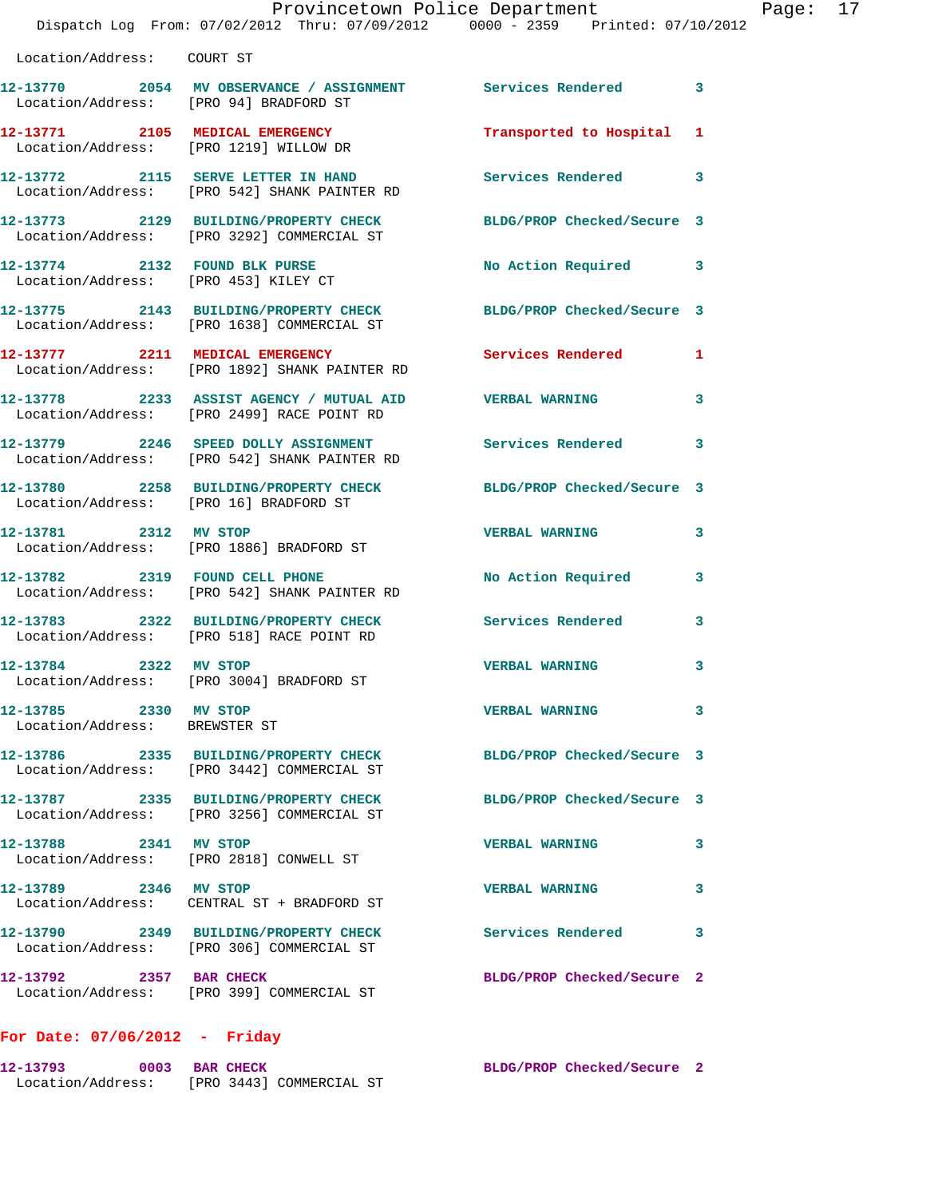| Location/Address: COURT ST                             |                                                                                                       |                            |   |
|--------------------------------------------------------|-------------------------------------------------------------------------------------------------------|----------------------------|---|
| Location/Address: [PRO 94] BRADFORD ST                 | 12-13770 2054 MV OBSERVANCE / ASSIGNMENT Services Rendered 3                                          |                            |   |
| 12-13771 2105 MEDICAL EMERGENCY                        | Location/Address: [PRO 1219] WILLOW DR                                                                | Transported to Hospital 1  |   |
|                                                        | 12-13772 2115 SERVE LETTER IN HAND<br>Location/Address: [PRO 542] SHANK PAINTER RD                    | Services Rendered 3        |   |
|                                                        | 12-13773 2129 BUILDING/PROPERTY CHECK<br>Location/Address: [PRO 3292] COMMERCIAL ST                   | BLDG/PROP Checked/Secure 3 |   |
| 12-13774 2132 FOUND BLK PURSE                          | Location/Address: [PRO 453] KILEY CT                                                                  | No Action Required         | 3 |
|                                                        | 12-13775 2143 BUILDING/PROPERTY CHECK<br>Location/Address: [PRO 1638] COMMERCIAL ST                   | BLDG/PROP Checked/Secure 3 |   |
|                                                        | 12-13777 2211 MEDICAL EMERGENCY<br>Location/Address: [PRO 1892] SHANK PAINTER RD                      | Services Rendered 1        |   |
|                                                        | 12-13778 2233 ASSIST AGENCY / MUTUAL AID VERBAL WARNING<br>Location/Address: [PRO 2499] RACE POINT RD |                            | 3 |
|                                                        | 12-13779 2246 SPEED DOLLY ASSIGNMENT<br>Location/Address: [PRO 542] SHANK PAINTER RD                  | Services Rendered 3        |   |
| Location/Address: [PRO 16] BRADFORD ST                 | 12-13780 2258 BUILDING/PROPERTY CHECK                                                                 | BLDG/PROP Checked/Secure 3 |   |
| 12-13781 2312 MV STOP                                  | Location/Address: [PRO 1886] BRADFORD ST                                                              | <b>VERBAL WARNING</b>      | 3 |
|                                                        | 12-13782 2319 FOUND CELL PHONE<br>Location/Address: [PRO 542] SHANK PAINTER RD                        | No Action Required         | 3 |
|                                                        | 12-13783 2322 BUILDING/PROPERTY CHECK<br>Location/Address: [PRO 518] RACE POINT RD                    | <b>Services Rendered</b>   | 3 |
|                                                        | 12-13784 2322 MV STOP<br>Location/Address: [PRO 3004] BRADFORD ST                                     | <b>VERBAL WARNING</b>      | 3 |
| 12-13785 2330 MV STOP<br>Location/Address: BREWSTER ST |                                                                                                       | <b>VERBAL WARNING</b>      | 3 |
|                                                        | 12-13786 2335 BUILDING/PROPERTY CHECK<br>Location/Address: [PRO 3442] COMMERCIAL ST                   | BLDG/PROP Checked/Secure 3 |   |
|                                                        | 12-13787 2335 BUILDING/PROPERTY CHECK<br>Location/Address: [PRO 3256] COMMERCIAL ST                   | BLDG/PROP Checked/Secure 3 |   |
| 12-13788 2341 MV STOP                                  | Location/Address: [PRO 2818] CONWELL ST                                                               | <b>VERBAL WARNING</b>      | 3 |
| 12-13789 2346 MV STOP                                  | Location/Address: CENTRAL ST + BRADFORD ST                                                            | <b>VERBAL WARNING</b>      | 3 |
|                                                        | 12-13790 2349 BUILDING/PROPERTY CHECK<br>Location/Address: [PRO 306] COMMERCIAL ST                    | <b>Services Rendered</b>   | 3 |
| 12-13792 2357 BAR CHECK                                | Location/Address: [PRO 399] COMMERCIAL ST                                                             | BLDG/PROP Checked/Secure 2 |   |

## **For Date: 07/06/2012 - Friday**

| 12-13793          | 0003 BAR CHECK | BLDG/PROP Checked/Secure 2 |  |
|-------------------|----------------|----------------------------|--|
| Location/Address: |                | [PRO 3443] COMMERCIAL ST   |  |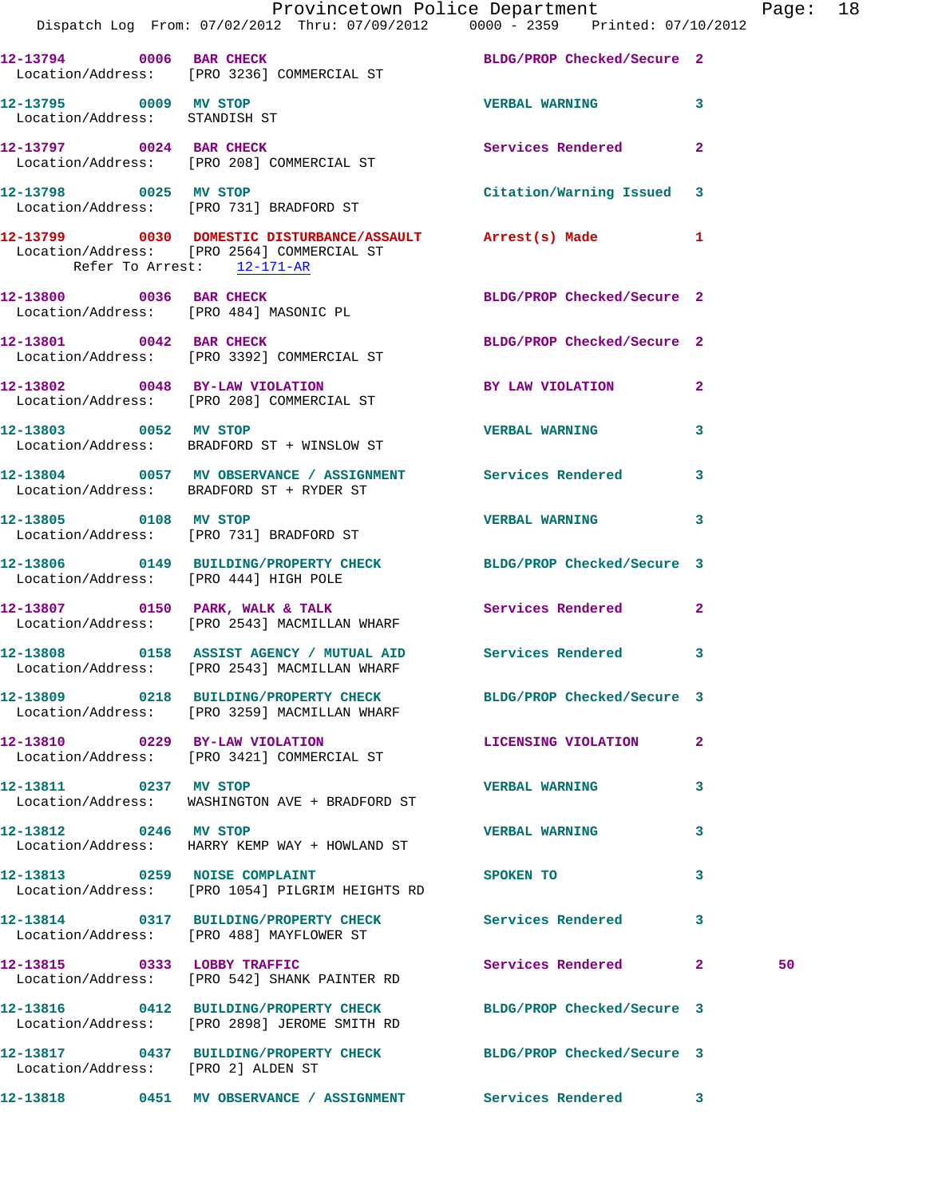|                                                        | Provincetown Police Department The Page: 18<br>Dispatch Log From: 07/02/2012 Thru: 07/09/2012 0000 - 2359 Printed: 07/10/2012 |                            |              |    |  |
|--------------------------------------------------------|-------------------------------------------------------------------------------------------------------------------------------|----------------------------|--------------|----|--|
|                                                        | 12-13794 0006 BAR CHECK BLDG/PROP Checked/Secure 2<br>Location/Address: [PRO 3236] COMMERCIAL ST                              |                            |              |    |  |
| 12-13795 0009 MV STOP<br>Location/Address: STANDISH ST |                                                                                                                               | <b>VERBAL WARNING</b> 3    |              |    |  |
|                                                        | 12-13797 0024 BAR CHECK<br>Location/Address: [PRO 208] COMMERCIAL ST                                                          | Services Rendered          | $\mathbf{2}$ |    |  |
|                                                        | 12-13798 0025 MV STOP<br>Location/Address: [PRO 731] BRADFORD ST                                                              | Citation/Warning Issued 3  |              |    |  |
| Refer To Arrest: 12-171-AR                             | 12-13799 0030 DOMESTIC DISTURBANCE/ASSAULT Arrest(s) Made 1<br>Location/Address: [PRO 2564] COMMERCIAL ST                     |                            |              |    |  |
| Location/Address: [PRO 484] MASONIC PL                 | 12-13800 0036 BAR CHECK                                                                                                       | BLDG/PROP Checked/Secure 2 |              |    |  |
|                                                        | 12-13801 0042 BAR CHECK<br>Location/Address: [PRO 3392] COMMERCIAL ST                                                         | BLDG/PROP Checked/Secure 2 |              |    |  |
|                                                        | 12-13802 0048 BY-LAW VIOLATION<br>Location/Address: [PRO 208] COMMERCIAL ST                                                   | BY LAW VIOLATION 2         |              |    |  |
| 12-13803 0052 MV STOP                                  | Location/Address: BRADFORD ST + WINSLOW ST                                                                                    | <b>VERBAL WARNING 3</b>    |              |    |  |
|                                                        | 12-13804 0057 MV OBSERVANCE / ASSIGNMENT Services Rendered<br>Location/Address: BRADFORD ST + RYDER ST                        |                            | 3            |    |  |
| 12-13805 0108 MV STOP                                  | Location/Address: [PRO 731] BRADFORD ST                                                                                       | <b>VERBAL WARNING</b>      | 3            |    |  |
|                                                        | 12-13806 0149 BUILDING/PROPERTY CHECK BLDG/PROP Checked/Secure 3<br>Location/Address: [PRO 444] HIGH POLE                     |                            |              |    |  |
|                                                        | 12-13807 0150 PARK, WALK & TALK Services Rendered<br>Location/Address: [PRO 2543] MACMILLAN WHARF                             |                            | $\mathbf{2}$ |    |  |
|                                                        | 12-13808 0158 ASSIST AGENCY / MUTUAL AID Services Rendered 3<br>Location/Address: [PRO 2543] MACMILLAN WHARF                  |                            |              |    |  |
|                                                        | 12-13809 0218 BUILDING/PROPERTY CHECK BLDG/PROP Checked/Secure 3<br>Location/Address: [PRO 3259] MACMILLAN WHARF              |                            |              |    |  |
|                                                        | 12-13810 0229 BY-LAW VIOLATION<br>Location/Address: [PRO 3421] COMMERCIAL ST                                                  | LICENSING VIOLATION        | $\mathbf{2}$ |    |  |
| 12-13811 0237 MV STOP                                  | Location/Address: WASHINGTON AVE + BRADFORD ST                                                                                | <b>VERBAL WARNING</b>      | 3            |    |  |
| 12-13812 0246 MV STOP                                  | Location/Address: HARRY KEMP WAY + HOWLAND ST                                                                                 | <b>VERBAL WARNING</b>      | 3            |    |  |
| 12-13813 0259 NOISE COMPLAINT                          | Location/Address: [PRO 1054] PILGRIM HEIGHTS RD                                                                               | SPOKEN TO                  | 3            |    |  |
|                                                        | 12-13814 0317 BUILDING/PROPERTY CHECK Services Rendered<br>Location/Address: [PRO 488] MAYFLOWER ST                           |                            | 3            |    |  |
|                                                        | 12-13815 0333 LOBBY TRAFFIC<br>Location/Address: [PRO 542] SHANK PAINTER RD                                                   | Services Rendered 2        |              | 50 |  |
|                                                        | 12-13816 0412 BUILDING/PROPERTY CHECK<br>Location/Address: [PRO 2898] JEROME SMITH RD                                         | BLDG/PROP Checked/Secure 3 |              |    |  |
| Location/Address: [PRO 2] ALDEN ST                     | 12-13817 0437 BUILDING/PROPERTY CHECK BLDG/PROP Checked/Secure 3                                                              |                            |              |    |  |
|                                                        | 12-13818      0451   MV OBSERVANCE / ASSIGNMENT      Services Rendered      3                                                 |                            |              |    |  |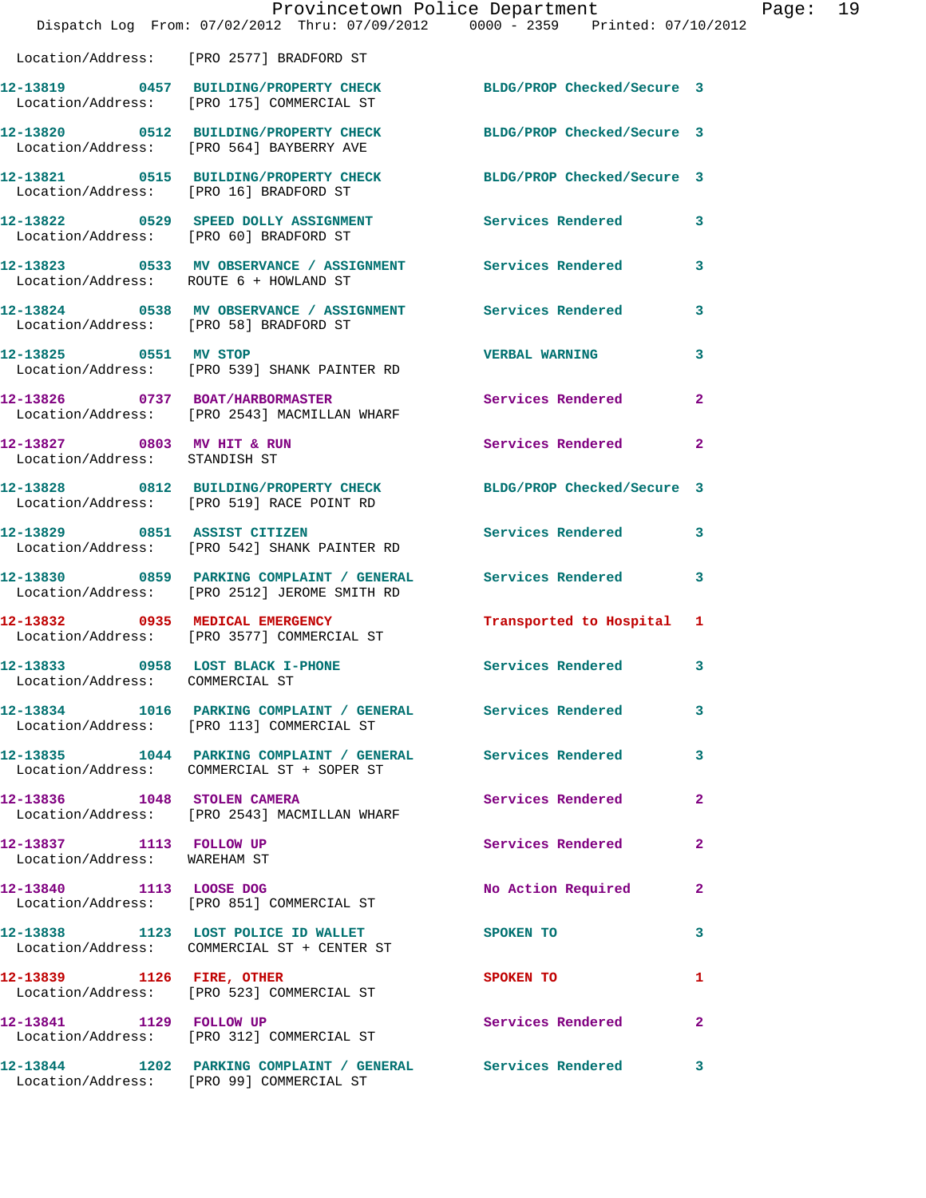|                                                             | Provincetown Police Department<br>Dispatch Log From: 07/02/2012 Thru: 07/09/2012 0000 - 2359 Printed: 07/10/2012 |                            |                |
|-------------------------------------------------------------|------------------------------------------------------------------------------------------------------------------|----------------------------|----------------|
|                                                             | Location/Address: [PRO 2577] BRADFORD ST                                                                         |                            |                |
|                                                             | 12-13819 0457 BUILDING/PROPERTY CHECK BLDG/PROP Checked/Secure 3<br>Location/Address: [PRO 175] COMMERCIAL ST    |                            |                |
|                                                             | 12-13820 0512 BUILDING/PROPERTY CHECK BLDG/PROP Checked/Secure 3<br>Location/Address: [PRO 564] BAYBERRY AVE     |                            |                |
| Location/Address: [PRO 16] BRADFORD ST                      | 12-13821 0515 BUILDING/PROPERTY CHECK                                                                            | BLDG/PROP Checked/Secure 3 |                |
| Location/Address: [PRO 60] BRADFORD ST                      | 12-13822 0529 SPEED DOLLY ASSIGNMENT Services Rendered                                                           |                            | 3              |
| Location/Address: ROUTE 6 + HOWLAND ST                      | 12-13823 6533 MV OBSERVANCE / ASSIGNMENT Services Rendered                                                       |                            | 3              |
| Location/Address: [PRO 58] BRADFORD ST                      | 12-13824 0538 MV OBSERVANCE / ASSIGNMENT Services Rendered                                                       |                            | 3              |
| 12-13825 0551 MV STOP                                       | Location/Address: [PRO 539] SHANK PAINTER RD                                                                     | <b>VERBAL WARNING</b>      | 3              |
|                                                             | 12-13826 0737 BOAT/HARBORMASTER<br>Location/Address: [PRO 2543] MACMILLAN WHARF                                  | Services Rendered          | $\mathbf{2}$   |
| 12-13827 0803 MV HIT & RUN<br>Location/Address: STANDISH ST |                                                                                                                  | Services Rendered          | $\mathbf{2}$   |
|                                                             | 12-13828 0812 BUILDING/PROPERTY CHECK<br>Location/Address: [PRO 519] RACE POINT RD                               | BLDG/PROP Checked/Secure 3 |                |
|                                                             | 12-13829 0851 ASSIST CITIZEN<br>Location/Address: [PRO 542] SHANK PAINTER RD                                     | <b>Services Rendered</b>   | 3              |
|                                                             | 12-13830 0859 PARKING COMPLAINT / GENERAL Services Rendered<br>Location/Address: [PRO 2512] JEROME SMITH RD      |                            | 3              |
|                                                             | 12-13832 0935 MEDICAL EMERGENCY<br>Location/Address: [PRO 3577] COMMERCIAL ST                                    | Transported to Hospital    | 1              |
| 12-13833<br>Location/Address: COMMERCIAL ST                 | 0958 LOST BLACK I-PHONE                                                                                          | Services Rendered          | 3              |
|                                                             | 12-13834 1016 PARKING COMPLAINT / GENERAL Services Rendered<br>Location/Address: [PRO 113] COMMERCIAL ST         |                            | 3              |
|                                                             | 12-13835 1044 PARKING COMPLAINT / GENERAL Services Rendered<br>Location/Address: COMMERCIAL ST + SOPER ST        |                            | 3              |
| 12-13836 1048 STOLEN CAMERA                                 | Location/Address: [PRO 2543] MACMILLAN WHARF                                                                     | Services Rendered          | $\overline{2}$ |
| 12-13837 1113 FOLLOW UP<br>Location/Address: WAREHAM ST     |                                                                                                                  | Services Rendered          | 2              |
| 12-13840 1113 LOOSE DOG                                     | Location/Address: [PRO 851] COMMERCIAL ST                                                                        | No Action Required         | $\mathbf{2}$   |
|                                                             | 12-13838 1123 LOST POLICE ID WALLET<br>Location/Address: COMMERCIAL ST + CENTER ST                               | <b>SPOKEN TO</b>           | 3              |
| 12-13839 1126 FIRE, OTHER                                   | Location/Address: [PRO 523] COMMERCIAL ST                                                                        | <b>SPOKEN TO</b>           | 1              |
| 12-13841 1129 FOLLOW UP                                     | Location/Address: [PRO 312] COMMERCIAL ST                                                                        | Services Rendered          | 2              |
|                                                             | 12-13844 1202 PARKING COMPLAINT / GENERAL Services Rendered<br>Location/Address: [PRO 99] COMMERCIAL ST          |                            | 3              |

Page:  $19$ <br> $12$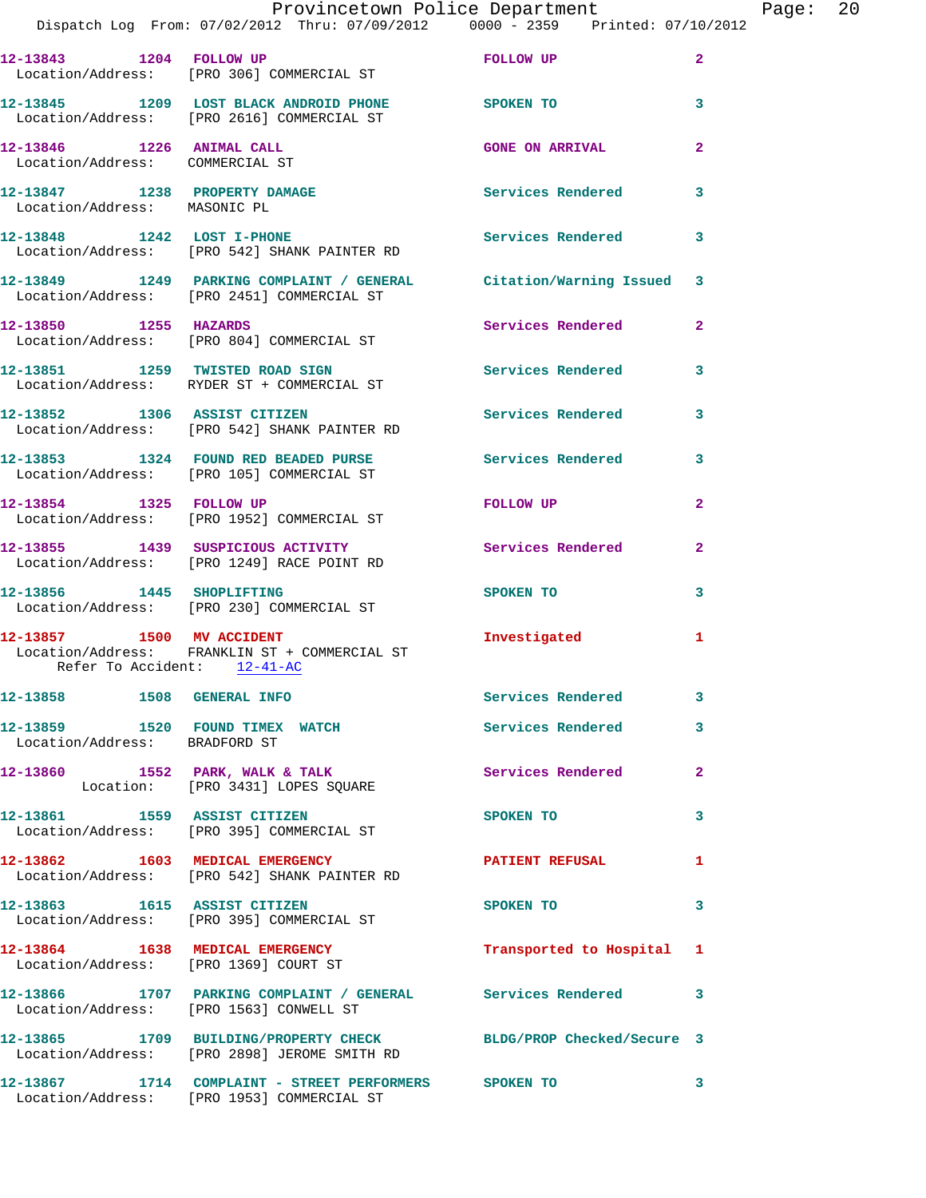|                                                              |                                                                                                                   | Provincetown Police Department |                | Page: 20 |  |
|--------------------------------------------------------------|-------------------------------------------------------------------------------------------------------------------|--------------------------------|----------------|----------|--|
|                                                              | Dispatch Log From: 07/02/2012 Thru: 07/09/2012 0000 - 2359 Printed: 07/10/2012                                    |                                |                |          |  |
| 12-13843 1204 FOLLOW UP                                      | Location/Address: [PRO 306] COMMERCIAL ST                                                                         | FOLLOW UP                      | $\overline{a}$ |          |  |
|                                                              | 12-13845 1209 LOST BLACK ANDROID PHONE SPOKEN TO<br>Location/Address: [PRO 2616] COMMERCIAL ST                    |                                | 3              |          |  |
| 12-13846 1226 ANIMAL CALL<br>Location/Address: COMMERCIAL ST |                                                                                                                   | <b>GONE ON ARRIVAL</b>         | $\mathbf{2}$   |          |  |
| Location/Address: MASONIC PL                                 | 12-13847 1238 PROPERTY DAMAGE Services Rendered                                                                   |                                | 3              |          |  |
|                                                              | 12-13848 1242 LOST I-PHONE<br>Location/Address: [PRO 542] SHANK PAINTER RD                                        | <b>Services Rendered</b>       | 3              |          |  |
|                                                              | 12-13849 1249 PARKING COMPLAINT / GENERAL Citation/Warning Issued 3<br>Location/Address: [PRO 2451] COMMERCIAL ST |                                |                |          |  |
| 12-13850 1255 HAZARDS                                        | Location/Address: [PRO 804] COMMERCIAL ST                                                                         | Services Rendered              | $\overline{2}$ |          |  |
|                                                              | 12-13851 1259 TWISTED ROAD SIGN<br>Location/Address: RYDER ST + COMMERCIAL ST                                     | <b>Services Rendered</b>       | 3              |          |  |
|                                                              | 12-13852 1306 ASSIST CITIZEN<br>Location/Address: [PRO 542] SHANK PAINTER RD                                      | Services Rendered              | 3              |          |  |
|                                                              | 12-13853 1324 FOUND RED BEADED PURSE Services Rendered<br>Location/Address: [PRO 105] COMMERCIAL ST               |                                | 3              |          |  |
| 12-13854 1325 FOLLOW UP                                      | Location/Address: [PRO 1952] COMMERCIAL ST                                                                        | FOLLOW UP                      | $\mathbf{2}$   |          |  |
|                                                              | 12-13855 1439 SUSPICIOUS ACTIVITY 1999 Services Rendered<br>Location/Address: [PRO 1249] RACE POINT RD            |                                | $\mathbf{2}$   |          |  |
| 12-13856 1445 SHOPLIFTING                                    | Location/Address: [PRO 230] COMMERCIAL ST                                                                         | SPOKEN TO                      | 3              |          |  |
| Refer To Accident: 12-41-AC                                  | 12-13857 1500 MV ACCIDENT<br>Location/Address: FRANKLIN ST + COMMERCIAL ST                                        | Investigated                   | 1              |          |  |
| 12-13858    1508    GENERAL INFO                             |                                                                                                                   | Services Rendered              | 3              |          |  |
| Location/Address: BRADFORD ST                                | 12-13859 1520 FOUND TIMEX WATCH                                                                                   | Services Rendered              | 3              |          |  |
|                                                              | 12-13860 1552 PARK, WALK & TALK<br>Location: [PRO 3431] LOPES SQUARE                                              | Services Rendered              | 2              |          |  |
|                                                              | 12-13861 1559 ASSIST CITIZEN<br>Location/Address: [PRO 395] COMMERCIAL ST                                         | SPOKEN TO                      | 3              |          |  |
|                                                              | 12-13862 1603 MEDICAL EMERGENCY<br>Location/Address: [PRO 542] SHANK PAINTER RD                                   | PATIENT REFUSAL                | 1              |          |  |
|                                                              | 12-13863 1615 ASSIST CITIZEN<br>Location/Address: [PRO 395] COMMERCIAL ST                                         | SPOKEN TO                      | 3              |          |  |
|                                                              | 12-13864 1638 MEDICAL EMERGENCY<br>Location/Address: [PRO 1369] COURT ST                                          | Transported to Hospital 1      |                |          |  |
|                                                              | 12-13866 1707 PARKING COMPLAINT / GENERAL Services Rendered<br>Location/Address: [PRO 1563] CONWELL ST            |                                | 3              |          |  |
|                                                              | 12-13865 1709 BUILDING/PROPERTY CHECK BLDG/PROP Checked/Secure 3<br>Location/Address: [PRO 2898] JEROME SMITH RD  |                                |                |          |  |
|                                                              | 12-13867 1714 COMPLAINT - STREET PERFORMERS SPOKEN TO<br>Location/Address: [PRO 1953] COMMERCIAL ST               |                                | 3              |          |  |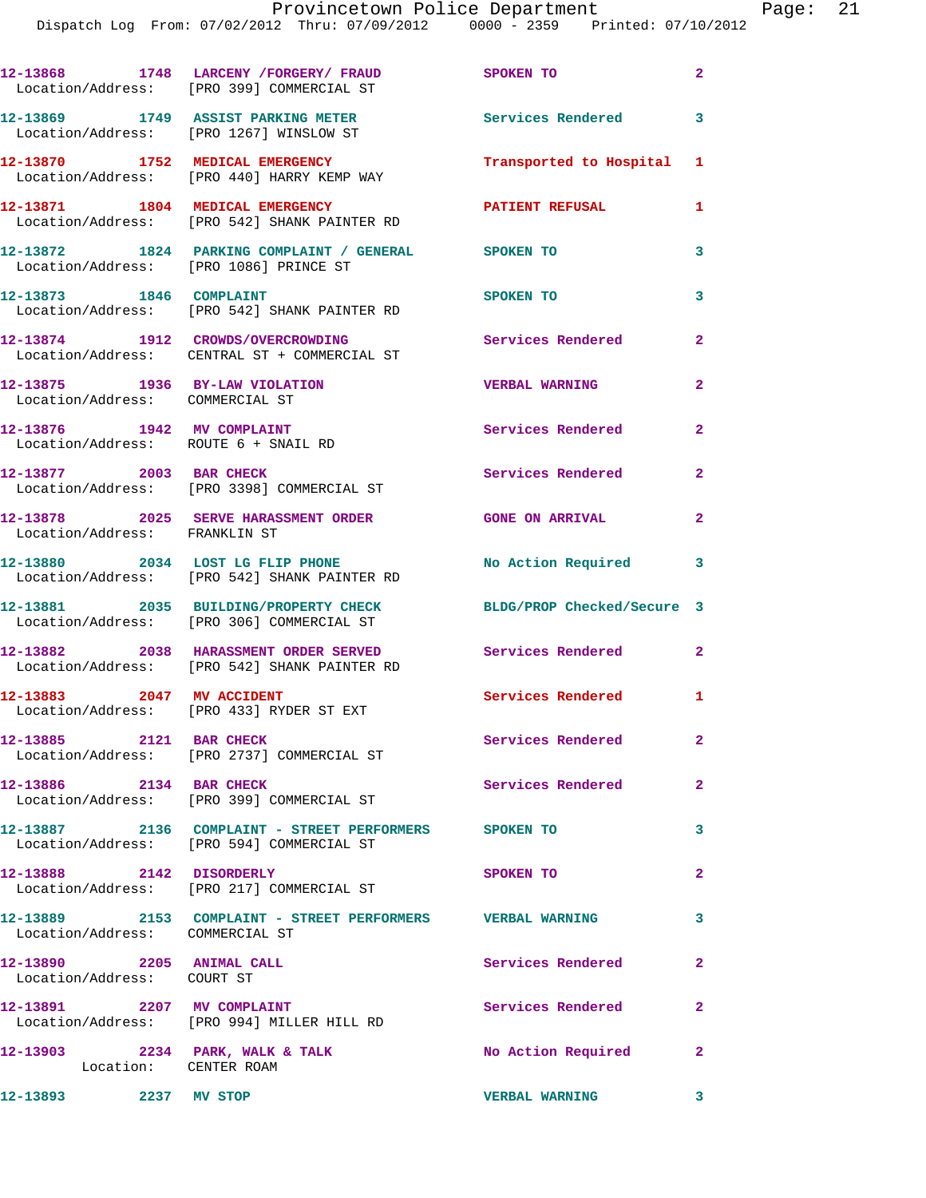|                                                                    | 12-13868 1748 LARCENY / FORGERY / FRAUD SPOKEN TO<br>Location/Address: [PRO 399] COMMERCIAL ST     |                            | $\overline{2}$ |
|--------------------------------------------------------------------|----------------------------------------------------------------------------------------------------|----------------------------|----------------|
|                                                                    | 12-13869 1749 ASSIST PARKING METER<br>Location/Address: [PRO 1267] WINSLOW ST                      | Services Rendered          | 3              |
|                                                                    | 12-13870 1752 MEDICAL EMERGENCY<br>Location/Address: [PRO 440] HARRY KEMP WAY                      | Transported to Hospital 1  |                |
|                                                                    | 12-13871 1804 MEDICAL EMERGENCY<br>Location/Address: [PRO 542] SHANK PAINTER RD                    | <b>PATIENT REFUSAL</b>     | 1              |
| Location/Address: [PRO 1086] PRINCE ST                             | 12-13872 1824 PARKING COMPLAINT / GENERAL SPOKEN TO                                                |                            | 3              |
| 12-13873 1846 COMPLAINT                                            | Location/Address: [PRO 542] SHANK PAINTER RD                                                       | SPOKEN TO                  | 3              |
|                                                                    | 12-13874 1912 CROWDS/OVERCROWDING<br>Location/Address: CENTRAL ST + COMMERCIAL ST                  | <b>Services Rendered</b>   | $\mathbf{2}$   |
| 12-13875 1936 BY-LAW VIOLATION<br>Location/Address: COMMERCIAL ST  |                                                                                                    | <b>VERBAL WARNING</b>      | $\overline{a}$ |
| 12-13876 1942 MV COMPLAINT<br>Location/Address: ROUTE 6 + SNAIL RD |                                                                                                    | Services Rendered          | $\overline{a}$ |
| 12-13877 2003 BAR CHECK                                            | Location/Address: [PRO 3398] COMMERCIAL ST                                                         | Services Rendered          | $\mathbf{2}$   |
| Location/Address: FRANKLIN ST                                      | 12-13878 2025 SERVE HARASSMENT ORDER                                                               | <b>GONE ON ARRIVAL</b>     | $\mathbf{2}$   |
|                                                                    | 12-13880 2034 LOST LG FLIP PHONE<br>Location/Address: [PRO 542] SHANK PAINTER RD                   | No Action Required 3       |                |
|                                                                    | 12-13881 2035 BUILDING/PROPERTY CHECK<br>Location/Address: [PRO 306] COMMERCIAL ST                 | BLDG/PROP Checked/Secure 3 |                |
|                                                                    | 12-13882 2038 HARASSMENT ORDER SERVED<br>Location/Address: [PRO 542] SHANK PAINTER RD              | Services Rendered          | $\overline{2}$ |
| 12-13883 2047 MV ACCIDENT                                          | Location/Address: [PRO 433] RYDER ST EXT                                                           | Services Rendered 1        |                |
| 12-13885 2121 BAR CHECK                                            | Location/Address: [PRO 2737] COMMERCIAL ST                                                         | Services Rendered          | $\mathbf{2}$   |
| 12-13886 2134 BAR CHECK                                            | Location/Address: [PRO 399] COMMERCIAL ST                                                          | Services Rendered          | $\mathbf{2}$   |
|                                                                    | 12-13887 2136 COMPLAINT - STREET PERFORMERS SPOKEN TO<br>Location/Address: [PRO 594] COMMERCIAL ST |                            | 3              |
| 12-13888 2142 DISORDERLY                                           | Location/Address: [PRO 217] COMMERCIAL ST                                                          | SPOKEN TO                  | $\mathbf{2}$   |
| Location/Address: COMMERCIAL ST                                    | 12-13889 2153 COMPLAINT - STREET PERFORMERS VERBAL WARNING                                         |                            | 3              |
| 12-13890 2205 ANIMAL CALL<br>Location/Address: COURT ST            |                                                                                                    | Services Rendered          | $\mathbf{2}$   |
| 12-13891 2207 MV COMPLAINT                                         | Location/Address: [PRO 994] MILLER HILL RD                                                         | Services Rendered          | $\mathbf{2}$   |
| Location: CENTER ROAM                                              | $12-13903$ 2234 PARK, WALK & TALK                                                                  | No Action Required         | $\mathbf{2}$   |
| 12-13893 2237 MV STOP                                              |                                                                                                    | <b>VERBAL WARNING</b>      | 3              |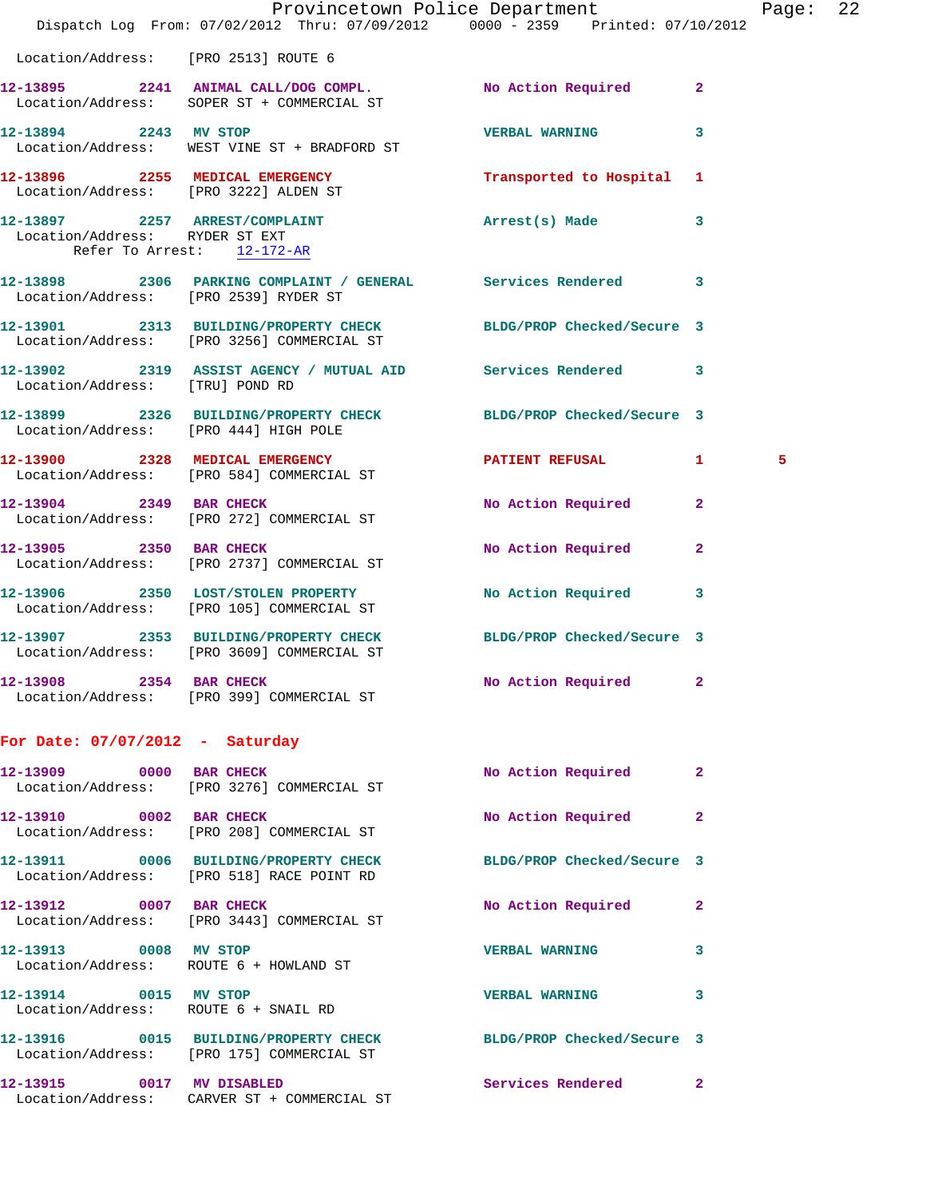|                                                                 | Dispatch Log From: 07/02/2012 Thru: 07/09/2012 0000 - 2359 Printed: 07/10/2012                                 | Provincetown Police Department Page: 22 |              |   |  |
|-----------------------------------------------------------------|----------------------------------------------------------------------------------------------------------------|-----------------------------------------|--------------|---|--|
| Location/Address: [PRO 2513] ROUTE 6                            |                                                                                                                |                                         |              |   |  |
|                                                                 | 12-13895 2241 ANIMAL CALL/DOG COMPL. No Action Required 2<br>Location/Address: SOPER ST + COMMERCIAL ST        |                                         |              |   |  |
|                                                                 | 12-13894 2243 MV STOP<br>Location/Address: WEST VINE ST + BRADFORD ST                                          | <b>VERBAL WARNING</b>                   | 3            |   |  |
|                                                                 | 12-13896 2255 MEDICAL EMERGENCY Transported to Hospital 1<br>Location/Address: [PRO 3222] ALDEN ST             |                                         |              |   |  |
| Location/Address: RYDER ST EXT<br>Refer To Arrest: 12-172-AR    | 12-13897 2257 ARREST/COMPLAINT 2257 Arrest(s) Made 3                                                           |                                         |              |   |  |
| Location/Address: [PRO 2539] RYDER ST                           | 12-13898 2306 PARKING COMPLAINT / GENERAL Services Rendered 3                                                  |                                         |              |   |  |
|                                                                 | 12-13901 2313 BUILDING/PROPERTY CHECK BLDG/PROP Checked/Secure 3<br>Location/Address: [PRO 3256] COMMERCIAL ST |                                         |              |   |  |
| Location/Address: [TRU] POND RD                                 | 12-13902 2319 ASSIST AGENCY / MUTUAL AID Services Rendered 3                                                   |                                         |              |   |  |
|                                                                 | 12-13899 2326 BUILDING/PROPERTY CHECK BLDG/PROP Checked/Secure 3<br>Location/Address: [PRO 444] HIGH POLE      |                                         |              |   |  |
|                                                                 | 12-13900 2328 MEDICAL EMERGENCY <b>PATIENT REFUSAL</b> 1<br>Location/Address: [PRO 584] COMMERCIAL ST          |                                         |              | 5 |  |
| 12-13904 2349 BAR CHECK                                         | Location/Address: [PRO 272] COMMERCIAL ST                                                                      | No Action Required 2                    |              |   |  |
|                                                                 | 12-13905 2350 BAR CHECK<br>Location/Address: [PRO 2737] COMMERCIAL ST                                          | No Action Required                      | $\mathbf{2}$ |   |  |
|                                                                 | 12-13906 2350 LOST/STOLEN PROPERTY<br>Location/Address: [PRO 105] COMMERCIAL ST                                | No Action Required 3                    |              |   |  |
|                                                                 | 12-13907 2353 BUILDING/PROPERTY CHECK BLDG/PROP Checked/Secure 3<br>Location/Address: [PRO 3609] COMMERCIAL ST |                                         |              |   |  |
|                                                                 | 12-13908 2354 BAR CHECK<br>Location/Address: [PRO 399] COMMERCIAL ST                                           | No Action Required 2                    |              |   |  |
| For Date: $07/07/2012$ - Saturday                               |                                                                                                                |                                         |              |   |  |
|                                                                 | 12-13909 0000 BAR CHECK<br>Location/Address: [PRO 3276] COMMERCIAL ST                                          | No Action Required                      | 2            |   |  |
| 12-13910 0002 BAR CHECK                                         | Location/Address: [PRO 208] COMMERCIAL ST                                                                      | No Action Required                      | 2            |   |  |
|                                                                 | 12-13911 0006 BUILDING/PROPERTY CHECK BLDG/PROP Checked/Secure 3<br>Location/Address: [PRO 518] RACE POINT RD  |                                         |              |   |  |
|                                                                 | 12-13912 0007 BAR CHECK<br>Location/Address: [PRO 3443] COMMERCIAL ST                                          | No Action Required                      | 2            |   |  |
| 12-13913 0008 MV STOP<br>Location/Address: ROUTE 6 + HOWLAND ST |                                                                                                                | <b>VERBAL WARNING</b>                   | 3            |   |  |
| 12-13914 0015 MV STOP<br>Location/Address: ROUTE 6 + SNAIL RD   |                                                                                                                | <b>VERBAL WARNING</b>                   | 3            |   |  |
|                                                                 | 12-13916 0015 BUILDING/PROPERTY CHECK BLDG/PROP Checked/Secure 3<br>Location/Address: [PRO 175] COMMERCIAL ST  |                                         |              |   |  |
| 12-13915 0017 MV DISABLED                                       | Location/Address: CARVER ST + COMMERCIAL ST                                                                    | Services Rendered                       | 2            |   |  |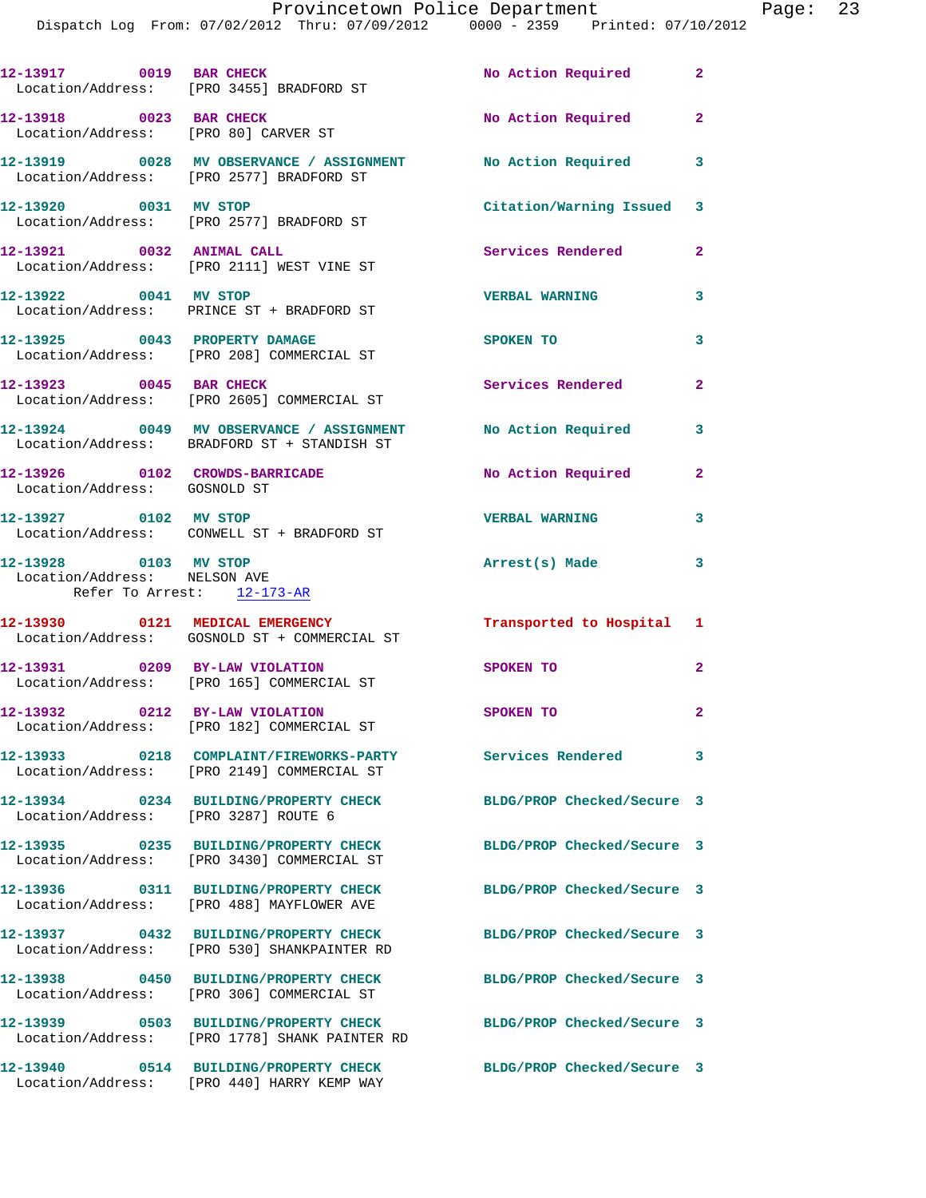|                                                                                     | Dispatch Log From: 07/02/2012 Thru: 07/09/2012 0000 - 2359 Printed: 07/10/2012          |                            |                |
|-------------------------------------------------------------------------------------|-----------------------------------------------------------------------------------------|----------------------------|----------------|
| 12-13917 0019 BAR CHECK                                                             | Location/Address: [PRO 3455] BRADFORD ST                                                | No Action Required         | $\mathbf{2}$   |
| 12-13918 0023 BAR CHECK                                                             | Location/Address: [PRO 80] CARVER ST                                                    | No Action Required         | $\mathbf{2}$   |
|                                                                                     | 12-13919 0028 MV OBSERVANCE / ASSIGNMENT<br>Location/Address: [PRO 2577] BRADFORD ST    | <b>No Action Required</b>  | 3              |
|                                                                                     | 12-13920 0031 MV STOP<br>Location/Address: [PRO 2577] BRADFORD ST                       | Citation/Warning Issued    | 3              |
| 12-13921 0032 ANIMAL CALL                                                           | Location/Address: [PRO 2111] WEST VINE ST                                               | Services Rendered          | $\overline{a}$ |
| 12-13922 0041 MV STOP                                                               | Location/Address: PRINCE ST + BRADFORD ST                                               | <b>VERBAL WARNING</b>      | 3              |
|                                                                                     | 12-13925 0043 PROPERTY DAMAGE<br>Location/Address: [PRO 208] COMMERCIAL ST              | SPOKEN TO                  | 3              |
| 12-13923 0045 BAR CHECK                                                             | Location/Address: [PRO 2605] COMMERCIAL ST                                              | <b>Services Rendered</b>   | $\mathbf{2}$   |
|                                                                                     | 12-13924 0049 MV OBSERVANCE / ASSIGNMENT<br>Location/Address: BRADFORD ST + STANDISH ST | No Action Required         | 3              |
| Location/Address: GOSNOLD ST                                                        | 12-13926 0102 CROWDS-BARRICADE                                                          | No Action Required         | $\mathbf{2}$   |
|                                                                                     | 12-13927 0102 MV STOP<br>Location/Address: CONWELL ST + BRADFORD ST                     | <b>VERBAL WARNING</b>      | 3              |
| 12-13928 0103 MV STOP<br>Location/Address: NELSON AVE<br>Refer To Arrest: 12-173-AR |                                                                                         | Arrest(s) Made             | 3              |
|                                                                                     | 12-13930 0121 MEDICAL EMERGENCY<br>Location/Address: GOSNOLD ST + COMMERCIAL ST         | Transported to Hospital    | 1              |
| 12-13931 0209 BY-LAW VIOLATION                                                      | Location/Address: [PRO 165] COMMERCIAL ST                                               | SPOKEN TO                  | 2              |
| 12-13932                                                                            | 0212 BY-LAW VIOLATION<br>Location/Address: [PRO 182] COMMERCIAL ST                      | SPOKEN TO                  | $\mathbf{2}$   |
|                                                                                     | 12-13933 0218 COMPLAINT/FIREWORKS-PARTY<br>Location/Address: [PRO 2149] COMMERCIAL ST   | <b>Services Rendered</b>   | 3              |
| Location/Address: [PRO 3287] ROUTE 6                                                | 12-13934 0234 BUILDING/PROPERTY CHECK                                                   | BLDG/PROP Checked/Secure 3 |                |
|                                                                                     | 12-13935 0235 BUILDING/PROPERTY CHECK<br>Location/Address: [PRO 3430] COMMERCIAL ST     | BLDG/PROP Checked/Secure 3 |                |
|                                                                                     | 12-13936 0311 BUILDING/PROPERTY CHECK<br>Location/Address: [PRO 488] MAYFLOWER AVE      | BLDG/PROP Checked/Secure 3 |                |
|                                                                                     | 12-13937 0432 BUILDING/PROPERTY CHECK<br>Location/Address: [PRO 530] SHANKPAINTER RD    | BLDG/PROP Checked/Secure 3 |                |
|                                                                                     | 12-13938 0450 BUILDING/PROPERTY CHECK<br>Location/Address: [PRO 306] COMMERCIAL ST      | BLDG/PROP Checked/Secure 3 |                |
|                                                                                     | 12-13939 0503 BUILDING/PROPERTY CHECK<br>Location/Address: [PRO 1778] SHANK PAINTER RD  | BLDG/PROP Checked/Secure 3 |                |
|                                                                                     | 12-13940 0514 BUILDING/PROPERTY CHECK<br>Location/Address: [PRO 440] HARRY KEMP WAY     | BLDG/PROP Checked/Secure 3 |                |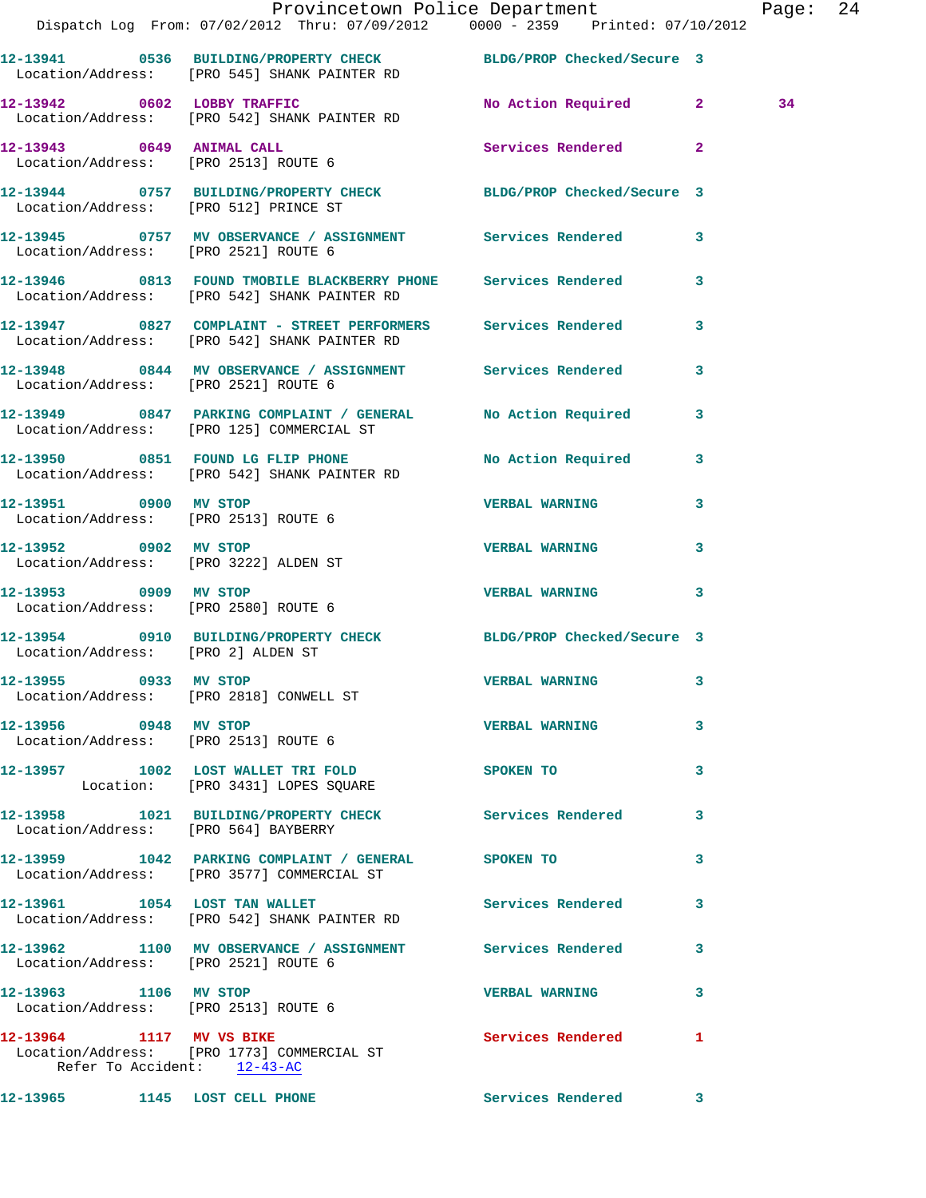|                                                               | Provincetown Police Department Fage: 24<br>Dispatch Log From: 07/02/2012 Thru: 07/09/2012   0000 - 2359   Printed: 07/10/2012 |                          |              |    |  |
|---------------------------------------------------------------|-------------------------------------------------------------------------------------------------------------------------------|--------------------------|--------------|----|--|
|                                                               | 12-13941 0536 BUILDING/PROPERTY CHECK BLDG/PROP Checked/Secure 3<br>Location/Address: [PRO 545] SHANK PAINTER RD              |                          |              |    |  |
|                                                               | 12-13942 0602 LOBBY TRAFFIC<br>Location/Address: [PRO 542] SHANK PAINTER RD                                                   | No Action Required 2     |              | 34 |  |
|                                                               | 12-13943      0649   ANIMAL CALL<br>Location/Address:    [PRO 2513] ROUTE 6                                                   | Services Rendered        | $\mathbf{2}$ |    |  |
|                                                               | 12-13944 0757 BUILDING/PROPERTY CHECK BLDG/PROP Checked/Secure 3<br>Location/Address: [PRO 512] PRINCE ST                     |                          |              |    |  |
|                                                               | 12-13945 0757 MV OBSERVANCE / ASSIGNMENT Services Rendered 3<br>Location/Address: [PRO 2521] ROUTE 6                          |                          |              |    |  |
|                                                               | 12-13946 0813 FOUND TMOBILE BLACKBERRY PHONE Services Rendered<br>Location/Address: [PRO 542] SHANK PAINTER RD                |                          | 3            |    |  |
|                                                               | 12-13947 0827 COMPLAINT - STREET PERFORMERS Services Rendered 3<br>Location/Address: [PRO 542] SHANK PAINTER RD               |                          |              |    |  |
|                                                               | 12-13948 0844 MV OBSERVANCE / ASSIGNMENT Services Rendered<br>Location/Address: [PRO 2521] ROUTE 6                            |                          | 3            |    |  |
|                                                               | 12-13949 0847 PARKING COMPLAINT / GENERAL No Action Required 3<br>Location/Address: [PRO 125] COMMERCIAL ST                   |                          |              |    |  |
|                                                               | 12-13950 0851 FOUND LG FLIP PHONE No Action Required<br>Location/Address: [PRO 542] SHANK PAINTER RD                          |                          | $\mathbf{3}$ |    |  |
| 12-13951 0900 MV STOP                                         | Location/Address: [PRO 2513] ROUTE 6                                                                                          | <b>VERBAL WARNING</b>    | 3            |    |  |
| Location/Address: [PRO 3222] ALDEN ST                         | 12-13952 0902 MV STOP                                                                                                         | <b>VERBAL WARNING</b>    | 3            |    |  |
| 12-13953 0909 MV STOP                                         | Location/Address: [PRO 2580] ROUTE 6                                                                                          | <b>VERBAL WARNING</b>    | 3            |    |  |
|                                                               | 12-13954 0910 BUILDING/PROPERTY CHECK BLDG/PROP Checked/Secure 3<br>Location/Address: [PRO 2] ALDEN ST                        |                          |              |    |  |
| 12-13955 0933 MV STOP                                         | Location/Address: [PRO 2818] CONWELL ST                                                                                       | <b>VERBAL WARNING</b>    |              |    |  |
|                                                               | 12-13956 0948 MV STOP<br>Location/Address: [PRO 2513] ROUTE 6                                                                 | <b>VERBAL WARNING</b>    | 3            |    |  |
|                                                               | 12-13957 1002 LOST WALLET TRI FOLD<br>Location: [PRO 3431] LOPES SQUARE                                                       | SPOKEN TO                | 3            |    |  |
|                                                               | 12-13958 1021 BUILDING/PROPERTY CHECK Services Rendered<br>Location/Address: [PRO 564] BAYBERRY                               |                          | 3            |    |  |
|                                                               | 12-13959 1042 PARKING COMPLAINT / GENERAL SPOKEN TO<br>Location/Address: [PRO 3577] COMMERCIAL ST                             |                          | $\mathbf{3}$ |    |  |
|                                                               | 12-13961 1054 LOST TAN WALLET<br>Location/Address: [PRO 542] SHANK PAINTER RD                                                 | <b>Services Rendered</b> | 3            |    |  |
| Location/Address: [PRO 2521] ROUTE 6                          | 12-13962 1100 MV OBSERVANCE / ASSIGNMENT Services Rendered                                                                    |                          | $\mathbf{3}$ |    |  |
| 12-13963 1106 MV STOP<br>Location/Address: [PRO 2513] ROUTE 6 |                                                                                                                               | <b>VERBAL WARNING</b>    | 3            |    |  |
| 12-13964 1117 MV VS BIKE                                      | Location/Address: [PRO 1773] COMMERCIAL ST<br>Refer To Accident: $\frac{12-43-AC}{2}$                                         | Services Rendered        | $\mathbf{1}$ |    |  |
|                                                               | 12-13965 1145 LOST CELL PHONE                                                                                                 | Services Rendered 3      |              |    |  |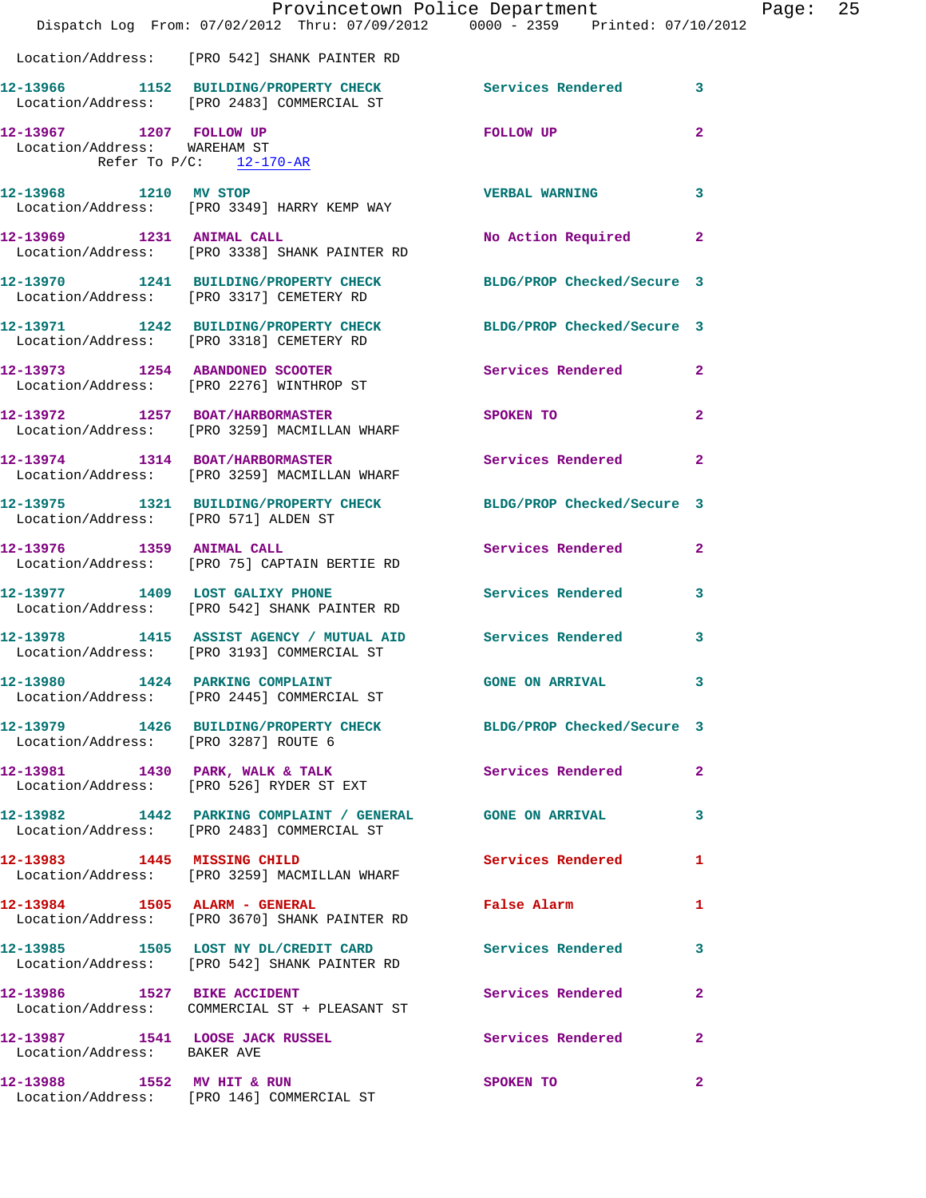|                                      | Dispatch Log From: 07/02/2012 Thru: 07/09/2012 0000 - 2359 Printed: 07/10/2012                               | Provincetown Police Department |                | Page: | 25 |
|--------------------------------------|--------------------------------------------------------------------------------------------------------------|--------------------------------|----------------|-------|----|
|                                      |                                                                                                              |                                |                |       |    |
|                                      | Location/Address: [PRO 542] SHANK PAINTER RD                                                                 |                                |                |       |    |
|                                      | 12-13966 1152 BUILDING/PROPERTY CHECK Services Rendered<br>Location/Address: [PRO 2483] COMMERCIAL ST        |                                | $\mathbf{3}$   |       |    |
| Location/Address: WAREHAM ST         | 12-13967 1207 FOLLOW UP<br>Refer To $P/C$ : 12-170-AR                                                        | <b>FOLLOW UP</b>               | $\overline{a}$ |       |    |
|                                      | 12-13968 1210 MV STOP<br>Location/Address: [PRO 3349] HARRY KEMP WAY                                         | <b>VERBAL WARNING</b>          | 3              |       |    |
|                                      | 12-13969 1231 ANIMAL CALL<br>Location/Address: [PRO 3338] SHANK PAINTER RD                                   | No Action Required             | $\mathbf{2}$   |       |    |
|                                      | 12-13970 1241 BUILDING/PROPERTY CHECK BLDG/PROP Checked/Secure 3<br>Location/Address: [PRO 3317] CEMETERY RD |                                |                |       |    |
|                                      | 12-13971 1242 BUILDING/PROPERTY CHECK BLDG/PROP Checked/Secure 3<br>Location/Address: [PRO 3318] CEMETERY RD |                                |                |       |    |
|                                      | 12-13973 1254 ABANDONED SCOOTER Services Rendered<br>Location/Address: [PRO 2276] WINTHROP ST                |                                | $\mathbf{2}$   |       |    |
|                                      | 12-13972 1257 BOAT/HARBORMASTER SPOKEN TO<br>Location/Address: [PRO 3259] MACMILLAN WHARF                    |                                | $\overline{2}$ |       |    |
|                                      | 12-13974 1314 BOAT/HARBORMASTER Services Rendered<br>Location/Address: [PRO 3259] MACMILLAN WHARF            |                                | $\overline{2}$ |       |    |
| Location/Address: [PRO 571] ALDEN ST | 12-13975 1321 BUILDING/PROPERTY CHECK BLDG/PROP Checked/Secure 3                                             |                                |                |       |    |
| 12-13976 1359 ANIMAL CALL            | Location/Address: [PRO 75] CAPTAIN BERTIE RD                                                                 | Services Rendered              | $\mathbf{2}$   |       |    |
|                                      | 12-13977 1409 LOST GALIXY PHONE Services Rendered<br>Location/Address: [PRO 542] SHANK PAINTER RD            |                                | $\mathbf{3}$   |       |    |
|                                      | 12-13978 1415 ASSIST AGENCY / MUTUAL AID Services Rendered<br>Location/Address: [PRO 3193] COMMERCIAL ST     |                                | $\mathbf{3}$   |       |    |
|                                      | 12-13980 1424 PARKING COMPLAINT<br>Location/Address: [PRO 2445] COMMERCIAL ST                                | <b>GONE ON ARRIVAL</b>         |                |       |    |
| Location/Address: [PRO 3287] ROUTE 6 | 12-13979 1426 BUILDING/PROPERTY CHECK BLDG/PROP Checked/Secure 3                                             |                                |                |       |    |
|                                      | 12-13981 1430 PARK, WALK & TALK<br>Location/Address: [PRO 526] RYDER ST EXT                                  | Services Rendered              | $\mathbf{2}$   |       |    |
|                                      | 12-13982 1442 PARKING COMPLAINT / GENERAL GONE ON ARRIVAL<br>Location/Address: [PRO 2483] COMMERCIAL ST      |                                | 3              |       |    |
|                                      | 12-13983 1445 MISSING CHILD<br>Location/Address: [PRO 3259] MACMILLAN WHARF                                  | Services Rendered              | 1              |       |    |
|                                      | 12-13984 1505 ALARM - GENERAL<br>Location/Address: [PRO 3670] SHANK PAINTER RD                               | False Alarm                    | 1              |       |    |
|                                      | 12-13985 1505 LOST NY DL/CREDIT CARD Services Rendered<br>Location/Address: [PRO 542] SHANK PAINTER RD       |                                | 3              |       |    |
|                                      | 12-13986 1527 BIKE ACCIDENT<br>Location/Address: COMMERCIAL ST + PLEASANT ST                                 | Services Rendered              | $\mathbf{2}$   |       |    |
| Location/Address: BAKER AVE          | 12-13987 1541 LOOSE JACK RUSSEL Services Rendered                                                            |                                | $\mathbf{2}$   |       |    |
|                                      | 12-13988 1552 MV HIT & RUN<br>Location/Address: [PRO 146] COMMERCIAL ST                                      | SPOKEN TO                      | $\mathbf{2}$   |       |    |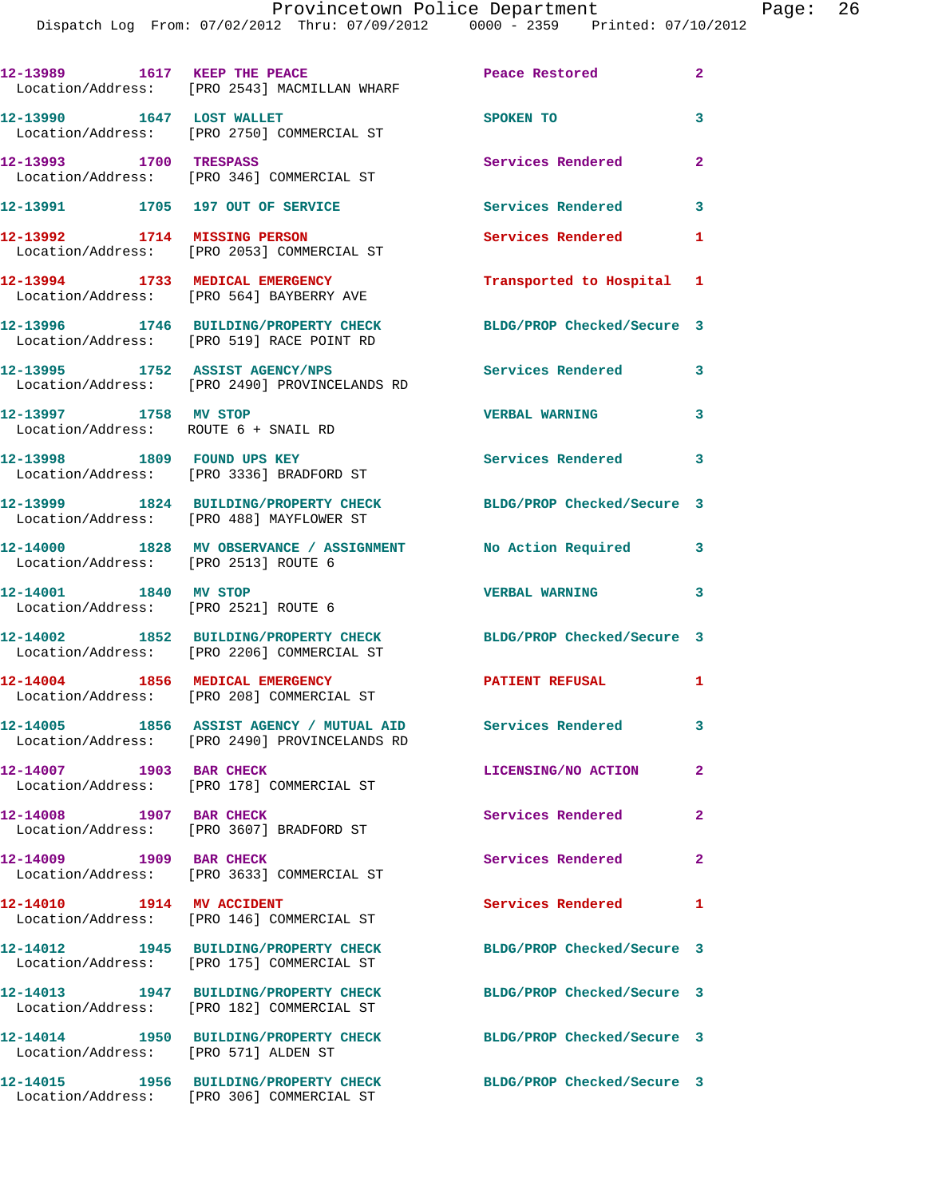| 12-13989 1617 KEEP THE PEACE                                  | Location/Address: [PRO 2543] MACMILLAN WHARF                                              | Peace Restored             | $\overline{2}$ |
|---------------------------------------------------------------|-------------------------------------------------------------------------------------------|----------------------------|----------------|
| 12-13990 1647 LOST WALLET                                     | Location/Address: [PRO 2750] COMMERCIAL ST                                                | SPOKEN TO                  | 3              |
| 12-13993 1700 TRESPASS                                        | Location/Address: [PRO 346] COMMERCIAL ST                                                 | Services Rendered          | $\mathbf{2}$   |
| 12-13991 1705 197 OUT OF SERVICE                              |                                                                                           | <b>Services Rendered</b>   | 3              |
|                                                               | 12-13992 1714 MISSING PERSON<br>Location/Address: [PRO 2053] COMMERCIAL ST                | <b>Services Rendered</b>   | 1              |
| 12-13994 1733 MEDICAL EMERGENCY                               | Location/Address: [PRO 564] BAYBERRY AVE                                                  | Transported to Hospital 1  |                |
|                                                               | 12-13996 1746 BUILDING/PROPERTY CHECK<br>Location/Address: [PRO 519] RACE POINT RD        | BLDG/PROP Checked/Secure 3 |                |
| 12-13995 1752 ASSIST AGENCY/NPS                               | Location/Address: [PRO 2490] PROVINCELANDS RD                                             | <b>Services Rendered</b>   | 3              |
| 12-13997 1758 MV STOP<br>Location/Address: ROUTE 6 + SNAIL RD |                                                                                           | <b>VERBAL WARNING</b>      | 3              |
|                                                               | 12-13998 1809 FOUND UPS KEY<br>Location/Address: [PRO 3336] BRADFORD ST                   | Services Rendered          | 3              |
|                                                               | 12-13999 1824 BUILDING/PROPERTY CHECK<br>Location/Address: [PRO 488] MAYFLOWER ST         | BLDG/PROP Checked/Secure 3 |                |
| Location/Address: [PRO 2513] ROUTE 6                          | 12-14000 1828 MV OBSERVANCE / ASSIGNMENT No Action Required                               |                            | 3              |
| 12-14001 1840 MV STOP<br>Location/Address: [PRO 2521] ROUTE 6 |                                                                                           | <b>VERBAL WARNING</b>      | 3              |
|                                                               | 12-14002 1852 BUILDING/PROPERTY CHECK<br>Location/Address: [PRO 2206] COMMERCIAL ST       | BLDG/PROP Checked/Secure 3 |                |
| 12-14004 1856 MEDICAL EMERGENCY                               | Location/Address: [PRO 208] COMMERCIAL ST                                                 | <b>PATIENT REFUSAL</b>     | 1              |
|                                                               | 12-14005 1856 ASSIST AGENCY / MUTUAL AID<br>Location/Address: [PRO 2490] PROVINCELANDS RD | <b>Services Rendered</b>   | 3              |
| 12-14007 1903 BAR CHECK                                       | Location/Address: [PRO 178] COMMERCIAL ST                                                 | LICENSING/NO ACTION        | $\mathbf{2}$   |
| 12-14008 1907 BAR CHECK                                       | Location/Address: [PRO 3607] BRADFORD ST                                                  | Services Rendered          | $\overline{2}$ |
| 12-14009 1909 BAR CHECK                                       | Location/Address: [PRO 3633] COMMERCIAL ST                                                | Services Rendered          | $\overline{2}$ |
| 12-14010   1914 MV ACCIDENT                                   | Location/Address: [PRO 146] COMMERCIAL ST                                                 | Services Rendered          | 1              |
|                                                               | 12-14012 1945 BUILDING/PROPERTY CHECK<br>Location/Address: [PRO 175] COMMERCIAL ST        | BLDG/PROP Checked/Secure 3 |                |
|                                                               | 12-14013 1947 BUILDING/PROPERTY CHECK<br>Location/Address: [PRO 182] COMMERCIAL ST        | BLDG/PROP Checked/Secure 3 |                |
| Location/Address: [PRO 571] ALDEN ST                          | 12-14014 1950 BUILDING/PROPERTY CHECK                                                     | BLDG/PROP Checked/Secure 3 |                |
|                                                               | 12-14015 1956 BUILDING/PROPERTY CHECK<br>Location/Address: [PRO 306] COMMERCIAL ST        | BLDG/PROP Checked/Secure 3 |                |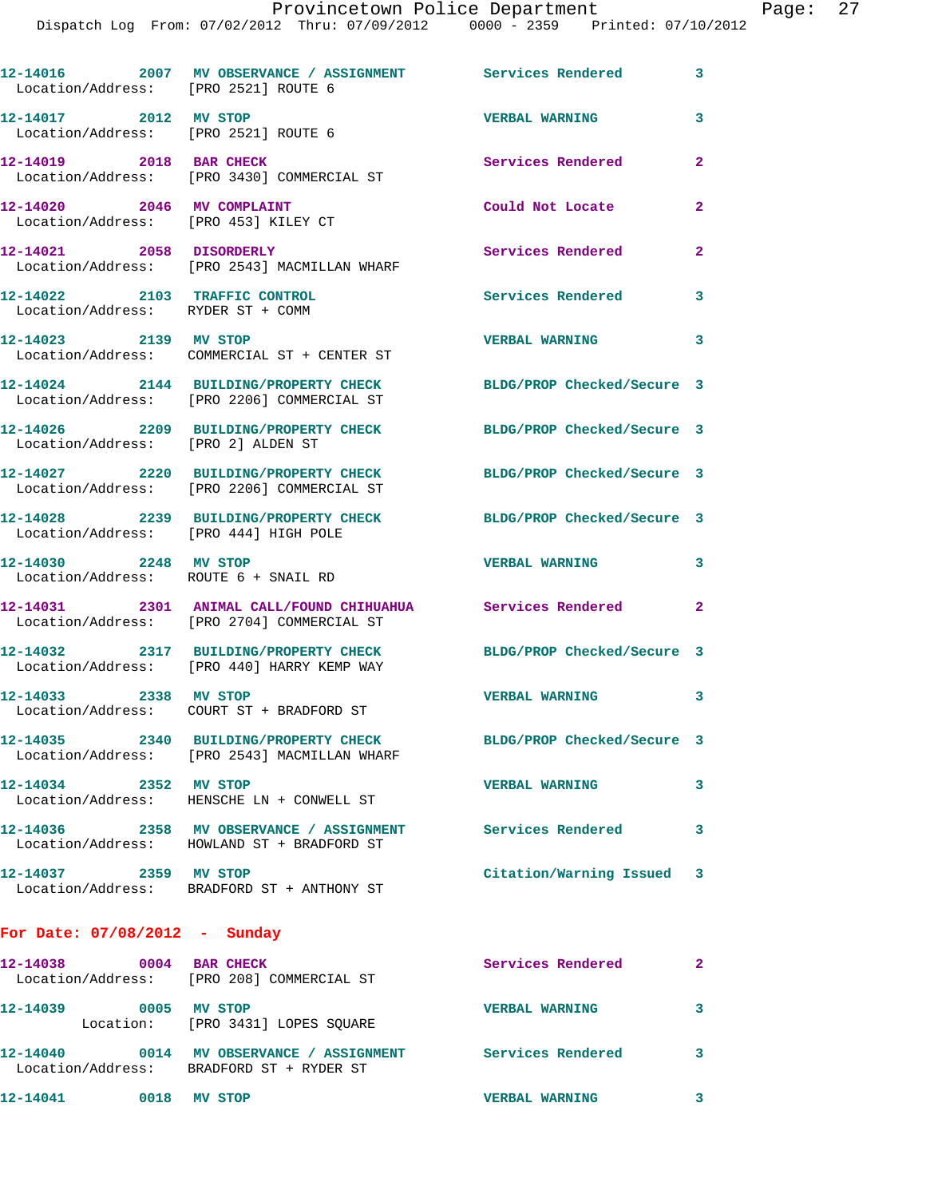| Location/Address: [PRO 2521] ROUTE 6                               | 12-14016 2007 MV OBSERVANCE / ASSIGNMENT Services Rendered                                                |                            | 3              |
|--------------------------------------------------------------------|-----------------------------------------------------------------------------------------------------------|----------------------------|----------------|
| 12-14017 2012 MV STOP<br>Location/Address: [PRO 2521] ROUTE 6      |                                                                                                           | <b>VERBAL WARNING</b>      | 3              |
| 12-14019 2018 BAR CHECK                                            | Location/Address: [PRO 3430] COMMERCIAL ST                                                                | Services Rendered          | $\overline{a}$ |
| 12-14020 2046 MV COMPLAINT<br>Location/Address: [PRO 453] KILEY CT |                                                                                                           | Could Not Locate           | $\mathbf{2}$   |
| 12-14021 2058 DISORDERLY                                           | Location/Address: [PRO 2543] MACMILLAN WHARF                                                              | <b>Services Rendered</b>   | $\mathbf{2}$   |
| 12-14022 2103 TRAFFIC CONTROL<br>Location/Address: RYDER ST + COMM |                                                                                                           | Services Rendered          | 3              |
| 12-14023 2139 MV STOP                                              | Location/Address: COMMERCIAL ST + CENTER ST                                                               | <b>VERBAL WARNING</b>      | 3              |
|                                                                    | 12-14024 2144 BUILDING/PROPERTY CHECK<br>Location/Address: [PRO 2206] COMMERCIAL ST                       | BLDG/PROP Checked/Secure 3 |                |
| Location/Address: [PRO 2] ALDEN ST                                 | 12-14026 2209 BUILDING/PROPERTY CHECK                                                                     | BLDG/PROP Checked/Secure 3 |                |
|                                                                    | 12-14027 2220 BUILDING/PROPERTY CHECK<br>Location/Address: [PRO 2206] COMMERCIAL ST                       | BLDG/PROP Checked/Secure 3 |                |
| Location/Address: [PRO 444] HIGH POLE                              | 12-14028 2239 BUILDING/PROPERTY CHECK                                                                     | BLDG/PROP Checked/Secure 3 |                |
| 12-14030 2248 MV STOP                                              | Location/Address: ROUTE 6 + SNAIL RD                                                                      | <b>VERBAL WARNING</b>      | 3              |
|                                                                    | 12-14031 2301 ANIMAL CALL/FOUND CHIHUAHUA Services Rendered<br>Location/Address: [PRO 2704] COMMERCIAL ST |                            | $\overline{2}$ |
|                                                                    | 12-14032 2317 BUILDING/PROPERTY CHECK<br>Location/Address: [PRO 440] HARRY KEMP WAY                       | BLDG/PROP Checked/Secure 3 |                |
| 12-14033 2338 MV STOP                                              | Location/Address: COURT ST + BRADFORD ST                                                                  | <b>VERBAL WARNING</b>      | 3              |
|                                                                    | 12-14035 2340 BUILDING/PROPERTY CHECK<br>Location/Address: [PRO 2543] MACMILLAN WHARF                     | BLDG/PROP Checked/Secure 3 |                |
| 12-14034 2352 MV STOP                                              | Location/Address: HENSCHE LN + CONWELL ST                                                                 | <b>VERBAL WARNING</b>      | 3              |
|                                                                    | 12-14036 2358 MV OBSERVANCE / ASSIGNMENT Services Rendered<br>Location/Address: HOWLAND ST + BRADFORD ST  |                            | 3              |
| 12-14037 2359 MV STOP                                              | Location/Address: BRADFORD ST + ANTHONY ST                                                                | Citation/Warning Issued 3  |                |
| For Date: $07/08/2012 - Sunday$                                    |                                                                                                           |                            |                |
|                                                                    | 12-14038 0004 BAR CHECK<br>Location/Address: [PRO 208] COMMERCIAL ST                                      | Services Rendered 2        |                |
| 12-14039 0005 MV STOP                                              | Location: [PRO 3431] LOPES SQUARE                                                                         | <b>VERBAL WARNING</b>      | 3              |
|                                                                    | 12-14040 0014 MV OBSERVANCE / ASSIGNMENT Services Rendered<br>Location/Address: BRADFORD ST + RYDER ST    |                            | 3              |

**12-14041 0018 MV STOP VERBAL WARNING 3**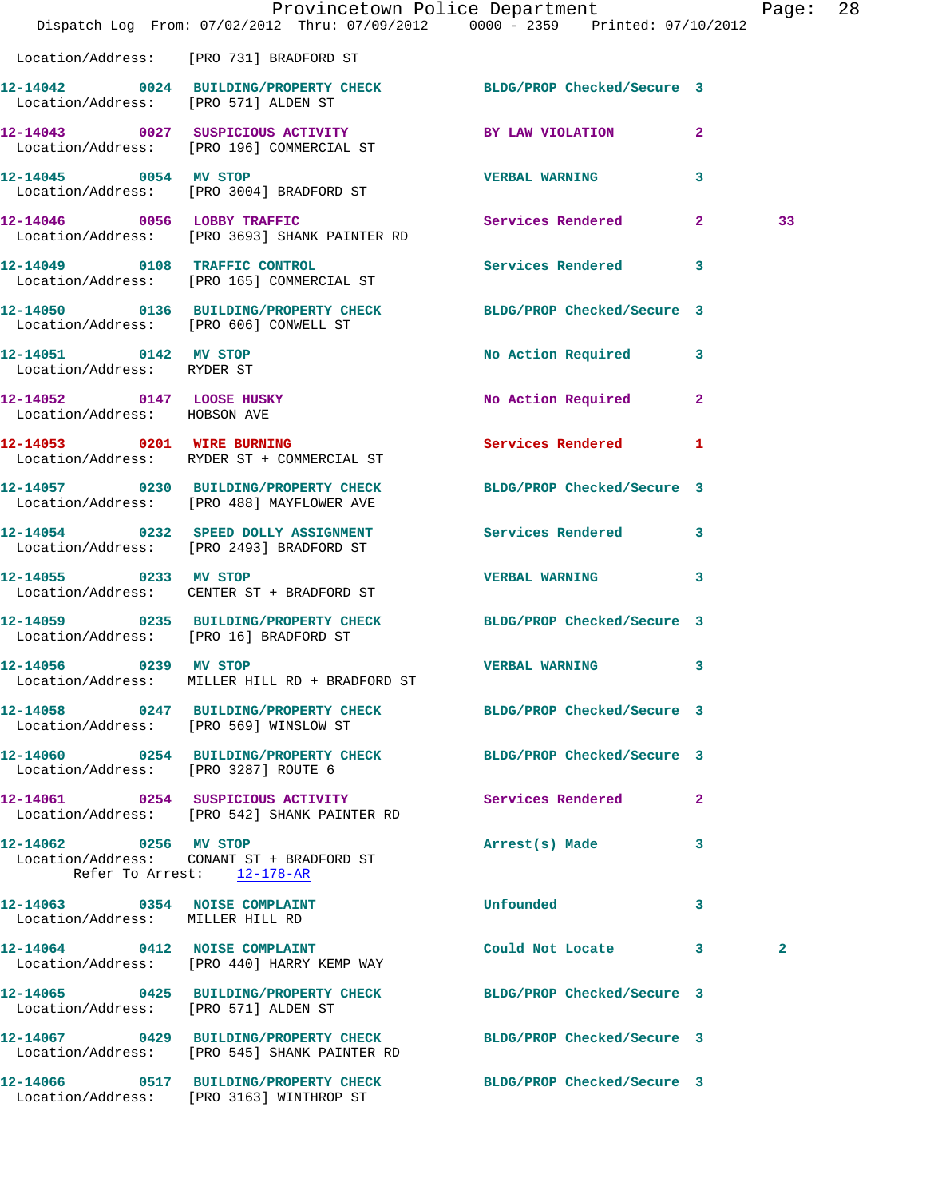|                                                                   | Dispatch Log From: 07/02/2012 Thru: 07/09/2012 0000 - 2359 Printed: 07/10/2012                                   | Provincetown Police Department Page: 28 |   |              |  |
|-------------------------------------------------------------------|------------------------------------------------------------------------------------------------------------------|-----------------------------------------|---|--------------|--|
|                                                                   | Location/Address: [PRO 731] BRADFORD ST                                                                          |                                         |   |              |  |
|                                                                   | 12-14042 0024 BUILDING/PROPERTY CHECK BLDG/PROP Checked/Secure 3<br>Location/Address: [PRO 571] ALDEN ST         |                                         |   |              |  |
|                                                                   | 12-14043 0027 SUSPICIOUS ACTIVITY BY LAW VIOLATION 2<br>Location/Address: [PRO 196] COMMERCIAL ST                |                                         |   |              |  |
| 12-14045 0054 MV STOP                                             | Location/Address: [PRO 3004] BRADFORD ST                                                                         | VERBAL WARNING 3                        |   |              |  |
|                                                                   | 12-14046 0056 LOBBY TRAFFIC<br>Location/Address: [PRO 3693] SHANK PAINTER RD                                     | Services Rendered 2                     |   | 33           |  |
|                                                                   | 12-14049 0108 TRAFFIC CONTROL<br>Location/Address: [PRO 165] COMMERCIAL ST                                       | Services Rendered 3                     |   |              |  |
| Location/Address: [PRO 606] CONWELL ST                            | 12-14050 0136 BUILDING/PROPERTY CHECK BLDG/PROP Checked/Secure 3                                                 |                                         |   |              |  |
| 12-14051 0142 MV STOP<br>Location/Address: RYDER ST               |                                                                                                                  | No Action Required 3                    |   |              |  |
| 12-14052 0147 LOOSE HUSKY<br>Location/Address: HOBSON AVE         |                                                                                                                  | No Action Required 2                    |   |              |  |
|                                                                   | 12-14053 0201 WIRE BURNING<br>Location/Address: RYDER ST + COMMERCIAL ST                                         | Services Rendered 1                     |   |              |  |
|                                                                   | 12-14057 0230 BUILDING/PROPERTY CHECK BLDG/PROP Checked/Secure 3<br>Location/Address: [PRO 488] MAYFLOWER AVE    |                                         |   |              |  |
|                                                                   | 12-14054 0232 SPEED DOLLY ASSIGNMENT<br>Location/Address: [PRO 2493] BRADFORD ST                                 | Services Rendered 3                     |   |              |  |
|                                                                   | 12-14055 0233 MV STOP<br>Location/Address: CENTER ST + BRADFORD ST                                               | VERBAL WARNING 3                        |   |              |  |
| Location/Address: [PRO 16] BRADFORD ST                            | 12-14059 0235 BUILDING/PROPERTY CHECK BLDG/PROP Checked/Secure 3                                                 |                                         |   |              |  |
| 12-14056 0239 MV STOP                                             | Location/Address: MILLER HILL RD + BRADFORD ST                                                                   | <b>VERBAL WARNING</b> 3                 |   |              |  |
|                                                                   | 12-14058 0247 BUILDING/PROPERTY CHECK BLDG/PROP Checked/Secure 3<br>Location/Address: [PRO 569] WINSLOW ST       |                                         |   |              |  |
| Location/Address: [PRO 3287] ROUTE 6                              | 12-14060 0254 BUILDING/PROPERTY CHECK BLDG/PROP Checked/Secure 3                                                 |                                         |   |              |  |
|                                                                   | 12-14061 0254 SUSPICIOUS ACTIVITY<br>Location/Address: [PRO 542] SHANK PAINTER RD                                | Services Rendered 2                     |   |              |  |
| 12-14062 0256 MV STOP<br>Refer To Arrest: 12-178-AR               | Location/Address: CONANT ST + BRADFORD ST                                                                        | Arrest(s) Made                          | 3 |              |  |
| 12-14063 0354 NOISE COMPLAINT<br>Location/Address: MILLER HILL RD |                                                                                                                  | Unfounded                               | 3 |              |  |
|                                                                   | 12-14064 0412 NOISE COMPLAINT<br>Location/Address: [PRO 440] HARRY KEMP WAY                                      | Could Not Locate 3                      |   | $\mathbf{2}$ |  |
| Location/Address: [PRO 571] ALDEN ST                              | 12-14065 0425 BUILDING/PROPERTY CHECK BLDG/PROP Checked/Secure 3                                                 |                                         |   |              |  |
|                                                                   | 12-14067 0429 BUILDING/PROPERTY CHECK BLDG/PROP Checked/Secure 3<br>Location/Address: [PRO 545] SHANK PAINTER RD |                                         |   |              |  |
|                                                                   | 12-14066 0517 BUILDING/PROPERTY CHECK BLDG/PROP Checked/Secure 3<br>Location/Address: [PRO 3163] WINTHROP ST     |                                         |   |              |  |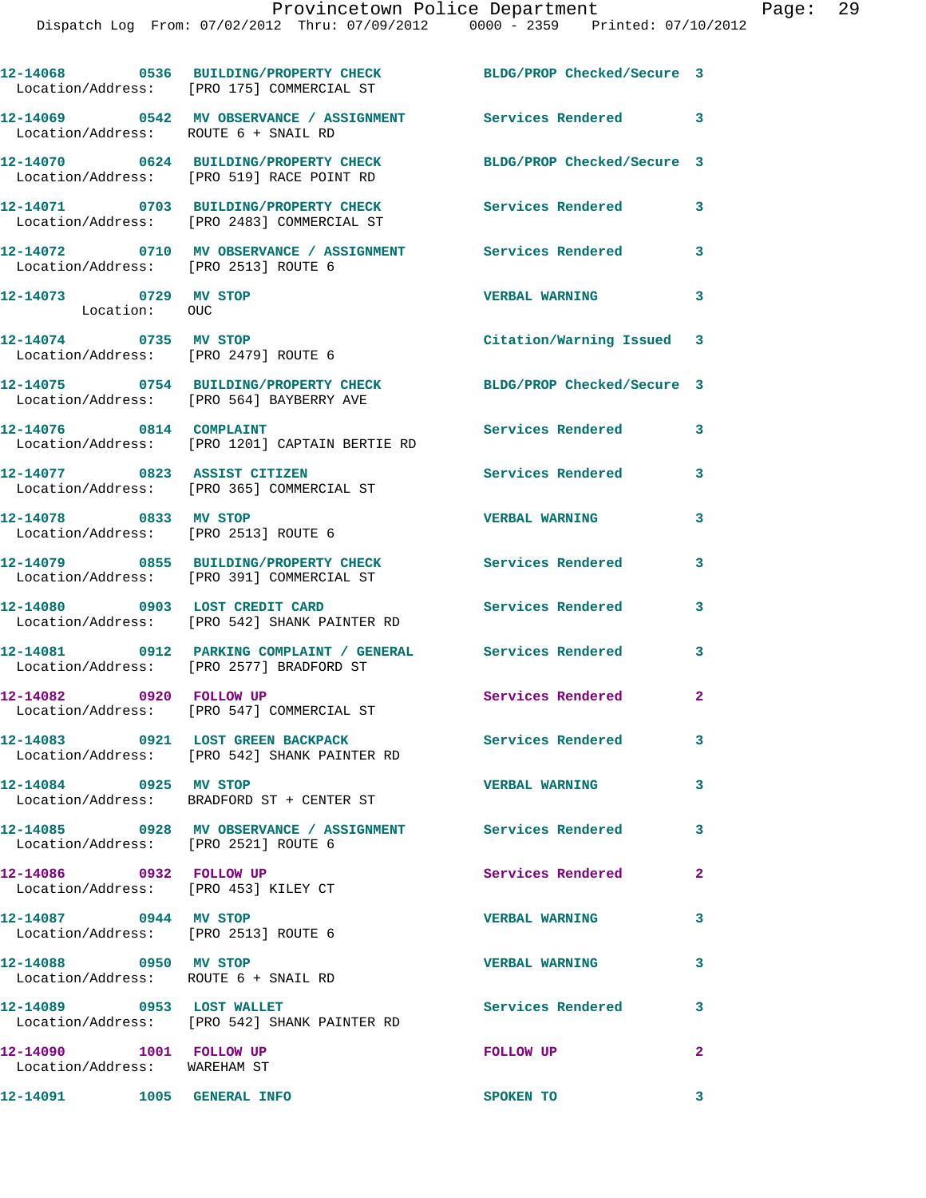|                                                                 | 12-14068 0536 BUILDING/PROPERTY CHECK<br>Location/Address: [PRO 175] COMMERCIAL ST                      | BLDG/PROP Checked/Secure 3 |              |
|-----------------------------------------------------------------|---------------------------------------------------------------------------------------------------------|----------------------------|--------------|
| Location/Address: ROUTE 6 + SNAIL RD                            | 12-14069 0542 MV OBSERVANCE / ASSIGNMENT                                                                | Services Rendered 3        |              |
|                                                                 | 12-14070 0624 BUILDING/PROPERTY CHECK<br>Location/Address: [PRO 519] RACE POINT RD                      | BLDG/PROP Checked/Secure 3 |              |
|                                                                 | 12-14071 0703 BUILDING/PROPERTY CHECK<br>Location/Address: [PRO 2483] COMMERCIAL ST                     | Services Rendered          | 3            |
| Location/Address: [PRO 2513] ROUTE 6                            | 12-14072 0710 MV OBSERVANCE / ASSIGNMENT                                                                | Services Rendered          | 3            |
| 12-14073 0729 MV STOP<br>Location: OUC                          |                                                                                                         | <b>VERBAL WARNING</b>      | 3            |
| 12-14074 0735 MV STOP<br>Location/Address: [PRO 2479] ROUTE 6   |                                                                                                         | Citation/Warning Issued 3  |              |
|                                                                 | 12-14075 0754 BUILDING/PROPERTY CHECK<br>Location/Address: [PRO 564] BAYBERRY AVE                       | BLDG/PROP Checked/Secure 3 |              |
| 12-14076 0814 COMPLAINT                                         | Location/Address: [PRO 1201] CAPTAIN BERTIE RD                                                          | Services Rendered          | 3            |
| 12-14077 0823 ASSIST CITIZEN                                    | Location/Address: [PRO 365] COMMERCIAL ST                                                               | Services Rendered          | 3            |
| 12-14078 0833 MV STOP<br>Location/Address: [PRO 2513] ROUTE 6   |                                                                                                         | <b>VERBAL WARNING</b>      | 3            |
|                                                                 | 12-14079 0855 BUILDING/PROPERTY CHECK<br>Location/Address: [PRO 391] COMMERCIAL ST                      | Services Rendered          | 3            |
| 12-14080 0903 LOST CREDIT CARD                                  | Location/Address: [PRO 542] SHANK PAINTER RD                                                            | Services Rendered          | 3            |
|                                                                 | 12-14081 0912 PARKING COMPLAINT / GENERAL Services Rendered<br>Location/Address: [PRO 2577] BRADFORD ST |                            | 3            |
| 12-14082 0920 FOLLOW UP                                         | Location/Address: [PRO 547] COMMERCIAL ST                                                               | Services Rendered          | $\mathbf{2}$ |
|                                                                 | 12-14083 0921 LOST GREEN BACKPACK<br>Location/Address: [PRO 542] SHANK PAINTER RD                       | Services Rendered          | 3            |
| 12-14084 0925 MV STOP                                           | Location/Address: BRADFORD ST + CENTER ST                                                               | <b>VERBAL WARNING</b>      | 3            |
| Location/Address: [PRO 2521] ROUTE 6                            | 12-14085 0928 MV OBSERVANCE / ASSIGNMENT Services Rendered                                              |                            | 3            |
| 12-14086 0932 FOLLOW UP<br>Location/Address: [PRO 453] KILEY CT |                                                                                                         | Services Rendered          | $\mathbf{2}$ |
| 12-14087 0944 MV STOP<br>Location/Address: [PRO 2513] ROUTE 6   |                                                                                                         | <b>VERBAL WARNING</b>      | 3            |
| 12-14088 0950 MV STOP<br>Location/Address: ROUTE 6 + SNAIL RD   |                                                                                                         | <b>VERBAL WARNING</b>      | 3            |
| 12-14089 0953 LOST WALLET                                       | Location/Address: [PRO 542] SHANK PAINTER RD                                                            | <b>Services Rendered</b>   | 3            |
| 12-14090 1001 FOLLOW UP<br>Location/Address: WAREHAM ST         |                                                                                                         | <b>FOLLOW UP</b>           | $\mathbf{2}$ |
| 12-14091 1005 GENERAL INFO                                      |                                                                                                         | SPOKEN TO                  | 3            |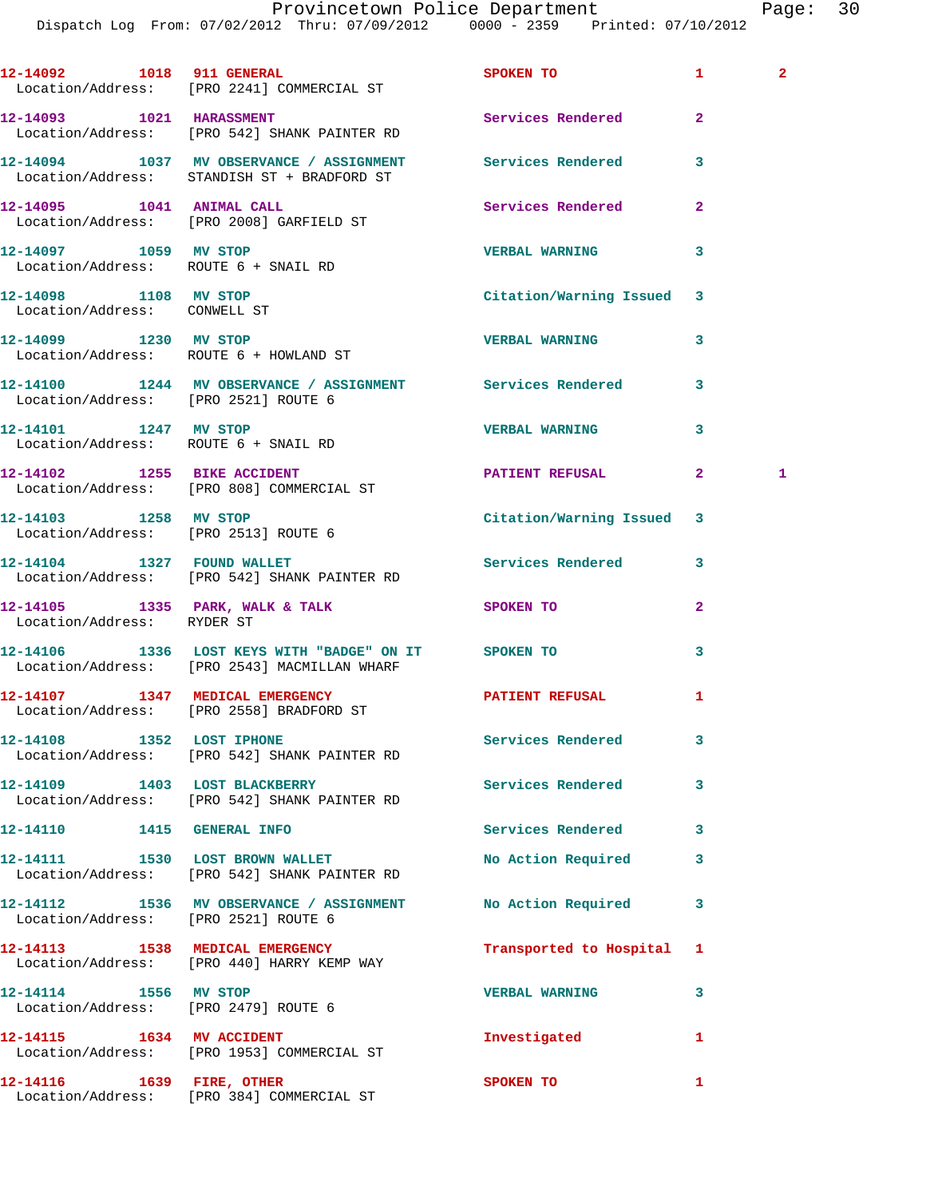Dispatch Log From: 07/02/2012 Thru: 07/09/2012 0000 - 2359 Printed: 07/10/2012

|                                                               | 12-14092 1018 911 GENERAL<br>Location/Address: [PRO 2241] COMMERCIAL ST                                   | SPOKEN TO                 | $\mathbf{1}$ | $\mathbf{2}$ |
|---------------------------------------------------------------|-----------------------------------------------------------------------------------------------------------|---------------------------|--------------|--------------|
|                                                               | 12-14093    1021    HARASSMENT<br>Location/Address: [PRO 542] SHANK PAINTER RD                            | Services Rendered         | $\mathbf{2}$ |              |
|                                                               | 12-14094 1037 MV OBSERVANCE / ASSIGNMENT Services Rendered<br>Location/Address: STANDISH ST + BRADFORD ST |                           | 3            |              |
|                                                               | 12-14095   1041   ANIMAL CALL<br>Location/Address: [PRO 2008] GARFIELD ST                                 | <b>Services Rendered</b>  | $\mathbf{2}$ |              |
| 12-14097 1059 MV STOP<br>Location/Address: ROUTE 6 + SNAIL RD |                                                                                                           | <b>VERBAL WARNING</b>     | 3            |              |
| 12-14098 1108 MV STOP<br>Location/Address: CONWELL ST         |                                                                                                           | Citation/Warning Issued   | 3            |              |
| 12-14099 1230 MV STOP                                         | Location/Address: ROUTE 6 + HOWLAND ST                                                                    | <b>VERBAL WARNING</b>     | 3            |              |
| Location/Address: [PRO 2521] ROUTE 6                          | 12-14100 1244 MV OBSERVANCE / ASSIGNMENT Services Rendered                                                |                           | 3            |              |
| 12-14101 1247 MV STOP<br>Location/Address: ROUTE 6 + SNAIL RD |                                                                                                           | <b>VERBAL WARNING</b>     | 3            |              |
|                                                               | 12-14102 1255 BIKE ACCIDENT<br>Location/Address: [PRO 808] COMMERCIAL ST                                  | PATIENT REFUSAL           | $\mathbf{2}$ | 1            |
| 12-14103 1258 MV STOP                                         | Location/Address: [PRO 2513] ROUTE 6                                                                      | Citation/Warning Issued 3 |              |              |
|                                                               | 12-14104 1327 FOUND WALLET<br>Location/Address: [PRO 542] SHANK PAINTER RD                                | Services Rendered         | 3            |              |
| Location/Address: RYDER ST                                    | 12-14105 1335 PARK, WALK & TALK                                                                           | SPOKEN TO                 | $\mathbf{2}$ |              |
|                                                               | 12-14106 1336 LOST KEYS WITH "BADGE" ON IT SPOKEN TO<br>Location/Address: [PRO 2543] MACMILLAN WHARF      |                           | 3            |              |
|                                                               | 12-14107 1347 MEDICAL EMERGENCY<br>Location/Address: [PRO 2558] BRADFORD ST                               | PATIENT REFUSAL           | 1            |              |
| 12-14108 1352 LOST IPHONE                                     | Location/Address: [PRO 542] SHANK PAINTER RD                                                              | Services Rendered         | 3            |              |
| 12-14109 1403 LOST BLACKBERRY                                 | Location/Address: [PRO 542] SHANK PAINTER RD                                                              | <b>Services Rendered</b>  | 3            |              |
| 12-14110   1415   GENERAL INFO                                |                                                                                                           | <b>Services Rendered</b>  | 3            |              |
|                                                               | 12-14111 1530 LOST BROWN WALLET<br>Location/Address: [PRO 542] SHANK PAINTER RD                           | No Action Required        | 3            |              |
| Location/Address: [PRO 2521] ROUTE 6                          | 12-14112 1536 MV OBSERVANCE / ASSIGNMENT No Action Required                                               |                           | 3            |              |
|                                                               | 12-14113 1538 MEDICAL EMERGENCY<br>Location/Address: [PRO 440] HARRY KEMP WAY                             | Transported to Hospital   | 1            |              |
| 12-14114 1556 MV STOP<br>Location/Address: [PRO 2479] ROUTE 6 |                                                                                                           | <b>VERBAL WARNING</b>     | 3            |              |
| 12-14115 1634 MV ACCIDENT                                     | Location/Address: [PRO 1953] COMMERCIAL ST                                                                | Investigated              | 1            |              |
| 12-14116   1639   FIRE, OTHER                                 | Location/Address: [PRO 384] COMMERCIAL ST                                                                 | SPOKEN TO                 | 1            |              |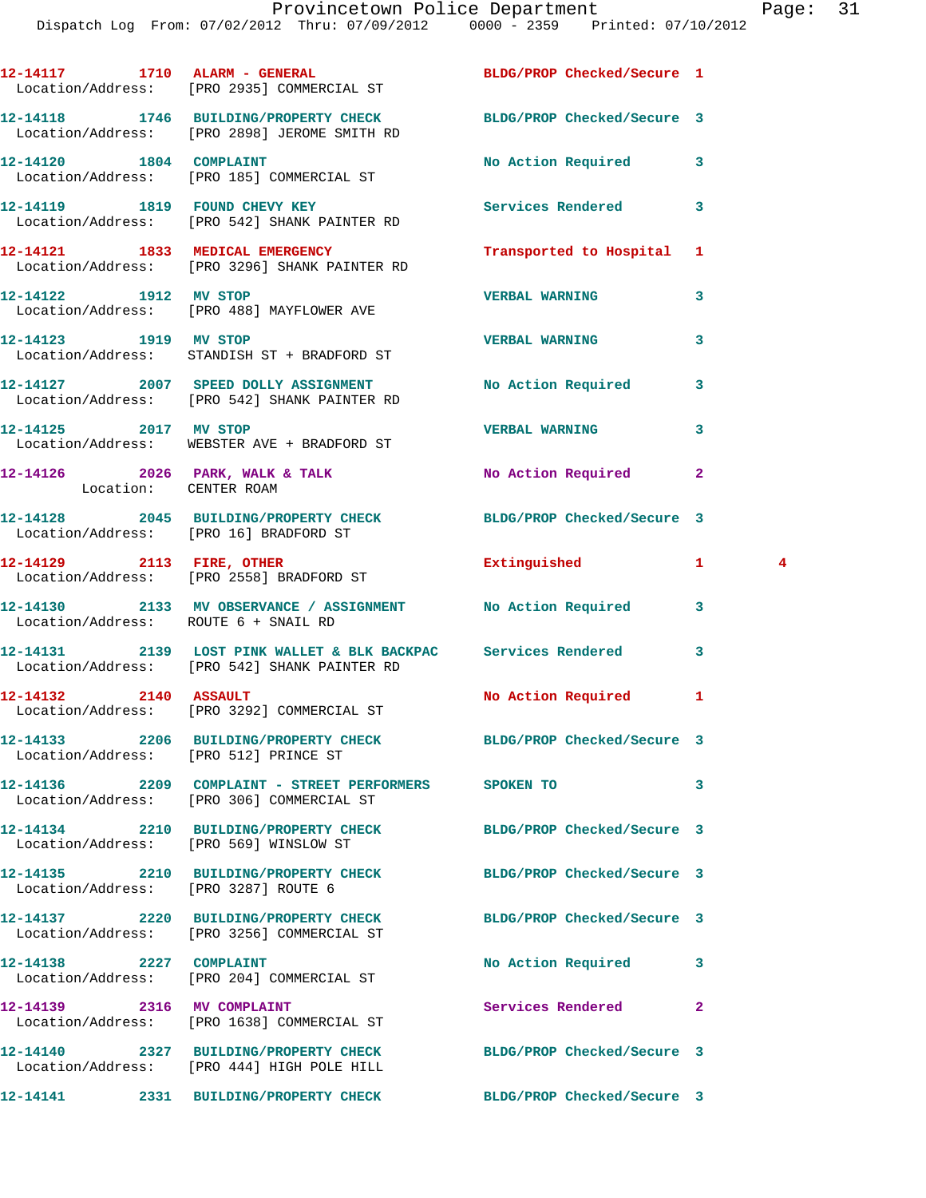|                                        | 12-14117 1710 ALARM - GENERAL<br>Location/Address: [PRO 2935] COMMERCIAL ST                                      | BLDG/PROP Checked/Secure 1 |                                         |
|----------------------------------------|------------------------------------------------------------------------------------------------------------------|----------------------------|-----------------------------------------|
|                                        | 12-14118 1746 BUILDING/PROPERTY CHECK BLDG/PROP Checked/Secure 3<br>Location/Address: [PRO 2898] JEROME SMITH RD |                            |                                         |
|                                        | 12-14120 1804 COMPLAINT<br>Location/Address: [PRO 185] COMMERCIAL ST                                             | No Action Required         | 3                                       |
|                                        | 12-14119 1819 FOUND CHEVY KEY<br>Location/Address: [PRO 542] SHANK PAINTER RD                                    | Services Rendered          | 3                                       |
|                                        | 12-14121 1833 MEDICAL EMERGENCY<br>Location/Address: [PRO 3296] SHANK PAINTER RD                                 | Transported to Hospital 1  |                                         |
| 12-14122 1912 MV STOP                  | Location/Address: [PRO 488] MAYFLOWER AVE                                                                        | <b>VERBAL WARNING</b>      | 3                                       |
| 12-14123 1919 MV STOP                  | Location/Address: STANDISH ST + BRADFORD ST                                                                      | <b>VERBAL WARNING</b>      | 3                                       |
|                                        | 12-14127 2007 SPEED DOLLY ASSIGNMENT No Action Required<br>Location/Address: [PRO 542] SHANK PAINTER RD          |                            | 3                                       |
| 12-14125 2017 MV STOP                  | Location/Address: WEBSTER AVE + BRADFORD ST                                                                      | <b>VERBAL WARNING</b>      | 3                                       |
| Location: CENTER ROAM                  | $12-14126$ 2026 PARK, WALK & TALK                                                                                | No Action Required         | $\mathbf{2}$                            |
|                                        | 12-14128 2045 BUILDING/PROPERTY CHECK BLDG/PROP Checked/Secure 3<br>Location/Address: [PRO 16] BRADFORD ST       |                            |                                         |
|                                        | 12-14129 2113 FIRE, OTHER<br>Location/Address: [PRO 2558] BRADFORD ST                                            | Extinguished               | $\mathbf{1}$<br>$\overline{\mathbf{4}}$ |
| Location/Address: ROUTE 6 + SNAIL RD   | 12-14130 2133 MV OBSERVANCE / ASSIGNMENT No Action Required                                                      |                            | 3                                       |
|                                        | 12-14131 2139 LOST PINK WALLET & BLK BACKPAC Services Rendered<br>Location/Address: [PRO 542] SHANK PAINTER RD   |                            | 3                                       |
| 12-14132 2140 ASSAULT                  | Location/Address: [PRO 3292] COMMERCIAL ST                                                                       | No Action Required         | $\mathbf{1}$                            |
| Location/Address: [PRO 512] PRINCE ST  | 12-14133 2206 BUILDING/PROPERTY CHECK BLDG/PROP Checked/Secure 3                                                 |                            |                                         |
|                                        | 12-14136  2209  COMPLAINT - STREET PERFORMERS  SPOKEN TO<br>Location/Address: [PRO 306] COMMERCIAL ST            |                            | 3                                       |
| Location/Address: [PRO 569] WINSLOW ST | 12-14134 2210 BUILDING/PROPERTY CHECK BLDG/PROP Checked/Secure 3                                                 |                            |                                         |
| Location/Address: [PRO 3287] ROUTE 6   | 12-14135 2210 BUILDING/PROPERTY CHECK BLDG/PROP Checked/Secure 3                                                 |                            |                                         |
|                                        | 12-14137 2220 BUILDING/PROPERTY CHECK BLDG/PROP Checked/Secure 3<br>Location/Address: [PRO 3256] COMMERCIAL ST   |                            |                                         |
| 12-14138 2227 COMPLAINT                | Location/Address: [PRO 204] COMMERCIAL ST                                                                        | No Action Required         | 3                                       |
| 12-14139 2316 MV COMPLAINT             | Location/Address: [PRO 1638] COMMERCIAL ST                                                                       | Services Rendered          | $\overline{2}$                          |
|                                        | 12-14140 2327 BUILDING/PROPERTY CHECK BLDG/PROP Checked/Secure 3<br>Location/Address: [PRO 444] HIGH POLE HILL   |                            |                                         |
|                                        | 12-14141 2331 BUILDING/PROPERTY CHECK                                                                            | BLDG/PROP Checked/Secure 3 |                                         |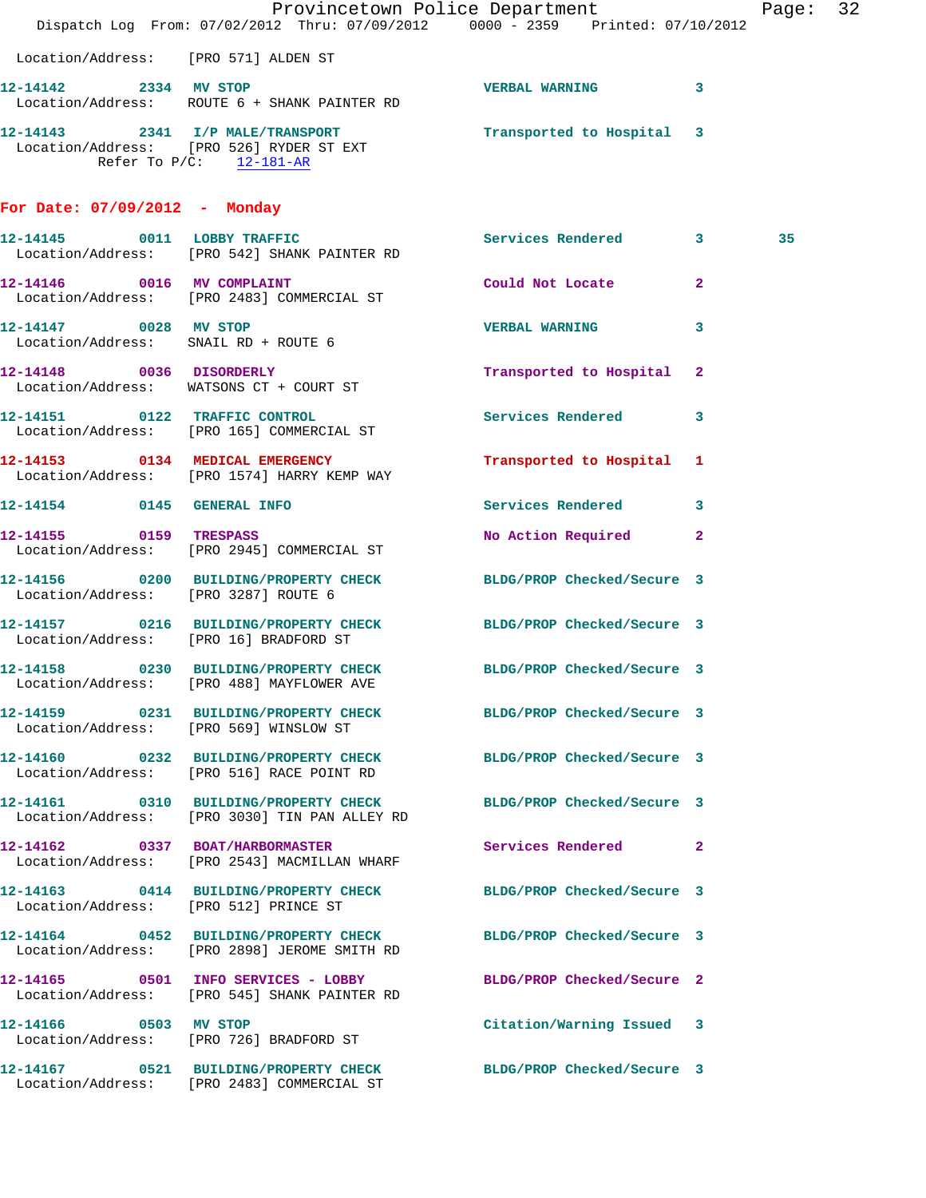|                                      | Dispatch Log From: 07/02/2012 Thru: 07/09/2012 0000 - 2359 Printed: 07/10/2012                                    | Provincetown Police Department |              | Page: 32 |
|--------------------------------------|-------------------------------------------------------------------------------------------------------------------|--------------------------------|--------------|----------|
| Location/Address: [PRO 571] ALDEN ST |                                                                                                                   |                                |              |          |
| 12-14142 2334 MV STOP                | Location/Address: ROUTE 6 + SHANK PAINTER RD                                                                      | VERBAL WARNING 3               |              |          |
|                                      | 12-14143 2341 I/P MALE/TRANSPORT<br>Location/Address: [PRO 526] RYDER ST EXT<br>Refer To $P/C$ : 12-181-AR        | Transported to Hospital 3      |              |          |
| For Date: $07/09/2012$ - Monday      |                                                                                                                   |                                |              |          |
|                                      | 12-14145 0011 LOBBY TRAFFIC<br>Location/Address: [PRO 542] SHANK PAINTER RD                                       | Services Rendered 3            | 35           |          |
| 12-14146 0016 MV COMPLAINT           | Location/Address: [PRO 2483] COMMERCIAL ST                                                                        | Could Not Locate               | $\mathbf{2}$ |          |
| 12-14147 0028 MV STOP                | Location/Address: SNAIL RD + ROUTE 6                                                                              | <b>VERBAL WARNING</b>          | 3            |          |
|                                      | 12-14148 0036 DISORDERLY<br>Location/Address: WATSONS CT + COURT ST                                               | Transported to Hospital 2      |              |          |
|                                      | 12-14151 0122 TRAFFIC CONTROL<br>Location/Address: [PRO 165] COMMERCIAL ST                                        | Services Rendered              | 3            |          |
|                                      | 12-14153 0134 MEDICAL EMERGENCY<br>Location/Address: [PRO 1574] HARRY KEMP WAY                                    | Transported to Hospital 1      |              |          |
|                                      | 12-14154 0145 GENERAL INFO                                                                                        | Services Rendered 3            |              |          |
| 12-14155 0159 TRESPASS               | Location/Address: [PRO 2945] COMMERCIAL ST                                                                        | No Action Required             | $\mathbf{2}$ |          |
| Location/Address: [PRO 3287] ROUTE 6 | 12-14156 0200 BUILDING/PROPERTY CHECK BLDG/PROP Checked/Secure 3                                                  |                                |              |          |
|                                      | 12-14157 0216 BUILDING/PROPERTY CHECK BLDG/PROP Checked/Secure 3<br>Location/Address: [PRO 16] BRADFORD ST        |                                |              |          |
|                                      | 12-14158 0230 BUILDING/PROPERTY CHECK BLDG/PROP Checked/Secure 3<br>Location/Address: [PRO 488] MAYFLOWER AVE     |                                |              |          |
|                                      | 12-14159 0231 BUILDING/PROPERTY CHECK BLDG/PROP Checked/Secure 3<br>Location/Address: [PRO 569] WINSLOW ST        |                                |              |          |
|                                      | 12-14160 0232 BUILDING/PROPERTY CHECK<br>Location/Address: [PRO 516] RACE POINT RD                                | BLDG/PROP Checked/Secure 3     |              |          |
|                                      | 12-14161 0310 BUILDING/PROPERTY CHECK BLDG/PROP Checked/Secure 3<br>Location/Address: [PRO 3030] TIN PAN ALLEY RD |                                |              |          |
|                                      | 12-14162 0337 BOAT/HARBORMASTER<br>Location/Address: [PRO 2543] MACMILLAN WHARF                                   | Services Rendered 2            |              |          |
|                                      | 12-14163 0414 BUILDING/PROPERTY CHECK BLDG/PROP Checked/Secure 3<br>Location/Address: [PRO 512] PRINCE ST         |                                |              |          |
|                                      | 12-14164 0452 BUILDING/PROPERTY CHECK<br>Location/Address: [PRO 2898] JEROME SMITH RD                             | BLDG/PROP Checked/Secure 3     |              |          |
|                                      | 12-14165 0501 INFO SERVICES - LOBBY BLDG/PROP Checked/Secure 2<br>Location/Address: [PRO 545] SHANK PAINTER RD    |                                |              |          |
|                                      | 12-14166 0503 MV STOP<br>Location/Address: [PRO 726] BRADFORD ST                                                  | Citation/Warning Issued 3      |              |          |
|                                      | 12-14167 0521 BUILDING/PROPERTY CHECK<br>Location/Address: [PRO 2483] COMMERCIAL ST                               | BLDG/PROP Checked/Secure 3     |              |          |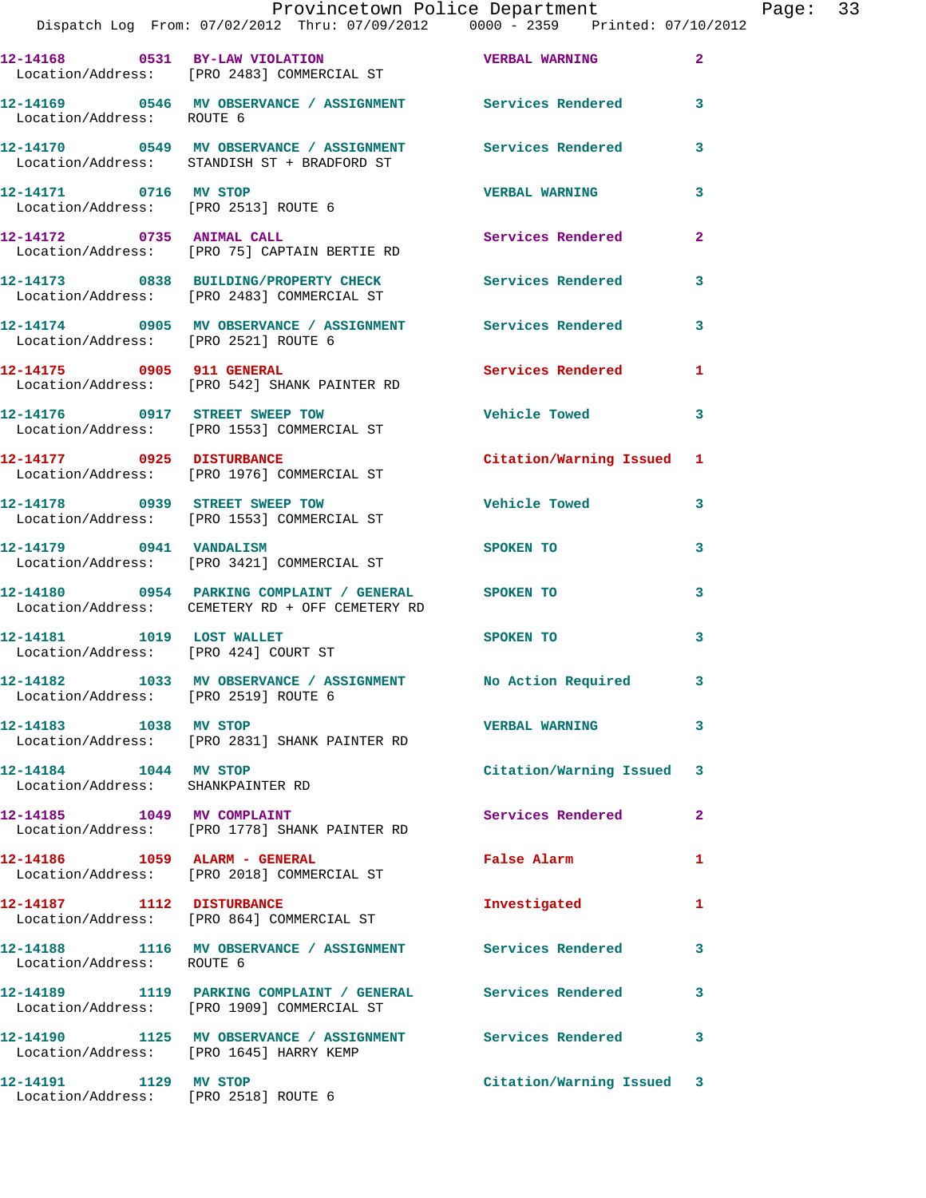|                                                                         | 12-14168 0531 BY-LAW VIOLATION<br>Location/Address: [PRO 2483] COMMERCIAL ST                              | <b>VERBAL WARNING</b>     | $\overline{2}$          |
|-------------------------------------------------------------------------|-----------------------------------------------------------------------------------------------------------|---------------------------|-------------------------|
| Location/Address: ROUTE 6                                               | 12-14169 0546 MV OBSERVANCE / ASSIGNMENT Services Rendered 3                                              |                           |                         |
|                                                                         | 12-14170 0549 MV OBSERVANCE / ASSIGNMENT<br>Location/Address: STANDISH ST + BRADFORD ST                   | Services Rendered         | 3                       |
| 12-14171 0716 MV STOP<br>Location/Address: [PRO 2513] ROUTE 6           |                                                                                                           | <b>VERBAL WARNING</b>     | 3                       |
|                                                                         | 12-14172 0735 ANIMAL CALL<br>Location/Address: [PRO 75] CAPTAIN BERTIE RD                                 | Services Rendered         | $\overline{\mathbf{2}}$ |
|                                                                         | 12-14173 0838 BUILDING/PROPERTY CHECK<br>Location/Address: [PRO 2483] COMMERCIAL ST                       | <b>Services Rendered</b>  | 3                       |
| Location/Address: [PRO 2521] ROUTE 6                                    | 12-14174 0905 MV OBSERVANCE / ASSIGNMENT Services Rendered                                                |                           | 3                       |
| 12-14175 0905 911 GENERAL                                               | Location/Address: [PRO 542] SHANK PAINTER RD                                                              | Services Rendered         | 1                       |
|                                                                         | 12-14176 0917 STREET SWEEP TOW<br>Location/Address: [PRO 1553] COMMERCIAL ST                              | <b>Vehicle Towed</b>      | $\mathbf{3}$            |
|                                                                         | 12-14177 0925 DISTURBANCE<br>Location/Address: [PRO 1976] COMMERCIAL ST                                   | Citation/Warning Issued 1 |                         |
| 12-14178 0939 STREET SWEEP TOW                                          | Location/Address: [PRO 1553] COMMERCIAL ST                                                                | <b>Vehicle Towed</b>      | 3                       |
| 12-14179 0941 VANDALISM                                                 | Location/Address: [PRO 3421] COMMERCIAL ST                                                                | SPOKEN TO                 | 3                       |
|                                                                         | 12-14180 0954 PARKING COMPLAINT / GENERAL SPOKEN TO<br>Location/Address: CEMETERY RD + OFF CEMETERY RD    |                           | 3                       |
| 12-14181    1019    LOST WALLET<br>Location/Address: [PRO 424] COURT ST |                                                                                                           | SPOKEN TO                 | 3                       |
| Location/Address: [PRO 2519] ROUTE 6                                    | 12-14182 1033 MV OBSERVANCE / ASSIGNMENT No Action Required                                               |                           | 3                       |
| 12-14183 1038 MV STOP                                                   | Location/Address: [PRO 2831] SHANK PAINTER RD                                                             | <b>VERBAL WARNING</b>     | 3                       |
| 12-14184 1044 MV STOP<br>Location/Address: SHANKPAINTER RD              |                                                                                                           | Citation/Warning Issued 3 |                         |
| 12-14185 1049 MV COMPLAINT                                              | Location/Address: [PRO 1778] SHANK PAINTER RD                                                             | Services Rendered         | $\mathbf{2}$            |
| 12-14186    1059    ALARM - GENERAL                                     | Location/Address: [PRO 2018] COMMERCIAL ST                                                                | False Alarm               | 1                       |
| 12-14187 1112 DISTURBANCE                                               | Location/Address: [PRO 864] COMMERCIAL ST                                                                 | Investigated              | 1                       |
| Location/Address: ROUTE 6                                               | 12-14188 1116 MV OBSERVANCE / ASSIGNMENT Services Rendered                                                |                           | 3                       |
|                                                                         | 12-14189 1119 PARKING COMPLAINT / GENERAL Services Rendered<br>Location/Address: [PRO 1909] COMMERCIAL ST |                           | 3                       |
|                                                                         | 12-14190 1125 MV OBSERVANCE / ASSIGNMENT Services Rendered<br>Location/Address: [PRO 1645] HARRY KEMP     |                           | $\mathbf{3}$            |
| 12-14191 1129 MV STOP<br>Location/Address: [PRO 2518] ROUTE 6           |                                                                                                           | Citation/Warning Issued 3 |                         |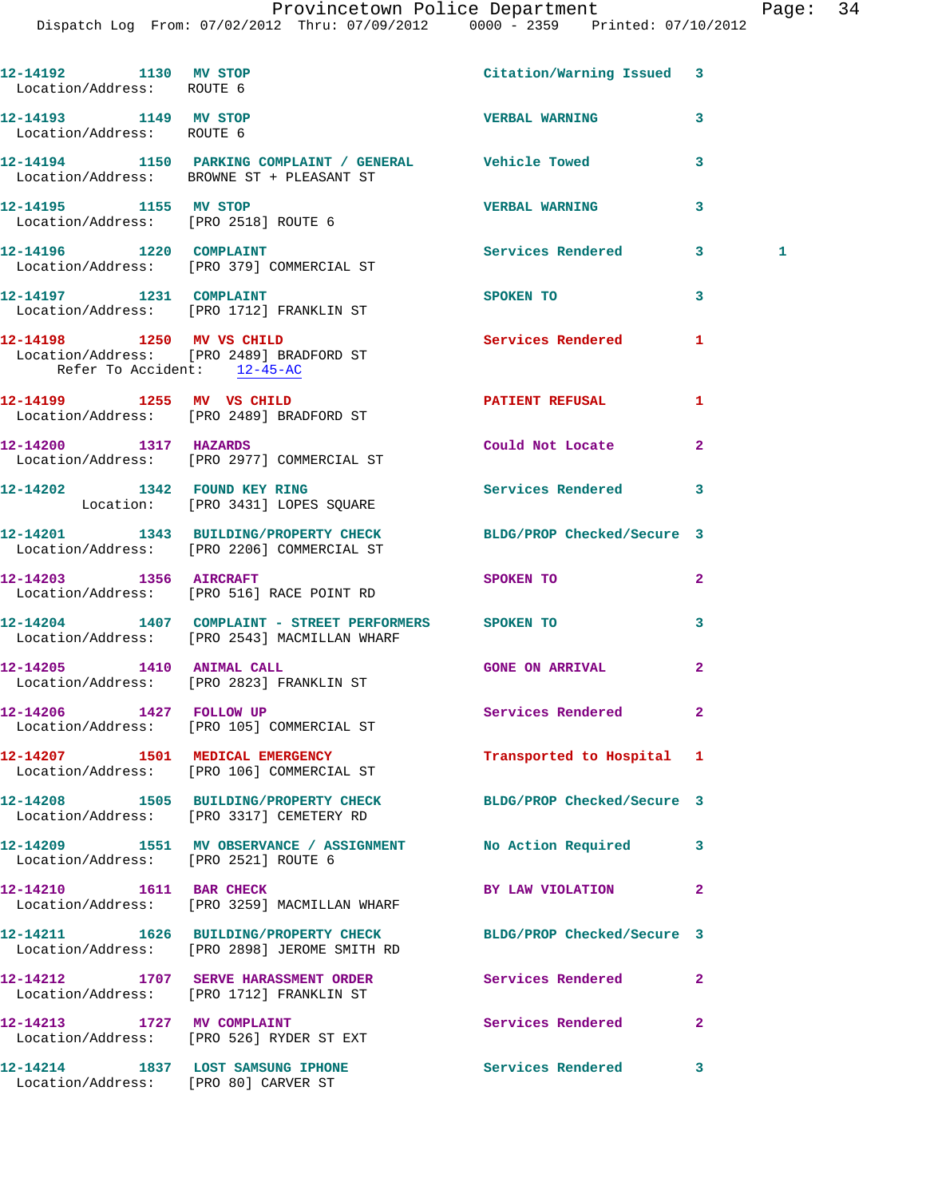## Provincetown Police Department Fage: 34

| 12-14192 1130 MV STOP<br>Location/Address: ROUTE 6 |                                                                                                                | Citation/Warning Issued 3  |                |   |
|----------------------------------------------------|----------------------------------------------------------------------------------------------------------------|----------------------------|----------------|---|
| 12-14193 1149 MV STOP<br>Location/Address: ROUTE 6 |                                                                                                                | <b>VERBAL WARNING</b>      | 3              |   |
|                                                    | 12-14194 1150 PARKING COMPLAINT / GENERAL Vehicle Towed<br>Location/Address: BROWNE ST + PLEASANT ST           |                            | 3              |   |
| 12-14195 1155 MV STOP                              | Location/Address: [PRO 2518] ROUTE 6                                                                           | <b>VERBAL WARNING</b>      | 3              |   |
|                                                    | 12-14196   1220   COMPLAINT<br>Location/Address: [PRO 379] COMMERCIAL ST                                       | <b>Services Rendered</b>   | 3              | 1 |
|                                                    | 12-14197    1231    COMPLAINT<br>Location/Address: [PRO 1712] FRANKLIN ST                                      | SPOKEN TO                  | 3              |   |
| Refer To Accident: 12-45-AC                        | 12-14198    1250 MV VS CHILD<br>Location/Address: [PRO 2489] BRADFORD ST                                       | Services Rendered          | 1              |   |
|                                                    | 12-14199 1255 MV VS CHILD<br>Location/Address: [PRO 2489] BRADFORD ST                                          | PATIENT REFUSAL            | 1              |   |
|                                                    | 12-14200 1317 HAZARDS<br>Location/Address: [PRO 2977] COMMERCIAL ST                                            | Could Not Locate           | $\overline{a}$ |   |
|                                                    | 12-14202 1342 FOUND KEY RING<br>Location: [PRO 3431] LOPES SQUARE                                              | Services Rendered          | 3              |   |
|                                                    | 12-14201 1343 BUILDING/PROPERTY CHECK BLDG/PROP Checked/Secure 3<br>Location/Address: [PRO 2206] COMMERCIAL ST |                            |                |   |
| 12-14203 1356 AIRCRAFT                             | Location/Address: [PRO 516] RACE POINT RD                                                                      | SPOKEN TO                  | $\overline{2}$ |   |
|                                                    | 12-14204 1407 COMPLAINT - STREET PERFORMERS SPOKEN TO<br>Location/Address: [PRO 2543] MACMILLAN WHARF          |                            | 3              |   |
| 12-14205 1410 ANIMAL CALL                          | Location/Address: [PRO 2823] FRANKLIN ST                                                                       | <b>GONE ON ARRIVAL</b>     | $\overline{a}$ |   |
|                                                    | 12-14206   1427   FOLLOW UP<br>Location/Address: [PRO 105] COMMERCIAL ST                                       | Services Rendered          | $\mathbf{2}$   |   |
|                                                    | 12-14207 1501 MEDICAL EMERGENCY<br>Location/Address: [PRO 106] COMMERCIAL ST                                   | Transported to Hospital 1  |                |   |
|                                                    | 12-14208 1505 BUILDING/PROPERTY CHECK<br>Location/Address: [PRO 3317] CEMETERY RD                              | BLDG/PROP Checked/Secure 3 |                |   |
| Location/Address: [PRO 2521] ROUTE 6               | 12-14209 1551 MV OBSERVANCE / ASSIGNMENT No Action Required                                                    |                            | 3              |   |
| 12-14210 1611 BAR CHECK                            | Location/Address: [PRO 3259] MACMILLAN WHARF                                                                   | BY LAW VIOLATION           | 2              |   |
|                                                    | 12-14211 1626 BUILDING/PROPERTY CHECK<br>Location/Address: [PRO 2898] JEROME SMITH RD                          | BLDG/PROP Checked/Secure 3 |                |   |
|                                                    | 12-14212 1707 SERVE HARASSMENT ORDER<br>Location/Address: [PRO 1712] FRANKLIN ST                               | <b>Services Rendered</b>   | $\mathbf{2}$   |   |
| 12-14213 1727 MV COMPLAINT                         | Location/Address: [PRO 526] RYDER ST EXT                                                                       | Services Rendered          | 2              |   |
| Location/Address: [PRO 80] CARVER ST               | 12-14214 1837 LOST SAMSUNG IPHONE                                                                              | <b>Services Rendered</b>   | 3              |   |